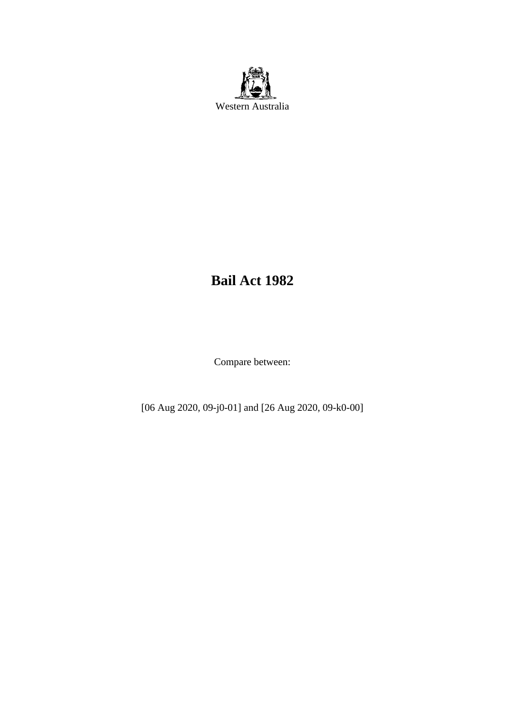

# **Bail Act 1982**

Compare between:

[06 Aug 2020, 09-j0-01] and [26 Aug 2020, 09-k0-00]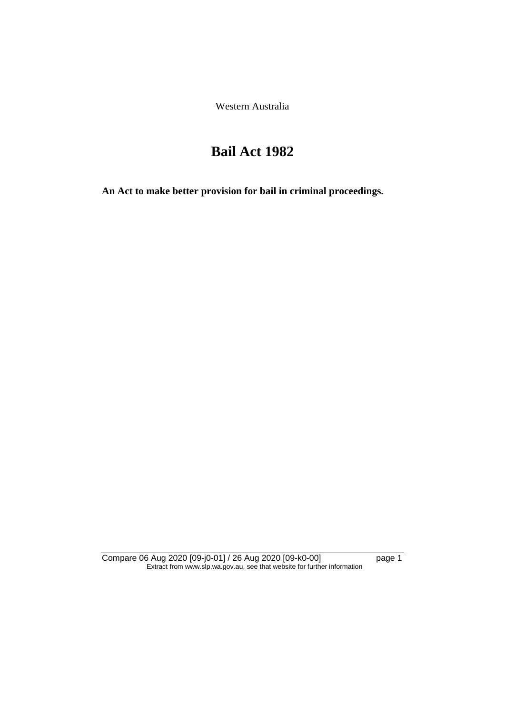Western Australia

# **Bail Act 1982**

**An Act to make better provision for bail in criminal proceedings.** 

Compare 06 Aug 2020 [09-j0-01] / 26 Aug 2020 [09-k0-00] page 1 Extract from www.slp.wa.gov.au, see that website for further information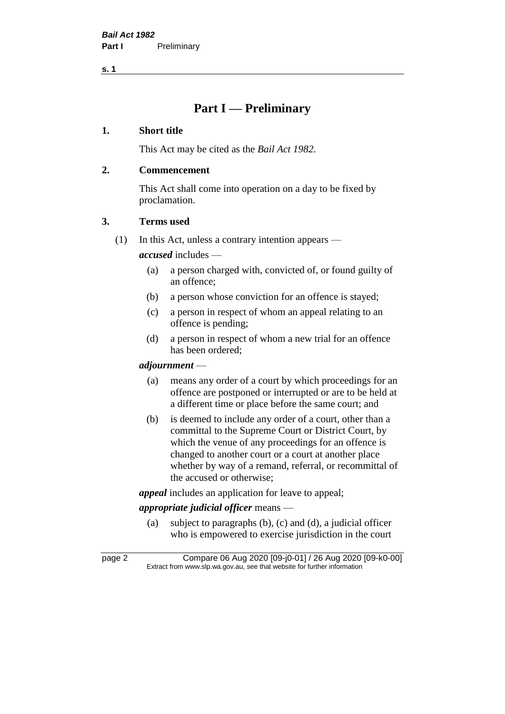# **Part I — Preliminary**

#### **1. Short title**

This Act may be cited as the *Bail Act 1982*.

## **2. Commencement**

This Act shall come into operation on a day to be fixed by proclamation.

## **3. Terms used**

(1) In this Act, unless a contrary intention appears —

*accused* includes —

- (a) a person charged with, convicted of, or found guilty of an offence;
- (b) a person whose conviction for an offence is stayed;
- (c) a person in respect of whom an appeal relating to an offence is pending;
- (d) a person in respect of whom a new trial for an offence has been ordered;

#### *adjournment* —

- (a) means any order of a court by which proceedings for an offence are postponed or interrupted or are to be held at a different time or place before the same court; and
- (b) is deemed to include any order of a court, other than a committal to the Supreme Court or District Court, by which the venue of any proceedings for an offence is changed to another court or a court at another place whether by way of a remand, referral, or recommittal of the accused or otherwise;

*appeal* includes an application for leave to appeal;

# *appropriate judicial officer* means —

(a) subject to paragraphs (b), (c) and (d), a judicial officer who is empowered to exercise jurisdiction in the court

page 2 Compare 06 Aug 2020 [09-j0-01] / 26 Aug 2020 [09-k0-00] Extract from www.slp.wa.gov.au, see that website for further information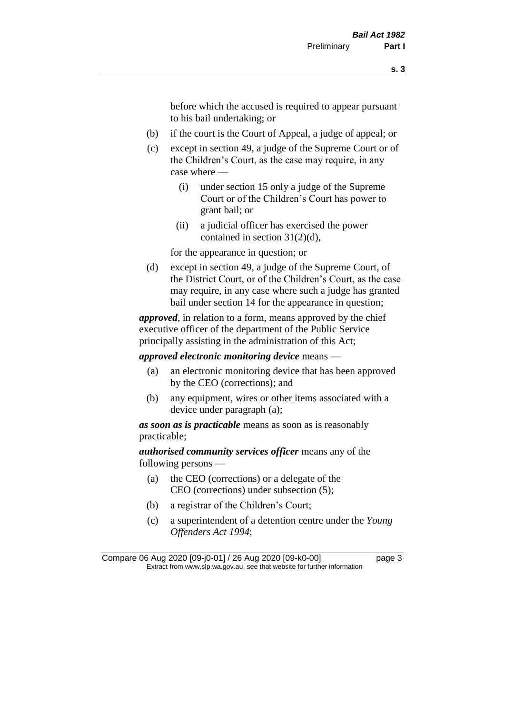before which the accused is required to appear pursuant to his bail undertaking; or

- (b) if the court is the Court of Appeal, a judge of appeal; or
- (c) except in section 49, a judge of the Supreme Court or of the Children's Court, as the case may require, in any case where —
	- (i) under section 15 only a judge of the Supreme Court or of the Children's Court has power to grant bail; or
	- (ii) a judicial officer has exercised the power contained in section 31(2)(d),

for the appearance in question; or

(d) except in section 49, a judge of the Supreme Court, of the District Court, or of the Children's Court, as the case may require, in any case where such a judge has granted bail under section 14 for the appearance in question;

*approved*, in relation to a form, means approved by the chief executive officer of the department of the Public Service principally assisting in the administration of this Act;

*approved electronic monitoring device* means —

- (a) an electronic monitoring device that has been approved by the CEO (corrections); and
- (b) any equipment, wires or other items associated with a device under paragraph (a);

*as soon as is practicable* means as soon as is reasonably practicable;

*authorised community services officer* means any of the following persons —

- (a) the CEO (corrections) or a delegate of the CEO (corrections) under subsection (5);
- (b) a registrar of the Children's Court;
- (c) a superintendent of a detention centre under the *Young Offenders Act 1994*;

Compare 06 Aug 2020 [09-j0-01] / 26 Aug 2020 [09-k0-00] page 3 Extract from www.slp.wa.gov.au, see that website for further information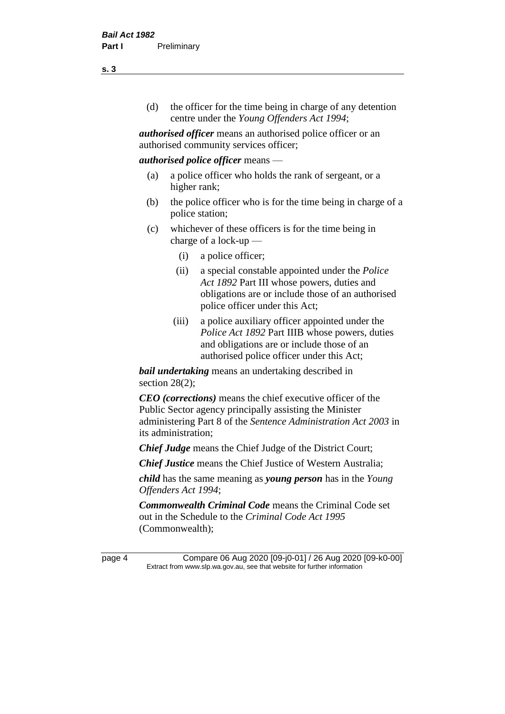(d) the officer for the time being in charge of any detention centre under the *Young Offenders Act 1994*;

*authorised officer* means an authorised police officer or an authorised community services officer;

#### *authorised police officer* means —

- (a) a police officer who holds the rank of sergeant, or a higher rank;
- (b) the police officer who is for the time being in charge of a police station;
- (c) whichever of these officers is for the time being in charge of a lock-up —
	- (i) a police officer;
	- (ii) a special constable appointed under the *Police Act 1892* Part III whose powers, duties and obligations are or include those of an authorised police officer under this Act;
	- (iii) a police auxiliary officer appointed under the *Police Act 1892* Part IIIB whose powers, duties and obligations are or include those of an authorised police officer under this Act;

*bail undertaking* means an undertaking described in section 28(2);

*CEO (corrections)* means the chief executive officer of the Public Sector agency principally assisting the Minister administering Part 8 of the *Sentence Administration Act 2003* in its administration;

*Chief Judge* means the Chief Judge of the District Court;

*Chief Justice* means the Chief Justice of Western Australia;

*child* has the same meaning as *young person* has in the *Young Offenders Act 1994*;

*Commonwealth Criminal Code* means the Criminal Code set out in the Schedule to the *Criminal Code Act 1995* (Commonwealth);

page 4 Compare 06 Aug 2020 [09-j0-01] / 26 Aug 2020 [09-k0-00] Extract from www.slp.wa.gov.au, see that website for further information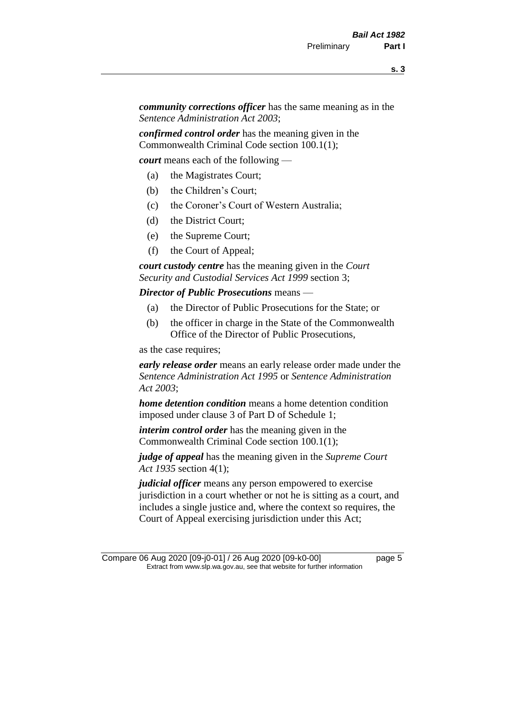*community corrections officer* has the same meaning as in the *Sentence Administration Act 2003*;

*confirmed control order* has the meaning given in the Commonwealth Criminal Code section 100.1(1);

*court* means each of the following —

- (a) the Magistrates Court;
- (b) the Children's Court;
- (c) the Coroner's Court of Western Australia;
- (d) the District Court;
- (e) the Supreme Court;
- (f) the Court of Appeal;

*court custody centre* has the meaning given in the *Court Security and Custodial Services Act 1999* section 3;

*Director of Public Prosecutions* means —

- (a) the Director of Public Prosecutions for the State; or
- (b) the officer in charge in the State of the Commonwealth Office of the Director of Public Prosecutions,

as the case requires;

*early release order* means an early release order made under the *Sentence Administration Act 1995* or *Sentence Administration Act 2003*;

*home detention condition* means a home detention condition imposed under clause 3 of Part D of Schedule 1;

*interim control order* has the meaning given in the Commonwealth Criminal Code section 100.1(1);

*judge of appeal* has the meaning given in the *Supreme Court Act 1935* section 4(1);

*judicial officer* means any person empowered to exercise jurisdiction in a court whether or not he is sitting as a court, and includes a single justice and, where the context so requires, the Court of Appeal exercising jurisdiction under this Act;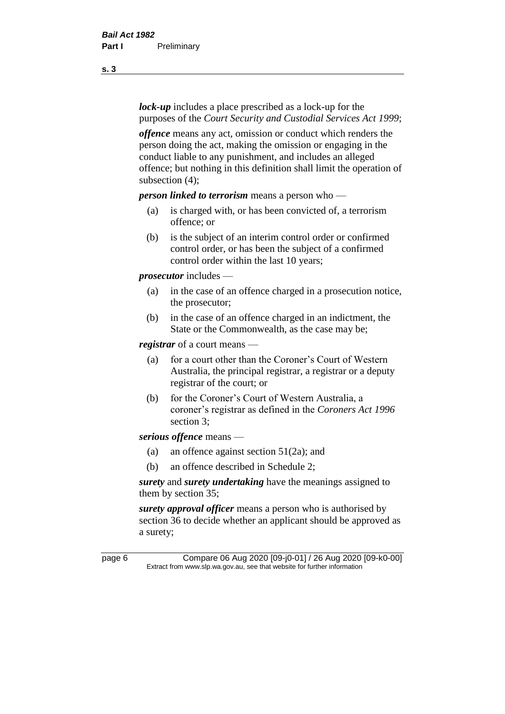*lock-up* includes a place prescribed as a lock-up for the purposes of the *Court Security and Custodial Services Act 1999*;

*offence* means any act, omission or conduct which renders the person doing the act, making the omission or engaging in the conduct liable to any punishment, and includes an alleged offence; but nothing in this definition shall limit the operation of subsection (4);

*person linked to terrorism* means a person who —

- (a) is charged with, or has been convicted of, a terrorism offence; or
- (b) is the subject of an interim control order or confirmed control order, or has been the subject of a confirmed control order within the last 10 years;

*prosecutor* includes —

- (a) in the case of an offence charged in a prosecution notice, the prosecutor;
- (b) in the case of an offence charged in an indictment, the State or the Commonwealth, as the case may be;

*registrar* of a court means —

- (a) for a court other than the Coroner's Court of Western Australia, the principal registrar, a registrar or a deputy registrar of the court; or
- (b) for the Coroner's Court of Western Australia, a coroner's registrar as defined in the *Coroners Act 1996* section 3;

*serious offence* means —

- (a) an offence against section 51(2a); and
- (b) an offence described in Schedule 2;

*surety* and *surety undertaking* have the meanings assigned to them by section 35;

*surety approval officer* means a person who is authorised by section 36 to decide whether an applicant should be approved as a surety;

page 6 Compare 06 Aug 2020 [09-j0-01] / 26 Aug 2020 [09-k0-00] Extract from www.slp.wa.gov.au, see that website for further information

**s. 3**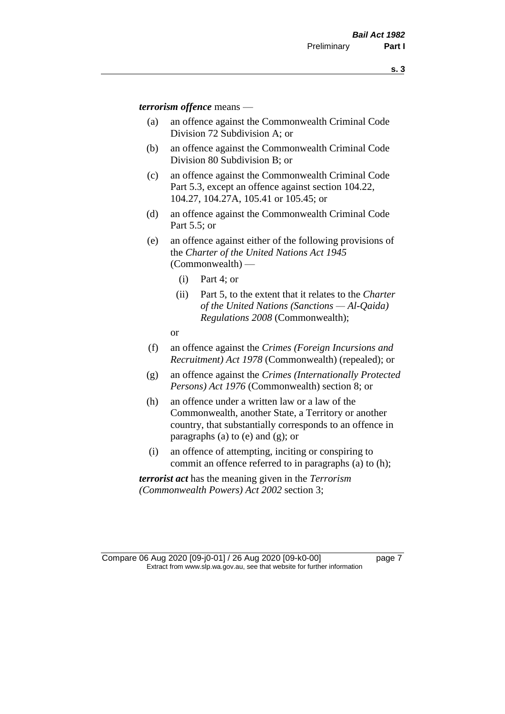*terrorism offence* means —

- (a) an offence against the Commonwealth Criminal Code Division 72 Subdivision A; or
- (b) an offence against the Commonwealth Criminal Code Division 80 Subdivision B; or
- (c) an offence against the Commonwealth Criminal Code Part 5.3, except an offence against section 104.22, 104.27, 104.27A, 105.41 or 105.45; or
- (d) an offence against the Commonwealth Criminal Code Part 5.5; or
- (e) an offence against either of the following provisions of the *Charter of the United Nations Act 1945*  (Commonwealth) —
	- (i) Part 4; or
	- (ii) Part 5, to the extent that it relates to the *Charter of the United Nations (Sanctions — Al-Qaida) Regulations 2008* (Commonwealth);
	- or
- (f) an offence against the *Crimes (Foreign Incursions and Recruitment) Act 1978* (Commonwealth) (repealed); or
- (g) an offence against the *Crimes (Internationally Protected Persons) Act 1976* (Commonwealth) section 8; or
- (h) an offence under a written law or a law of the Commonwealth, another State, a Territory or another country, that substantially corresponds to an offence in paragraphs (a) to (e) and (g); or
- (i) an offence of attempting, inciting or conspiring to commit an offence referred to in paragraphs (a) to (h);

*terrorist act* has the meaning given in the *Terrorism (Commonwealth Powers) Act 2002* section 3;

Compare 06 Aug 2020 [09-j0-01] / 26 Aug 2020 [09-k0-00] page 7 Extract from www.slp.wa.gov.au, see that website for further information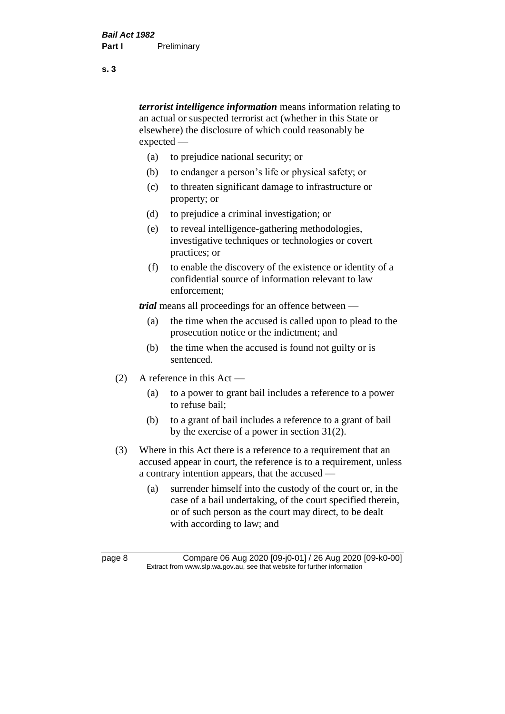*terrorist intelligence information* means information relating to an actual or suspected terrorist act (whether in this State or elsewhere) the disclosure of which could reasonably be expected —

- (a) to prejudice national security; or
- (b) to endanger a person's life or physical safety; or
- (c) to threaten significant damage to infrastructure or property; or
- (d) to prejudice a criminal investigation; or
- (e) to reveal intelligence-gathering methodologies, investigative techniques or technologies or covert practices; or
- (f) to enable the discovery of the existence or identity of a confidential source of information relevant to law enforcement;

*trial* means all proceedings for an offence between —

- (a) the time when the accused is called upon to plead to the prosecution notice or the indictment; and
- (b) the time when the accused is found not guilty or is sentenced.
- (2) A reference in this Act
	- (a) to a power to grant bail includes a reference to a power to refuse bail;
	- (b) to a grant of bail includes a reference to a grant of bail by the exercise of a power in section 31(2).
- (3) Where in this Act there is a reference to a requirement that an accused appear in court, the reference is to a requirement, unless a contrary intention appears, that the accused —
	- (a) surrender himself into the custody of the court or, in the case of a bail undertaking, of the court specified therein, or of such person as the court may direct, to be dealt with according to law; and

page 8 Compare 06 Aug 2020 [09-j0-01] / 26 Aug 2020 [09-k0-00] Extract from www.slp.wa.gov.au, see that website for further information

**s. 3**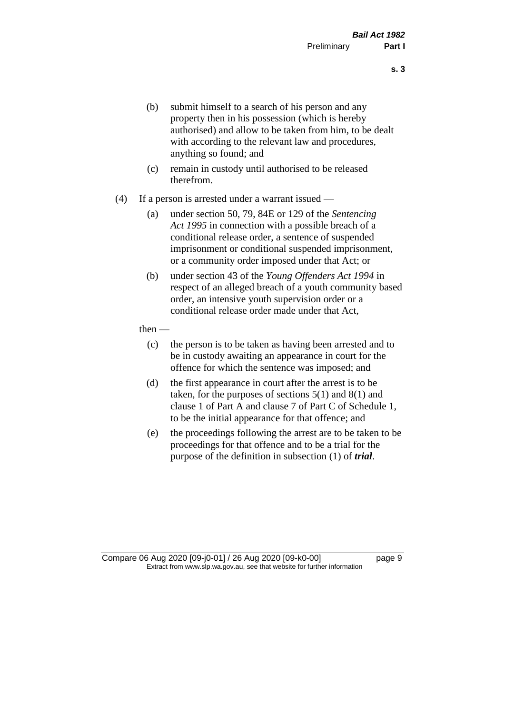- (b) submit himself to a search of his person and any property then in his possession (which is hereby authorised) and allow to be taken from him, to be dealt with according to the relevant law and procedures, anything so found; and
- (c) remain in custody until authorised to be released therefrom.
- (4) If a person is arrested under a warrant issued
	- (a) under section 50, 79, 84E or 129 of the *Sentencing Act 1995* in connection with a possible breach of a conditional release order, a sentence of suspended imprisonment or conditional suspended imprisonment, or a community order imposed under that Act; or
	- (b) under section 43 of the *Young Offenders Act 1994* in respect of an alleged breach of a youth community based order, an intensive youth supervision order or a conditional release order made under that Act,
	- then
		- (c) the person is to be taken as having been arrested and to be in custody awaiting an appearance in court for the offence for which the sentence was imposed; and
		- (d) the first appearance in court after the arrest is to be taken, for the purposes of sections  $5(1)$  and  $8(1)$  and clause 1 of Part A and clause 7 of Part C of Schedule 1, to be the initial appearance for that offence; and
		- (e) the proceedings following the arrest are to be taken to be proceedings for that offence and to be a trial for the purpose of the definition in subsection (1) of *trial*.

Compare 06 Aug 2020 [09-j0-01] / 26 Aug 2020 [09-k0-00] page 9 Extract from www.slp.wa.gov.au, see that website for further information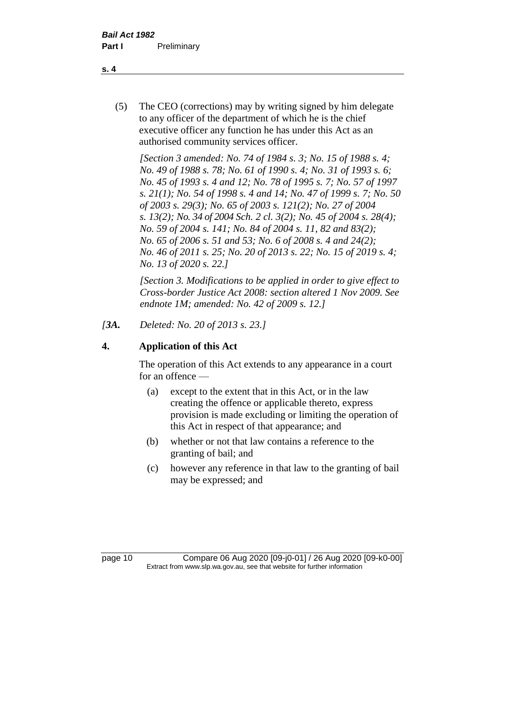(5) The CEO (corrections) may by writing signed by him delegate to any officer of the department of which he is the chief executive officer any function he has under this Act as an authorised community services officer.

*[Section 3 amended: No. 74 of 1984 s. 3; No. 15 of 1988 s. 4; No. 49 of 1988 s. 78; No. 61 of 1990 s. 4; No. 31 of 1993 s. 6; No. 45 of 1993 s. 4 and 12; No. 78 of 1995 s. 7; No. 57 of 1997 s. 21(1); No. 54 of 1998 s. 4 and 14; No. 47 of 1999 s. 7; No. 50 of 2003 s. 29(3); No. 65 of 2003 s. 121(2); No. 27 of 2004 s. 13(2); No. 34 of 2004 Sch. 2 cl. 3(2); No. 45 of 2004 s. 28(4); No. 59 of 2004 s. 141; No. 84 of 2004 s. 11, 82 and 83(2); No. 65 of 2006 s. 51 and 53; No. 6 of 2008 s. 4 and 24(2); No. 46 of 2011 s. 25; No. 20 of 2013 s. 22; No. 15 of 2019 s. 4; No. 13 of 2020 s. 22.]* 

*[Section 3. Modifications to be applied in order to give effect to Cross-border Justice Act 2008: section altered 1 Nov 2009. See endnote 1M; amended: No. 42 of 2009 s. 12.]*

*[3A. Deleted: No. 20 of 2013 s. 23.]*

# **4. Application of this Act**

The operation of this Act extends to any appearance in a court for an offence —

- (a) except to the extent that in this Act, or in the law creating the offence or applicable thereto, express provision is made excluding or limiting the operation of this Act in respect of that appearance; and
- (b) whether or not that law contains a reference to the granting of bail; and
- (c) however any reference in that law to the granting of bail may be expressed; and

page 10 Compare 06 Aug 2020 [09-j0-01] / 26 Aug 2020 [09-k0-00] Extract from www.slp.wa.gov.au, see that website for further information

#### **s. 4**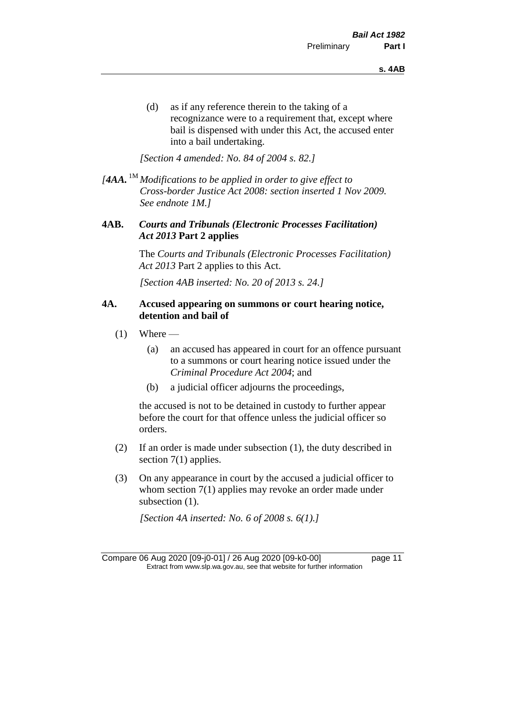(d) as if any reference therein to the taking of a recognizance were to a requirement that, except where bail is dispensed with under this Act, the accused enter into a bail undertaking.

*[Section 4 amended: No. 84 of 2004 s. 82.]*

*[4AA.* 1M *Modifications to be applied in order to give effect to Cross-border Justice Act 2008: section inserted 1 Nov 2009. See endnote 1M.]*

#### **4AB.** *Courts and Tribunals (Electronic Processes Facilitation) Act 2013* **Part 2 applies**

The *Courts and Tribunals (Electronic Processes Facilitation) Act 2013* Part 2 applies to this Act.

*[Section 4AB inserted: No. 20 of 2013 s. 24.]*

#### **4A. Accused appearing on summons or court hearing notice, detention and bail of**

- $(1)$  Where
	- (a) an accused has appeared in court for an offence pursuant to a summons or court hearing notice issued under the *Criminal Procedure Act 2004*; and
	- (b) a judicial officer adjourns the proceedings,

the accused is not to be detained in custody to further appear before the court for that offence unless the judicial officer so orders.

- (2) If an order is made under subsection (1), the duty described in section 7(1) applies.
- (3) On any appearance in court by the accused a judicial officer to whom section 7(1) applies may revoke an order made under subsection  $(1)$ .

*[Section 4A inserted: No. 6 of 2008 s. 6(1).]*

Compare 06 Aug 2020 [09-j0-01] / 26 Aug 2020 [09-k0-00] page 11 Extract from www.slp.wa.gov.au, see that website for further information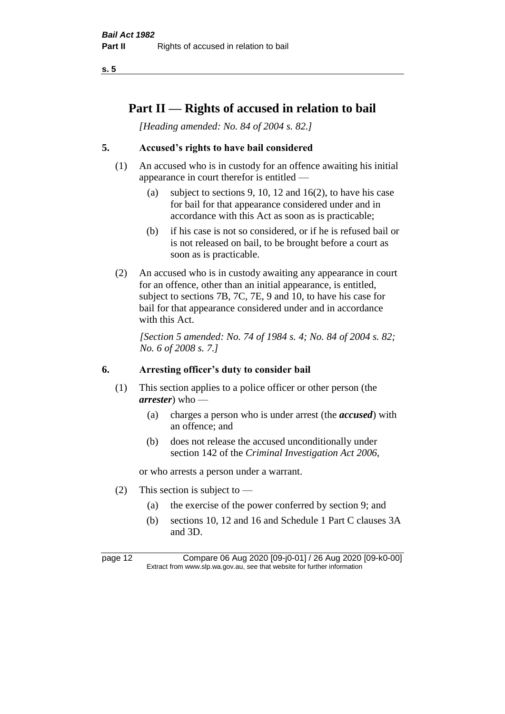# **Part II — Rights of accused in relation to bail**

*[Heading amended: No. 84 of 2004 s. 82.]* 

# **5. Accused's rights to have bail considered**

- (1) An accused who is in custody for an offence awaiting his initial appearance in court therefor is entitled —
	- (a) subject to sections 9, 10, 12 and 16(2), to have his case for bail for that appearance considered under and in accordance with this Act as soon as is practicable;
	- (b) if his case is not so considered, or if he is refused bail or is not released on bail, to be brought before a court as soon as is practicable.
- (2) An accused who is in custody awaiting any appearance in court for an offence, other than an initial appearance, is entitled, subject to sections 7B, 7C, 7E, 9 and 10, to have his case for bail for that appearance considered under and in accordance with this Act.

*[Section 5 amended: No. 74 of 1984 s. 4; No. 84 of 2004 s. 82; No. 6 of 2008 s. 7.]* 

#### **6. Arresting officer's duty to consider bail**

- (1) This section applies to a police officer or other person (the *arrester*) who —
	- (a) charges a person who is under arrest (the *accused*) with an offence; and
	- (b) does not release the accused unconditionally under section 142 of the *Criminal Investigation Act 2006*,

or who arrests a person under a warrant.

- (2) This section is subject to  $-$ 
	- (a) the exercise of the power conferred by section 9; and
	- (b) sections 10, 12 and 16 and Schedule 1 Part C clauses 3A and 3D.

page 12 Compare 06 Aug 2020 [09-j0-01] / 26 Aug 2020 [09-k0-00] Extract from www.slp.wa.gov.au, see that website for further information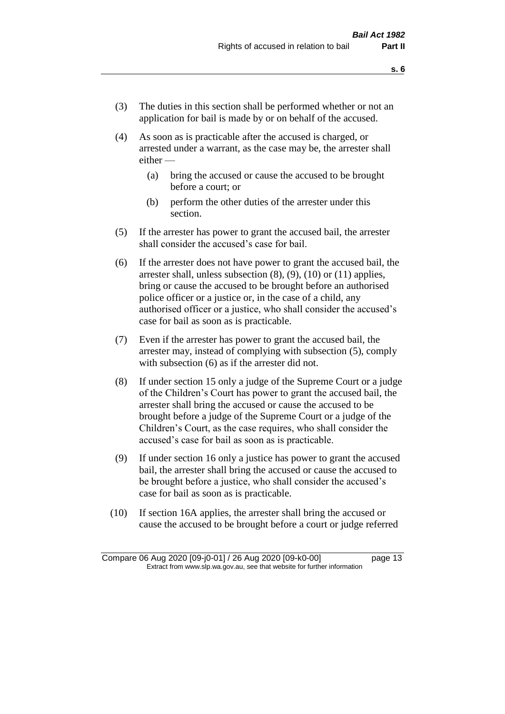- (3) The duties in this section shall be performed whether or not an application for bail is made by or on behalf of the accused.
- (4) As soon as is practicable after the accused is charged, or arrested under a warrant, as the case may be, the arrester shall either —
	- (a) bring the accused or cause the accused to be brought before a court; or
	- (b) perform the other duties of the arrester under this section.
- (5) If the arrester has power to grant the accused bail, the arrester shall consider the accused's case for bail.
- (6) If the arrester does not have power to grant the accused bail, the arrester shall, unless subsection (8), (9), (10) or (11) applies, bring or cause the accused to be brought before an authorised police officer or a justice or, in the case of a child, any authorised officer or a justice, who shall consider the accused's case for bail as soon as is practicable.
- (7) Even if the arrester has power to grant the accused bail, the arrester may, instead of complying with subsection (5), comply with subsection  $(6)$  as if the arrester did not.
- (8) If under section 15 only a judge of the Supreme Court or a judge of the Children's Court has power to grant the accused bail, the arrester shall bring the accused or cause the accused to be brought before a judge of the Supreme Court or a judge of the Children's Court, as the case requires, who shall consider the accused's case for bail as soon as is practicable.
- (9) If under section 16 only a justice has power to grant the accused bail, the arrester shall bring the accused or cause the accused to be brought before a justice, who shall consider the accused's case for bail as soon as is practicable.
- (10) If section 16A applies, the arrester shall bring the accused or cause the accused to be brought before a court or judge referred

Compare 06 Aug 2020 [09-j0-01] / 26 Aug 2020 [09-k0-00] page 13 Extract from www.slp.wa.gov.au, see that website for further information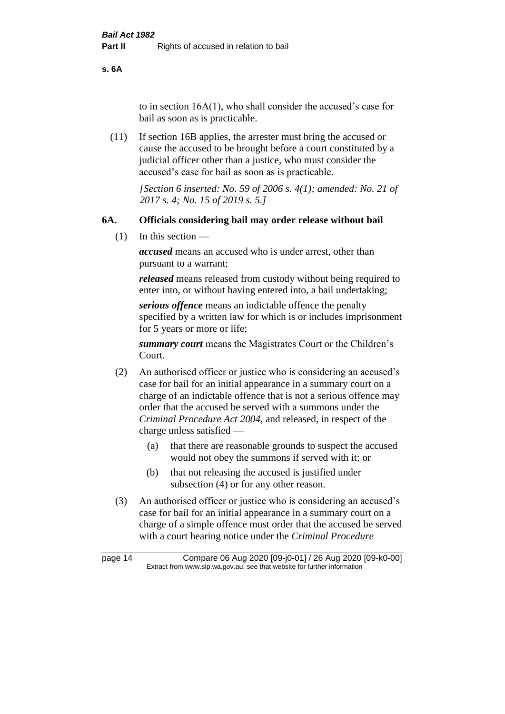**s. 6A**

to in section 16A(1), who shall consider the accused's case for bail as soon as is practicable.

(11) If section 16B applies, the arrester must bring the accused or cause the accused to be brought before a court constituted by a judicial officer other than a justice, who must consider the accused's case for bail as soon as is practicable.

> *[Section 6 inserted: No. 59 of 2006 s. 4(1); amended: No. 21 of 2017 s. 4; No. 15 of 2019 s. 5.]*

#### **6A. Officials considering bail may order release without bail**

(1) In this section —

*accused* means an accused who is under arrest, other than pursuant to a warrant;

*released* means released from custody without being required to enter into, or without having entered into, a bail undertaking;

*serious offence* means an indictable offence the penalty specified by a written law for which is or includes imprisonment for 5 years or more or life;

*summary court* means the Magistrates Court or the Children's Court.

- (2) An authorised officer or justice who is considering an accused's case for bail for an initial appearance in a summary court on a charge of an indictable offence that is not a serious offence may order that the accused be served with a summons under the *Criminal Procedure Act 2004*, and released, in respect of the charge unless satisfied —
	- (a) that there are reasonable grounds to suspect the accused would not obey the summons if served with it; or
	- (b) that not releasing the accused is justified under subsection (4) or for any other reason.
- (3) An authorised officer or justice who is considering an accused's case for bail for an initial appearance in a summary court on a charge of a simple offence must order that the accused be served with a court hearing notice under the *Criminal Procedure*

page 14 Compare 06 Aug 2020 [09-j0-01] / 26 Aug 2020 [09-k0-00] Extract from www.slp.wa.gov.au, see that website for further information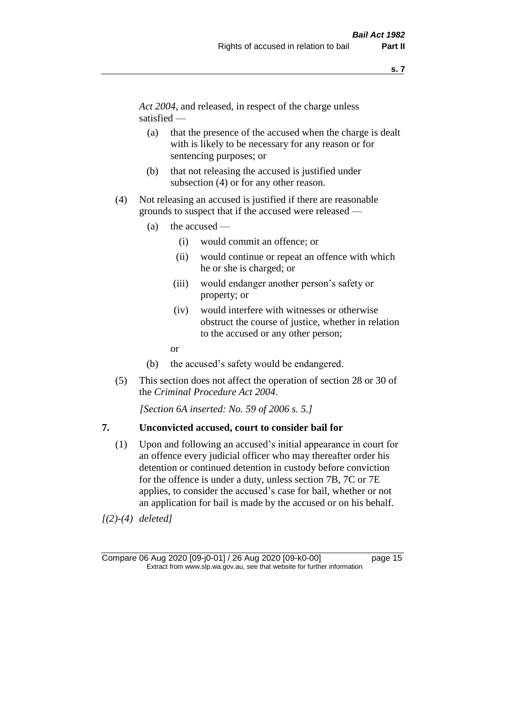*Act 2004*, and released, in respect of the charge unless satisfied —

- (a) that the presence of the accused when the charge is dealt with is likely to be necessary for any reason or for sentencing purposes; or
- (b) that not releasing the accused is justified under subsection (4) or for any other reason.
- (4) Not releasing an accused is justified if there are reasonable grounds to suspect that if the accused were released —
	- (a) the accused
		- (i) would commit an offence; or
		- (ii) would continue or repeat an offence with which he or she is charged; or
		- (iii) would endanger another person's safety or property; or
		- (iv) would interfere with witnesses or otherwise obstruct the course of justice, whether in relation to the accused or any other person;
		- or
	- (b) the accused's safety would be endangered.
- (5) This section does not affect the operation of section 28 or 30 of the *Criminal Procedure Act 2004*.

*[Section 6A inserted: No. 59 of 2006 s. 5.]* 

#### **7. Unconvicted accused, court to consider bail for**

(1) Upon and following an accused's initial appearance in court for an offence every judicial officer who may thereafter order his detention or continued detention in custody before conviction for the offence is under a duty, unless section 7B, 7C or 7E applies, to consider the accused's case for bail, whether or not an application for bail is made by the accused or on his behalf.

*[(2)-(4) deleted]*

Compare 06 Aug 2020 [09-j0-01] / 26 Aug 2020 [09-k0-00] page 15 Extract from www.slp.wa.gov.au, see that website for further information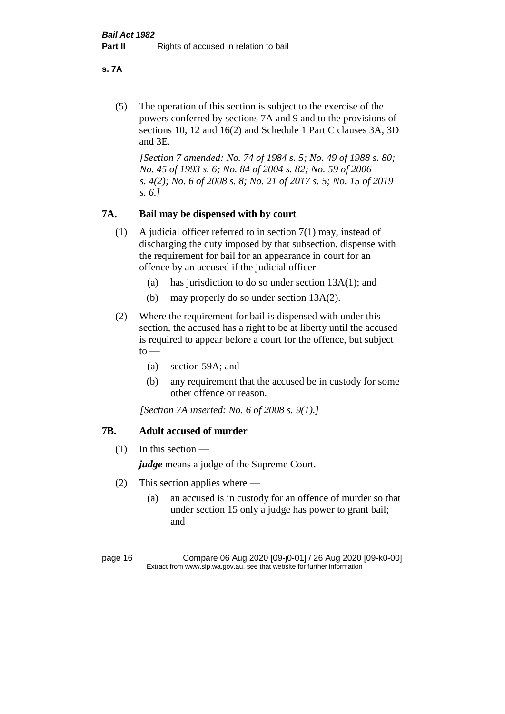**s. 7A**

(5) The operation of this section is subject to the exercise of the powers conferred by sections 7A and 9 and to the provisions of sections 10, 12 and 16(2) and Schedule 1 Part C clauses 3A, 3D and 3E.

*[Section 7 amended: No. 74 of 1984 s. 5; No. 49 of 1988 s. 80; No. 45 of 1993 s. 6; No. 84 of 2004 s. 82; No. 59 of 2006 s. 4(2); No. 6 of 2008 s. 8; No. 21 of 2017 s. 5; No. 15 of 2019 s. 6.]* 

# **7A. Bail may be dispensed with by court**

- (1) A judicial officer referred to in section 7(1) may, instead of discharging the duty imposed by that subsection, dispense with the requirement for bail for an appearance in court for an offence by an accused if the judicial officer —
	- (a) has jurisdiction to do so under section 13A(1); and
	- (b) may properly do so under section 13A(2).
- (2) Where the requirement for bail is dispensed with under this section, the accused has a right to be at liberty until the accused is required to appear before a court for the offence, but subject  $to -$ 
	- (a) section 59A; and
	- (b) any requirement that the accused be in custody for some other offence or reason.

*[Section 7A inserted: No. 6 of 2008 s. 9(1).]*

## **7B. Adult accused of murder**

 $(1)$  In this section —

*judge* means a judge of the Supreme Court.

- (2) This section applies where
	- (a) an accused is in custody for an offence of murder so that under section 15 only a judge has power to grant bail; and

page 16 Compare 06 Aug 2020 [09-j0-01] / 26 Aug 2020 [09-k0-00] Extract from www.slp.wa.gov.au, see that website for further information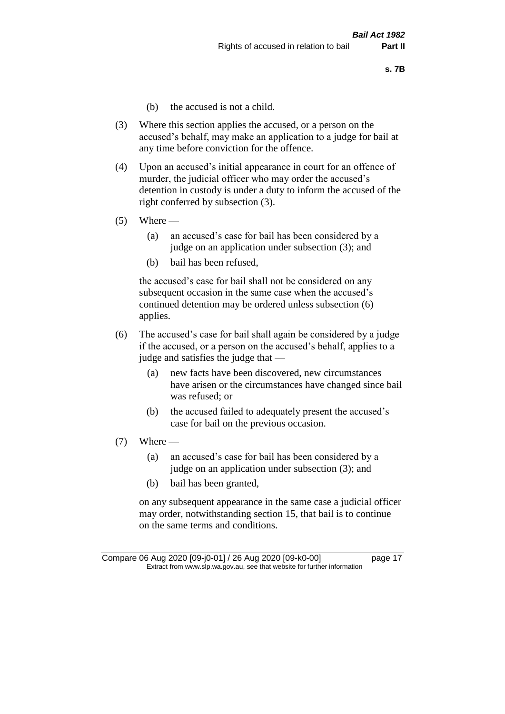- (b) the accused is not a child.
- (3) Where this section applies the accused, or a person on the accused's behalf, may make an application to a judge for bail at any time before conviction for the offence.
- (4) Upon an accused's initial appearance in court for an offence of murder, the judicial officer who may order the accused's detention in custody is under a duty to inform the accused of the right conferred by subsection (3).
- $(5)$  Where
	- (a) an accused's case for bail has been considered by a judge on an application under subsection (3); and
	- (b) bail has been refused,

the accused's case for bail shall not be considered on any subsequent occasion in the same case when the accused's continued detention may be ordered unless subsection (6) applies.

- (6) The accused's case for bail shall again be considered by a judge if the accused, or a person on the accused's behalf, applies to a judge and satisfies the judge that —
	- (a) new facts have been discovered, new circumstances have arisen or the circumstances have changed since bail was refused; or
	- (b) the accused failed to adequately present the accused's case for bail on the previous occasion.
- $(7)$  Where
	- (a) an accused's case for bail has been considered by a judge on an application under subsection (3); and
	- (b) bail has been granted,

on any subsequent appearance in the same case a judicial officer may order, notwithstanding section 15, that bail is to continue on the same terms and conditions.

Compare 06 Aug 2020 [09-j0-01] / 26 Aug 2020 [09-k0-00] page 17 Extract from www.slp.wa.gov.au, see that website for further information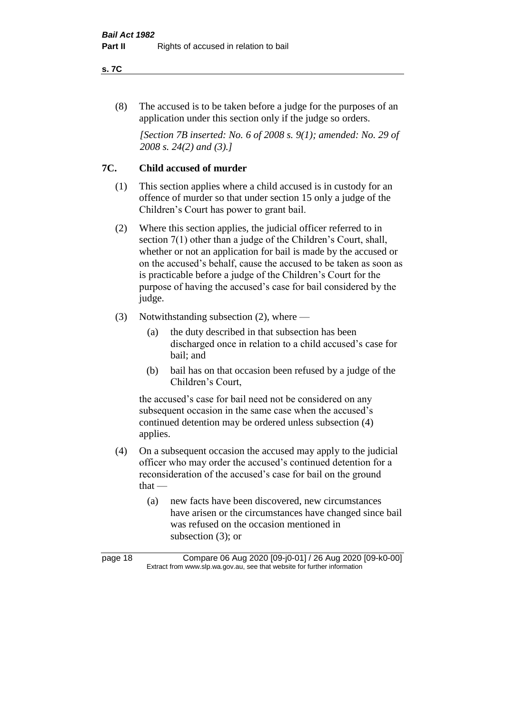#### **s. 7C**

(8) The accused is to be taken before a judge for the purposes of an application under this section only if the judge so orders.

*[Section 7B inserted: No. 6 of 2008 s. 9(1); amended: No. 29 of 2008 s. 24(2) and (3).]*

# **7C. Child accused of murder**

- (1) This section applies where a child accused is in custody for an offence of murder so that under section 15 only a judge of the Children's Court has power to grant bail.
- (2) Where this section applies, the judicial officer referred to in section 7(1) other than a judge of the Children's Court, shall, whether or not an application for bail is made by the accused or on the accused's behalf, cause the accused to be taken as soon as is practicable before a judge of the Children's Court for the purpose of having the accused's case for bail considered by the judge.
- (3) Notwithstanding subsection (2), where
	- (a) the duty described in that subsection has been discharged once in relation to a child accused's case for bail; and
	- (b) bail has on that occasion been refused by a judge of the Children's Court,

the accused's case for bail need not be considered on any subsequent occasion in the same case when the accused's continued detention may be ordered unless subsection (4) applies.

- (4) On a subsequent occasion the accused may apply to the judicial officer who may order the accused's continued detention for a reconsideration of the accused's case for bail on the ground that —
	- (a) new facts have been discovered, new circumstances have arisen or the circumstances have changed since bail was refused on the occasion mentioned in subsection (3); or

page 18 Compare 06 Aug 2020 [09-j0-01] / 26 Aug 2020 [09-k0-00] Extract from www.slp.wa.gov.au, see that website for further information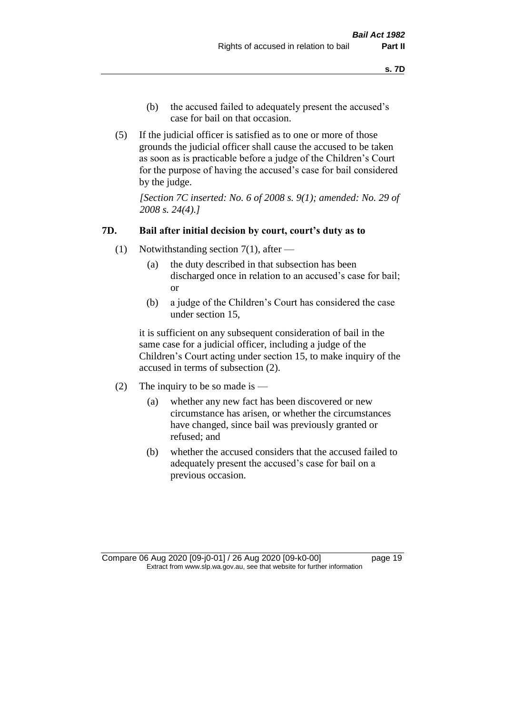- (b) the accused failed to adequately present the accused's case for bail on that occasion.
- (5) If the judicial officer is satisfied as to one or more of those grounds the judicial officer shall cause the accused to be taken as soon as is practicable before a judge of the Children's Court for the purpose of having the accused's case for bail considered by the judge.

*[Section 7C inserted: No. 6 of 2008 s. 9(1); amended: No. 29 of 2008 s. 24(4).]*

#### **7D. Bail after initial decision by court, court's duty as to**

- (1) Notwithstanding section 7(1), after
	- (a) the duty described in that subsection has been discharged once in relation to an accused's case for bail; or
	- (b) a judge of the Children's Court has considered the case under section 15,

it is sufficient on any subsequent consideration of bail in the same case for a judicial officer, including a judge of the Children's Court acting under section 15, to make inquiry of the accused in terms of subsection (2).

- (2) The inquiry to be so made is  $-$ 
	- (a) whether any new fact has been discovered or new circumstance has arisen, or whether the circumstances have changed, since bail was previously granted or refused; and
	- (b) whether the accused considers that the accused failed to adequately present the accused's case for bail on a previous occasion.

Compare 06 Aug 2020 [09-j0-01] / 26 Aug 2020 [09-k0-00] page 19 Extract from www.slp.wa.gov.au, see that website for further information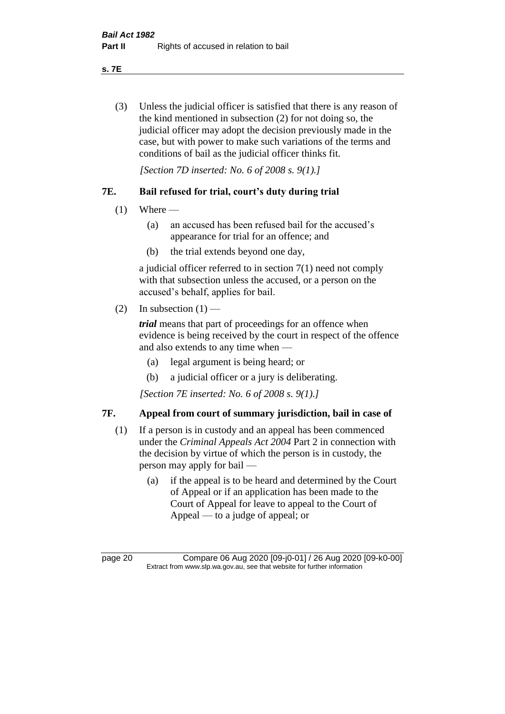**s. 7E**

(3) Unless the judicial officer is satisfied that there is any reason of the kind mentioned in subsection (2) for not doing so, the judicial officer may adopt the decision previously made in the case, but with power to make such variations of the terms and conditions of bail as the judicial officer thinks fit.

*[Section 7D inserted: No. 6 of 2008 s. 9(1).]*

# **7E. Bail refused for trial, court's duty during trial**

- $(1)$  Where
	- (a) an accused has been refused bail for the accused's appearance for trial for an offence; and
	- (b) the trial extends beyond one day,

a judicial officer referred to in section 7(1) need not comply with that subsection unless the accused, or a person on the accused's behalf, applies for bail.

(2) In subsection  $(1)$  —

*trial* means that part of proceedings for an offence when evidence is being received by the court in respect of the offence and also extends to any time when —

- (a) legal argument is being heard; or
- (b) a judicial officer or a jury is deliberating.

*[Section 7E inserted: No. 6 of 2008 s. 9(1).]*

# **7F. Appeal from court of summary jurisdiction, bail in case of**

- (1) If a person is in custody and an appeal has been commenced under the *Criminal Appeals Act 2004* Part 2 in connection with the decision by virtue of which the person is in custody, the person may apply for bail —
	- (a) if the appeal is to be heard and determined by the Court of Appeal or if an application has been made to the Court of Appeal for leave to appeal to the Court of Appeal — to a judge of appeal; or

page 20 Compare 06 Aug 2020 [09-j0-01] / 26 Aug 2020 [09-k0-00] Extract from www.slp.wa.gov.au, see that website for further information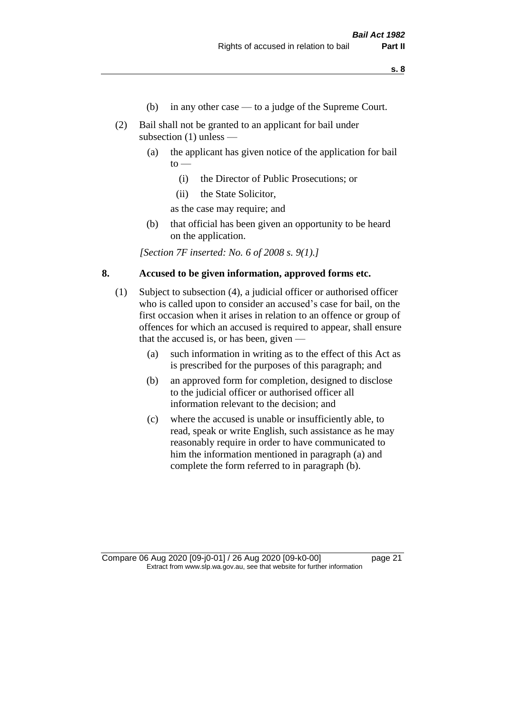- (b) in any other case to a judge of the Supreme Court.
- (2) Bail shall not be granted to an applicant for bail under subsection (1) unless —
	- (a) the applicant has given notice of the application for bail  $to -$ 
		- (i) the Director of Public Prosecutions; or
		- (ii) the State Solicitor,

as the case may require; and

(b) that official has been given an opportunity to be heard on the application.

*[Section 7F inserted: No. 6 of 2008 s. 9(1).]*

#### **8. Accused to be given information, approved forms etc.**

- (1) Subject to subsection (4), a judicial officer or authorised officer who is called upon to consider an accused's case for bail, on the first occasion when it arises in relation to an offence or group of offences for which an accused is required to appear, shall ensure that the accused is, or has been, given —
	- (a) such information in writing as to the effect of this Act as is prescribed for the purposes of this paragraph; and
	- (b) an approved form for completion, designed to disclose to the judicial officer or authorised officer all information relevant to the decision; and
	- (c) where the accused is unable or insufficiently able, to read, speak or write English, such assistance as he may reasonably require in order to have communicated to him the information mentioned in paragraph (a) and complete the form referred to in paragraph (b).

Compare 06 Aug 2020 [09-j0-01] / 26 Aug 2020 [09-k0-00] page 21 Extract from www.slp.wa.gov.au, see that website for further information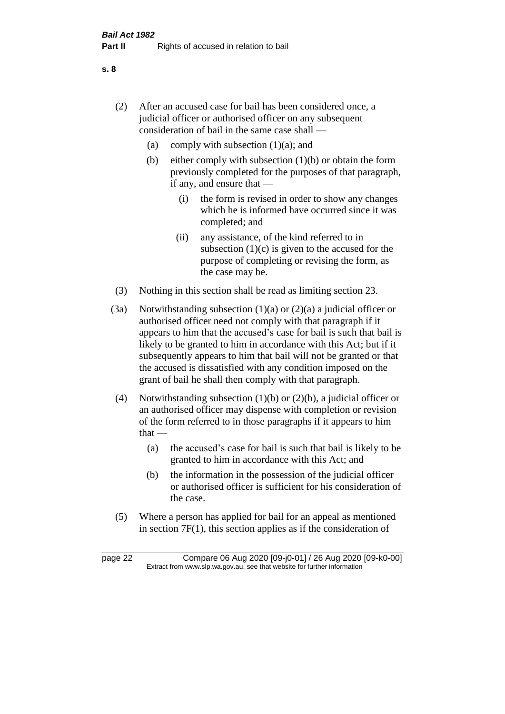- (2) After an accused case for bail has been considered once, a judicial officer or authorised officer on any subsequent consideration of bail in the same case shall —
	- (a) comply with subsection  $(1)(a)$ ; and
	- (b) either comply with subsection  $(1)(b)$  or obtain the form previously completed for the purposes of that paragraph, if any, and ensure that —
		- (i) the form is revised in order to show any changes which he is informed have occurred since it was completed; and
		- (ii) any assistance, of the kind referred to in subsection  $(1)(c)$  is given to the accused for the purpose of completing or revising the form, as the case may be.
- (3) Nothing in this section shall be read as limiting section 23.
- (3a) Notwithstanding subsection  $(1)(a)$  or  $(2)(a)$  a judicial officer or authorised officer need not comply with that paragraph if it appears to him that the accused's case for bail is such that bail is likely to be granted to him in accordance with this Act; but if it subsequently appears to him that bail will not be granted or that the accused is dissatisfied with any condition imposed on the grant of bail he shall then comply with that paragraph.
- (4) Notwithstanding subsection (1)(b) or (2)(b), a judicial officer or an authorised officer may dispense with completion or revision of the form referred to in those paragraphs if it appears to him  $that -$ 
	- (a) the accused's case for bail is such that bail is likely to be granted to him in accordance with this Act; and
	- (b) the information in the possession of the judicial officer or authorised officer is sufficient for his consideration of the case.
- (5) Where a person has applied for bail for an appeal as mentioned in section 7F(1), this section applies as if the consideration of

page 22 Compare 06 Aug 2020 [09-j0-01] / 26 Aug 2020 [09-k0-00] Extract from www.slp.wa.gov.au, see that website for further information

**s. 8**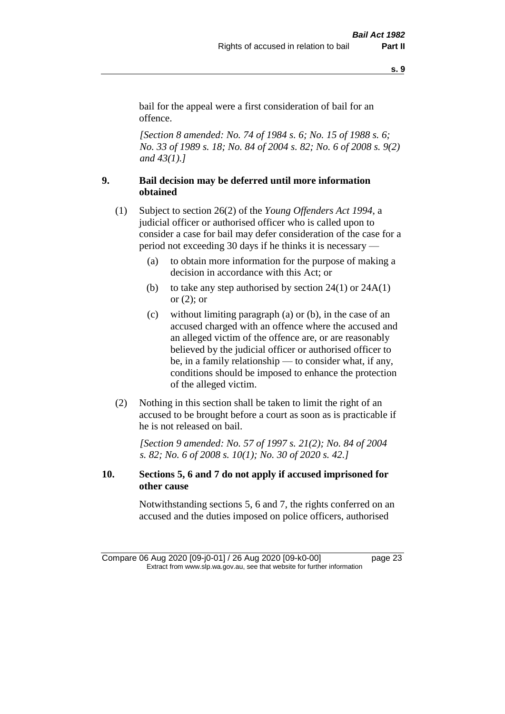bail for the appeal were a first consideration of bail for an offence.

*[Section 8 amended: No. 74 of 1984 s. 6; No. 15 of 1988 s. 6; No. 33 of 1989 s. 18; No. 84 of 2004 s. 82; No. 6 of 2008 s. 9(2) and 43(1).]* 

# **9. Bail decision may be deferred until more information obtained**

- (1) Subject to section 26(2) of the *Young Offenders Act 1994*, a judicial officer or authorised officer who is called upon to consider a case for bail may defer consideration of the case for a period not exceeding 30 days if he thinks it is necessary —
	- (a) to obtain more information for the purpose of making a decision in accordance with this Act; or
	- (b) to take any step authorised by section  $24(1)$  or  $24A(1)$ or  $(2)$ ; or
	- (c) without limiting paragraph (a) or (b), in the case of an accused charged with an offence where the accused and an alleged victim of the offence are, or are reasonably believed by the judicial officer or authorised officer to be, in a family relationship — to consider what, if any, conditions should be imposed to enhance the protection of the alleged victim.
- (2) Nothing in this section shall be taken to limit the right of an accused to be brought before a court as soon as is practicable if he is not released on bail.

*[Section 9 amended: No. 57 of 1997 s. 21(2); No. 84 of 2004 s. 82; No. 6 of 2008 s. 10(1); No. 30 of 2020 s. 42.]*

## **10. Sections 5, 6 and 7 do not apply if accused imprisoned for other cause**

Notwithstanding sections 5, 6 and 7, the rights conferred on an accused and the duties imposed on police officers, authorised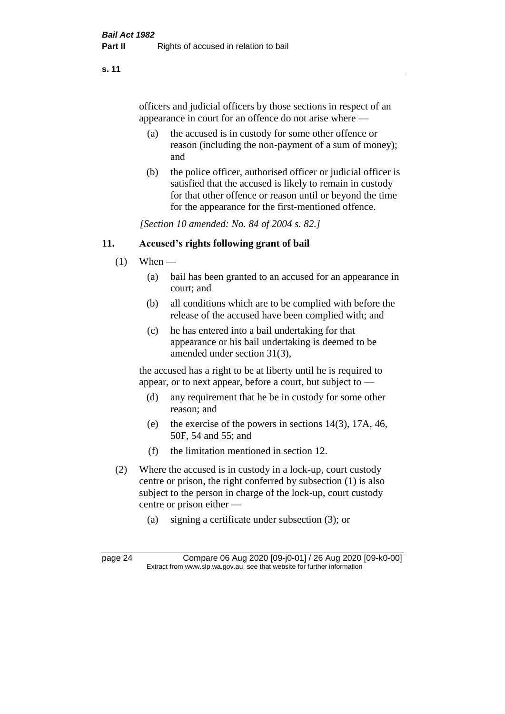officers and judicial officers by those sections in respect of an appearance in court for an offence do not arise where —

- (a) the accused is in custody for some other offence or reason (including the non-payment of a sum of money); and
- (b) the police officer, authorised officer or judicial officer is satisfied that the accused is likely to remain in custody for that other offence or reason until or beyond the time for the appearance for the first-mentioned offence.

*[Section 10 amended: No. 84 of 2004 s. 82.]*

#### **11. Accused's rights following grant of bail**

- $(1)$  When
	- (a) bail has been granted to an accused for an appearance in court; and
	- (b) all conditions which are to be complied with before the release of the accused have been complied with; and
	- (c) he has entered into a bail undertaking for that appearance or his bail undertaking is deemed to be amended under section 31(3),

the accused has a right to be at liberty until he is required to appear, or to next appear, before a court, but subject to —

- (d) any requirement that he be in custody for some other reason; and
- (e) the exercise of the powers in sections 14(3), 17A, 46, 50F, 54 and 55; and
- (f) the limitation mentioned in section 12.
- (2) Where the accused is in custody in a lock-up, court custody centre or prison, the right conferred by subsection (1) is also subject to the person in charge of the lock-up, court custody centre or prison either —
	- (a) signing a certificate under subsection (3); or

page 24 Compare 06 Aug 2020 [09-j0-01] / 26 Aug 2020 [09-k0-00] Extract from www.slp.wa.gov.au, see that website for further information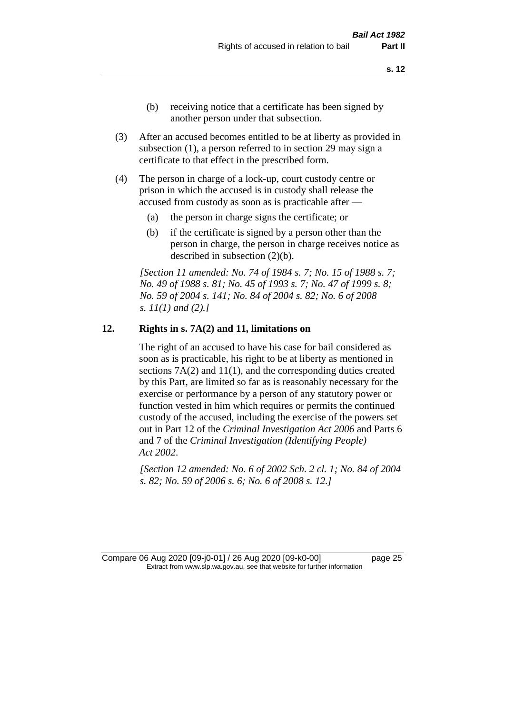- (b) receiving notice that a certificate has been signed by another person under that subsection.
- (3) After an accused becomes entitled to be at liberty as provided in subsection (1), a person referred to in section 29 may sign a certificate to that effect in the prescribed form.
- (4) The person in charge of a lock-up, court custody centre or prison in which the accused is in custody shall release the accused from custody as soon as is practicable after —
	- (a) the person in charge signs the certificate; or
	- (b) if the certificate is signed by a person other than the person in charge, the person in charge receives notice as described in subsection (2)(b).

*[Section 11 amended: No. 74 of 1984 s. 7; No. 15 of 1988 s. 7; No. 49 of 1988 s. 81; No. 45 of 1993 s. 7; No. 47 of 1999 s. 8; No. 59 of 2004 s. 141; No. 84 of 2004 s. 82; No. 6 of 2008 s. 11(1) and (2).]* 

#### **12. Rights in s. 7A(2) and 11, limitations on**

The right of an accused to have his case for bail considered as soon as is practicable, his right to be at liberty as mentioned in sections 7A(2) and 11(1), and the corresponding duties created by this Part, are limited so far as is reasonably necessary for the exercise or performance by a person of any statutory power or function vested in him which requires or permits the continued custody of the accused, including the exercise of the powers set out in Part 12 of the *Criminal Investigation Act 2006* and Parts 6 and 7 of the *Criminal Investigation (Identifying People) Act 2002*.

*[Section 12 amended: No. 6 of 2002 Sch. 2 cl. 1; No. 84 of 2004 s. 82; No. 59 of 2006 s. 6; No. 6 of 2008 s. 12.]*

Compare 06 Aug 2020 [09-j0-01] / 26 Aug 2020 [09-k0-00] page 25 Extract from www.slp.wa.gov.au, see that website for further information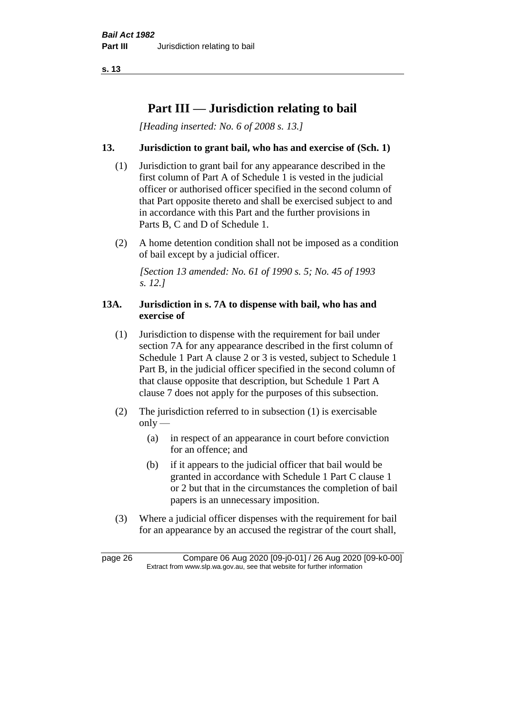# **Part III — Jurisdiction relating to bail**

*[Heading inserted: No. 6 of 2008 s. 13.]*

# **13. Jurisdiction to grant bail, who has and exercise of (Sch. 1)**

- (1) Jurisdiction to grant bail for any appearance described in the first column of Part A of Schedule 1 is vested in the judicial officer or authorised officer specified in the second column of that Part opposite thereto and shall be exercised subject to and in accordance with this Part and the further provisions in Parts B, C and D of Schedule 1.
- (2) A home detention condition shall not be imposed as a condition of bail except by a judicial officer.

*[Section 13 amended: No. 61 of 1990 s. 5; No. 45 of 1993 s. 12.]* 

#### **13A. Jurisdiction in s. 7A to dispense with bail, who has and exercise of**

- (1) Jurisdiction to dispense with the requirement for bail under section 7A for any appearance described in the first column of Schedule 1 Part A clause 2 or 3 is vested, subject to Schedule 1 Part B, in the judicial officer specified in the second column of that clause opposite that description, but Schedule 1 Part A clause 7 does not apply for the purposes of this subsection.
- (2) The jurisdiction referred to in subsection (1) is exercisable  $only$ —
	- (a) in respect of an appearance in court before conviction for an offence; and
	- (b) if it appears to the judicial officer that bail would be granted in accordance with Schedule 1 Part C clause 1 or 2 but that in the circumstances the completion of bail papers is an unnecessary imposition.
- (3) Where a judicial officer dispenses with the requirement for bail for an appearance by an accused the registrar of the court shall,

page 26 Compare 06 Aug 2020 [09-j0-01] / 26 Aug 2020 [09-k0-00] Extract from www.slp.wa.gov.au, see that website for further information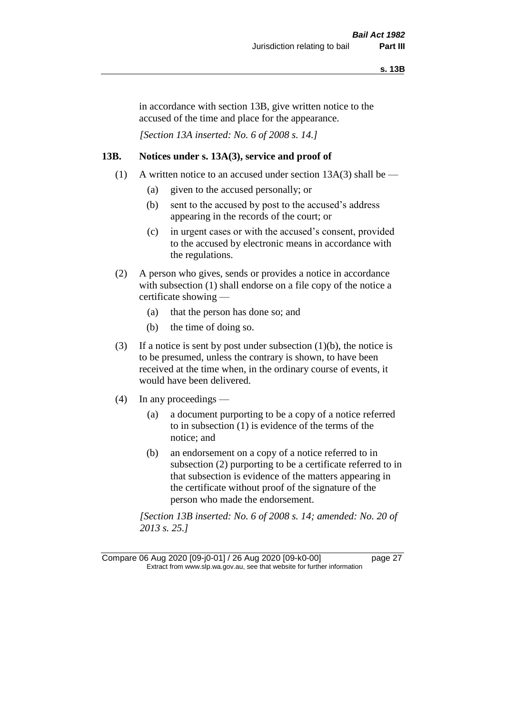in accordance with section 13B, give written notice to the accused of the time and place for the appearance.

*[Section 13A inserted: No. 6 of 2008 s. 14.]*

#### **13B. Notices under s. 13A(3), service and proof of**

- (1) A written notice to an accused under section  $13A(3)$  shall be
	- (a) given to the accused personally; or
	- (b) sent to the accused by post to the accused's address appearing in the records of the court; or
	- (c) in urgent cases or with the accused's consent, provided to the accused by electronic means in accordance with the regulations.
- (2) A person who gives, sends or provides a notice in accordance with subsection (1) shall endorse on a file copy of the notice a certificate showing —
	- (a) that the person has done so; and
	- (b) the time of doing so.
- (3) If a notice is sent by post under subsection  $(1)(b)$ , the notice is to be presumed, unless the contrary is shown, to have been received at the time when, in the ordinary course of events, it would have been delivered.
- (4) In any proceedings
	- (a) a document purporting to be a copy of a notice referred to in subsection (1) is evidence of the terms of the notice; and
	- (b) an endorsement on a copy of a notice referred to in subsection (2) purporting to be a certificate referred to in that subsection is evidence of the matters appearing in the certificate without proof of the signature of the person who made the endorsement.

*[Section 13B inserted: No. 6 of 2008 s. 14; amended: No. 20 of 2013 s. 25.]*

Compare 06 Aug 2020 [09-j0-01] / 26 Aug 2020 [09-k0-00] page 27 Extract from www.slp.wa.gov.au, see that website for further information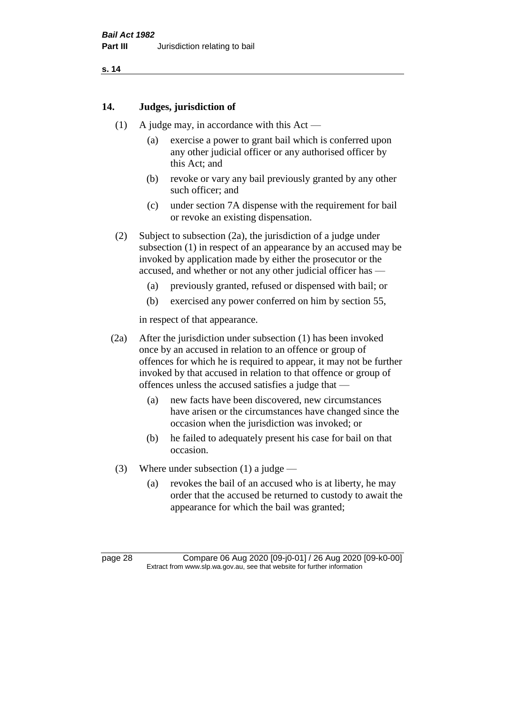#### **14. Judges, jurisdiction of**

- (1) A judge may, in accordance with this Act
	- (a) exercise a power to grant bail which is conferred upon any other judicial officer or any authorised officer by this Act; and
	- (b) revoke or vary any bail previously granted by any other such officer; and
	- (c) under section 7A dispense with the requirement for bail or revoke an existing dispensation.
- (2) Subject to subsection (2a), the jurisdiction of a judge under subsection (1) in respect of an appearance by an accused may be invoked by application made by either the prosecutor or the accused, and whether or not any other judicial officer has —
	- (a) previously granted, refused or dispensed with bail; or
	- (b) exercised any power conferred on him by section 55,

in respect of that appearance.

- (2a) After the jurisdiction under subsection (1) has been invoked once by an accused in relation to an offence or group of offences for which he is required to appear, it may not be further invoked by that accused in relation to that offence or group of offences unless the accused satisfies a judge that —
	- (a) new facts have been discovered, new circumstances have arisen or the circumstances have changed since the occasion when the jurisdiction was invoked; or
	- (b) he failed to adequately present his case for bail on that occasion.
- (3) Where under subsection (1) a judge
	- (a) revokes the bail of an accused who is at liberty, he may order that the accused be returned to custody to await the appearance for which the bail was granted;

page 28 Compare 06 Aug 2020 [09-j0-01] / 26 Aug 2020 [09-k0-00] Extract from www.slp.wa.gov.au, see that website for further information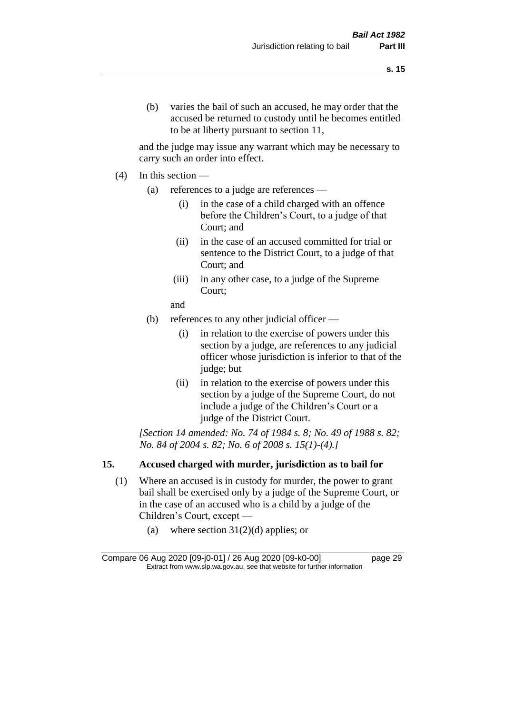and the judge may issue any warrant which may be necessary to carry such an order into effect.

- (4) In this section
	- (a) references to a judge are references
		- (i) in the case of a child charged with an offence before the Children's Court, to a judge of that Court; and
		- (ii) in the case of an accused committed for trial or sentence to the District Court, to a judge of that Court; and
		- (iii) in any other case, to a judge of the Supreme Court;
		- and
	- (b) references to any other judicial officer
		- (i) in relation to the exercise of powers under this section by a judge, are references to any judicial officer whose jurisdiction is inferior to that of the judge; but
		- (ii) in relation to the exercise of powers under this section by a judge of the Supreme Court, do not include a judge of the Children's Court or a judge of the District Court.

*[Section 14 amended: No. 74 of 1984 s. 8; No. 49 of 1988 s. 82; No. 84 of 2004 s. 82; No. 6 of 2008 s. 15(1)-(4).]* 

# **15. Accused charged with murder, jurisdiction as to bail for**

- (1) Where an accused is in custody for murder, the power to grant bail shall be exercised only by a judge of the Supreme Court, or in the case of an accused who is a child by a judge of the Children's Court, except —
	- (a) where section  $31(2)(d)$  applies; or

Compare 06 Aug 2020 [09-j0-01] / 26 Aug 2020 [09-k0-00] page 29 Extract from www.slp.wa.gov.au, see that website for further information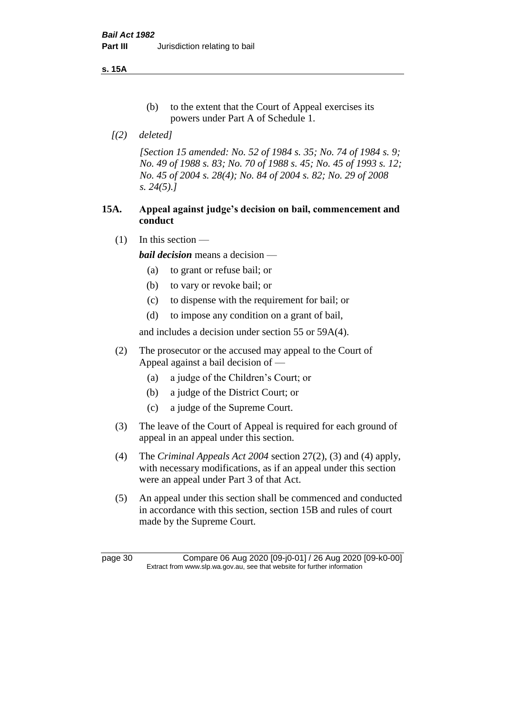**s. 15A**

- (b) to the extent that the Court of Appeal exercises its powers under Part A of Schedule 1.
- *[(2) deleted]*

*[Section 15 amended: No. 52 of 1984 s. 35; No. 74 of 1984 s. 9; No. 49 of 1988 s. 83; No. 70 of 1988 s. 45; No. 45 of 1993 s. 12; No. 45 of 2004 s. 28(4); No. 84 of 2004 s. 82; No. 29 of 2008 s. 24(5).]* 

## **15A. Appeal against judge's decision on bail, commencement and conduct**

 $(1)$  In this section —

*bail decision* means a decision —

- (a) to grant or refuse bail; or
- (b) to vary or revoke bail; or
- (c) to dispense with the requirement for bail; or
- (d) to impose any condition on a grant of bail,

and includes a decision under section 55 or 59A(4).

- (2) The prosecutor or the accused may appeal to the Court of Appeal against a bail decision of —
	- (a) a judge of the Children's Court; or
	- (b) a judge of the District Court; or
	- (c) a judge of the Supreme Court.
- (3) The leave of the Court of Appeal is required for each ground of appeal in an appeal under this section.
- (4) The *Criminal Appeals Act 2004* section 27(2), (3) and (4) apply, with necessary modifications, as if an appeal under this section were an appeal under Part 3 of that Act.
- (5) An appeal under this section shall be commenced and conducted in accordance with this section, section 15B and rules of court made by the Supreme Court.

page 30 Compare 06 Aug 2020 [09-j0-01] / 26 Aug 2020 [09-k0-00] Extract from www.slp.wa.gov.au, see that website for further information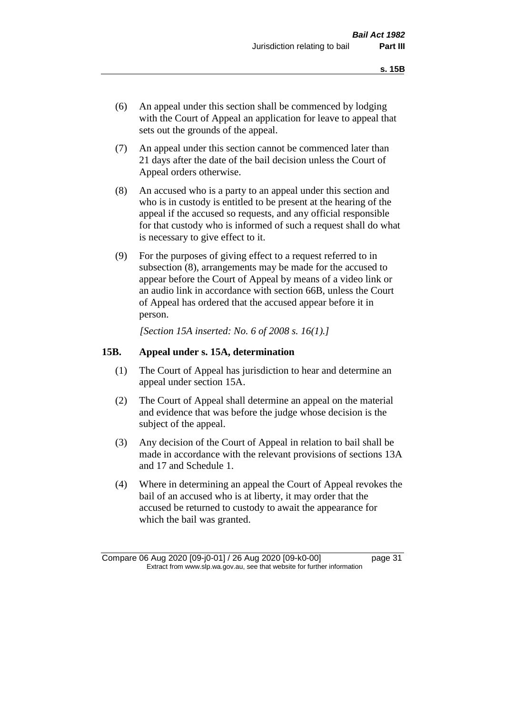- (6) An appeal under this section shall be commenced by lodging with the Court of Appeal an application for leave to appeal that sets out the grounds of the appeal.
- (7) An appeal under this section cannot be commenced later than 21 days after the date of the bail decision unless the Court of Appeal orders otherwise.
- (8) An accused who is a party to an appeal under this section and who is in custody is entitled to be present at the hearing of the appeal if the accused so requests, and any official responsible for that custody who is informed of such a request shall do what is necessary to give effect to it.
- (9) For the purposes of giving effect to a request referred to in subsection (8), arrangements may be made for the accused to appear before the Court of Appeal by means of a video link or an audio link in accordance with section 66B, unless the Court of Appeal has ordered that the accused appear before it in person.

*[Section 15A inserted: No. 6 of 2008 s. 16(1).]*

#### **15B. Appeal under s. 15A, determination**

- (1) The Court of Appeal has jurisdiction to hear and determine an appeal under section 15A.
- (2) The Court of Appeal shall determine an appeal on the material and evidence that was before the judge whose decision is the subject of the appeal.
- (3) Any decision of the Court of Appeal in relation to bail shall be made in accordance with the relevant provisions of sections 13A and 17 and Schedule 1.
- (4) Where in determining an appeal the Court of Appeal revokes the bail of an accused who is at liberty, it may order that the accused be returned to custody to await the appearance for which the bail was granted.

Compare 06 Aug 2020 [09-j0-01] / 26 Aug 2020 [09-k0-00] page 31 Extract from www.slp.wa.gov.au, see that website for further information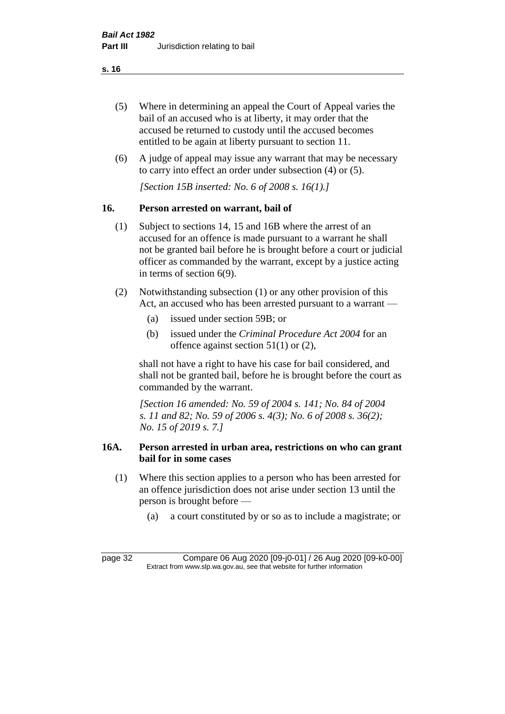- (5) Where in determining an appeal the Court of Appeal varies the bail of an accused who is at liberty, it may order that the accused be returned to custody until the accused becomes entitled to be again at liberty pursuant to section 11.
- (6) A judge of appeal may issue any warrant that may be necessary to carry into effect an order under subsection (4) or (5).

*[Section 15B inserted: No. 6 of 2008 s. 16(1).]*

## **16. Person arrested on warrant, bail of**

- (1) Subject to sections 14, 15 and 16B where the arrest of an accused for an offence is made pursuant to a warrant he shall not be granted bail before he is brought before a court or judicial officer as commanded by the warrant, except by a justice acting in terms of section 6(9).
- (2) Notwithstanding subsection (1) or any other provision of this Act, an accused who has been arrested pursuant to a warrant —
	- (a) issued under section 59B; or
	- (b) issued under the *Criminal Procedure Act 2004* for an offence against section 51(1) or (2),

shall not have a right to have his case for bail considered, and shall not be granted bail, before he is brought before the court as commanded by the warrant.

*[Section 16 amended: No. 59 of 2004 s. 141; No. 84 of 2004 s. 11 and 82; No. 59 of 2006 s. 4(3); No. 6 of 2008 s. 36(2); No. 15 of 2019 s. 7.]*

# **16A. Person arrested in urban area, restrictions on who can grant bail for in some cases**

- (1) Where this section applies to a person who has been arrested for an offence jurisdiction does not arise under section 13 until the person is brought before —
	- (a) a court constituted by or so as to include a magistrate; or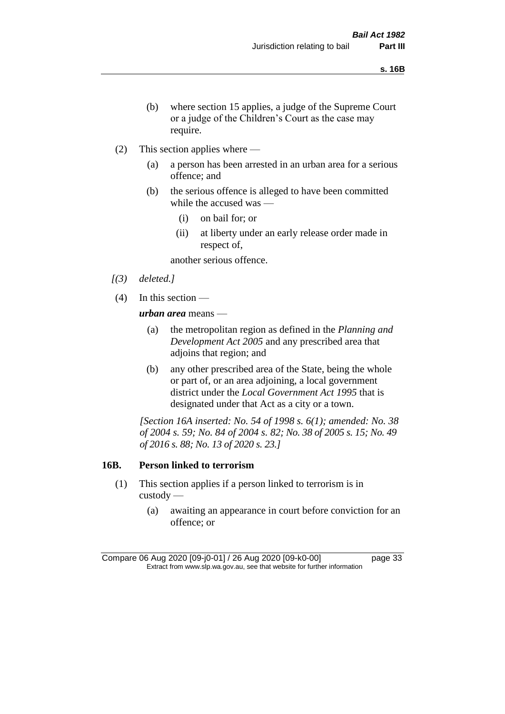- (b) where section 15 applies, a judge of the Supreme Court or a judge of the Children's Court as the case may require.
- (2) This section applies where
	- (a) a person has been arrested in an urban area for a serious offence; and
	- (b) the serious offence is alleged to have been committed while the accused was —
		- (i) on bail for; or
		- (ii) at liberty under an early release order made in respect of,

another serious offence.

- *[(3) deleted.]*
- (4) In this section —

*urban area* means —

- (a) the metropolitan region as defined in the *Planning and Development Act 2005* and any prescribed area that adjoins that region; and
- (b) any other prescribed area of the State, being the whole or part of, or an area adjoining, a local government district under the *Local Government Act 1995* that is designated under that Act as a city or a town.

*[Section 16A inserted: No. 54 of 1998 s. 6(1); amended: No. 38 of 2004 s. 59; No. 84 of 2004 s. 82; No. 38 of 2005 s. 15; No. 49 of 2016 s. 88; No. 13 of 2020 s. 23.]*

#### **16B. Person linked to terrorism**

- (1) This section applies if a person linked to terrorism is in custody —
	- (a) awaiting an appearance in court before conviction for an offence; or

Compare 06 Aug 2020 [09-j0-01] / 26 Aug 2020 [09-k0-00] page 33 Extract from www.slp.wa.gov.au, see that website for further information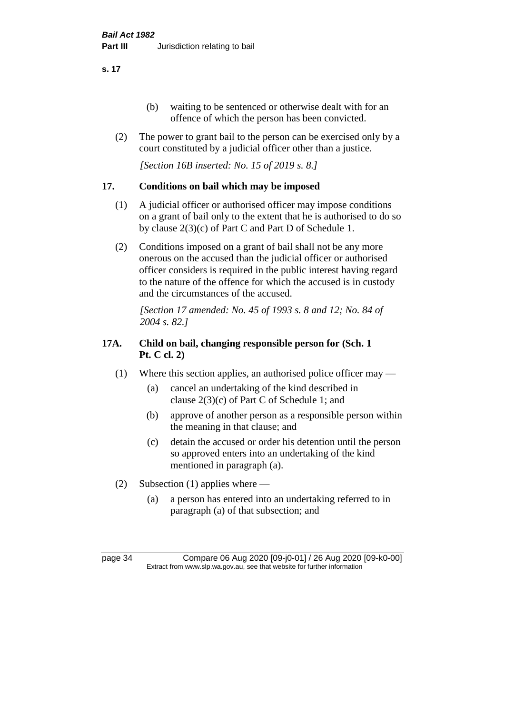- (b) waiting to be sentenced or otherwise dealt with for an offence of which the person has been convicted.
- (2) The power to grant bail to the person can be exercised only by a court constituted by a judicial officer other than a justice.

*[Section 16B inserted: No. 15 of 2019 s. 8.]*

## **17. Conditions on bail which may be imposed**

- (1) A judicial officer or authorised officer may impose conditions on a grant of bail only to the extent that he is authorised to do so by clause 2(3)(c) of Part C and Part D of Schedule 1.
- (2) Conditions imposed on a grant of bail shall not be any more onerous on the accused than the judicial officer or authorised officer considers is required in the public interest having regard to the nature of the offence for which the accused is in custody and the circumstances of the accused.

*[Section 17 amended: No. 45 of 1993 s. 8 and 12; No. 84 of 2004 s. 82.]* 

# **17A. Child on bail, changing responsible person for (Sch. 1 Pt. C cl. 2)**

- (1) Where this section applies, an authorised police officer may
	- (a) cancel an undertaking of the kind described in clause 2(3)(c) of Part C of Schedule 1; and
	- (b) approve of another person as a responsible person within the meaning in that clause; and
	- (c) detain the accused or order his detention until the person so approved enters into an undertaking of the kind mentioned in paragraph (a).
- (2) Subsection (1) applies where
	- (a) a person has entered into an undertaking referred to in paragraph (a) of that subsection; and

page 34 Compare 06 Aug 2020 [09-j0-01] / 26 Aug 2020 [09-k0-00] Extract from www.slp.wa.gov.au, see that website for further information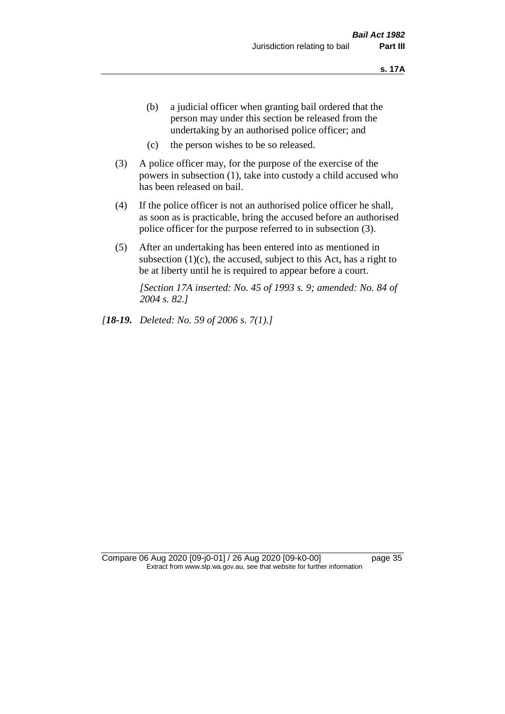- (b) a judicial officer when granting bail ordered that the person may under this section be released from the undertaking by an authorised police officer; and
- (c) the person wishes to be so released.
- (3) A police officer may, for the purpose of the exercise of the powers in subsection (1), take into custody a child accused who has been released on bail.
- (4) If the police officer is not an authorised police officer he shall, as soon as is practicable, bring the accused before an authorised police officer for the purpose referred to in subsection (3).
- (5) After an undertaking has been entered into as mentioned in subsection  $(1)(c)$ , the accused, subject to this Act, has a right to be at liberty until he is required to appear before a court.

*[Section 17A inserted: No. 45 of 1993 s. 9; amended: No. 84 of 2004 s. 82.]* 

*[18-19. Deleted: No. 59 of 2006 s. 7(1).]*

Compare 06 Aug 2020 [09-j0-01] / 26 Aug 2020 [09-k0-00] page 35 Extract from www.slp.wa.gov.au, see that website for further information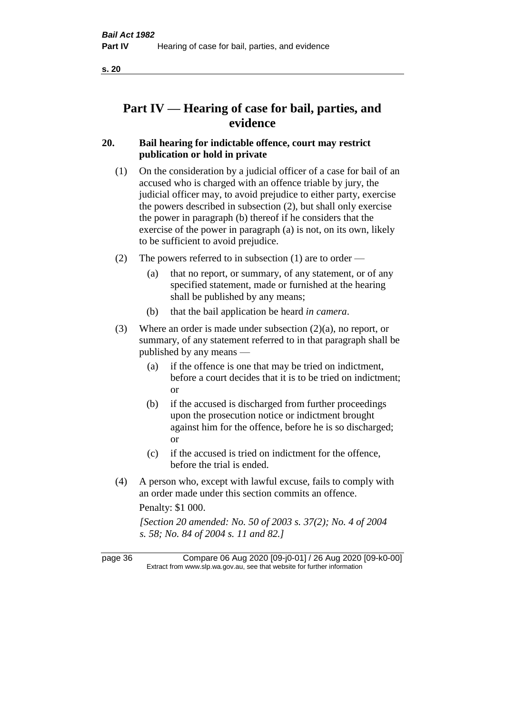# **Part IV — Hearing of case for bail, parties, and evidence**

# **20. Bail hearing for indictable offence, court may restrict publication or hold in private**

- (1) On the consideration by a judicial officer of a case for bail of an accused who is charged with an offence triable by jury, the judicial officer may, to avoid prejudice to either party, exercise the powers described in subsection (2), but shall only exercise the power in paragraph (b) thereof if he considers that the exercise of the power in paragraph (a) is not, on its own, likely to be sufficient to avoid prejudice.
- (2) The powers referred to in subsection (1) are to order
	- (a) that no report, or summary, of any statement, or of any specified statement, made or furnished at the hearing shall be published by any means;
	- (b) that the bail application be heard *in camera*.
- (3) Where an order is made under subsection (2)(a), no report, or summary, of any statement referred to in that paragraph shall be published by any means —
	- (a) if the offence is one that may be tried on indictment, before a court decides that it is to be tried on indictment; or
	- (b) if the accused is discharged from further proceedings upon the prosecution notice or indictment brought against him for the offence, before he is so discharged; or
	- (c) if the accused is tried on indictment for the offence, before the trial is ended.
- (4) A person who, except with lawful excuse, fails to comply with an order made under this section commits an offence.

Penalty: \$1 000.

*[Section 20 amended: No. 50 of 2003 s. 37(2); No. 4 of 2004 s. 58; No. 84 of 2004 s. 11 and 82.]*

page 36 Compare 06 Aug 2020 [09-j0-01] / 26 Aug 2020 [09-k0-00] Extract from www.slp.wa.gov.au, see that website for further information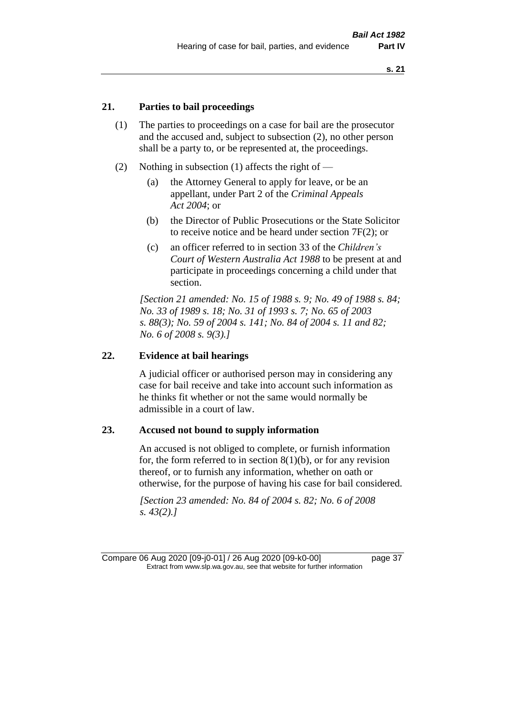# **21. Parties to bail proceedings**

- (1) The parties to proceedings on a case for bail are the prosecutor and the accused and, subject to subsection (2), no other person shall be a party to, or be represented at, the proceedings.
- (2) Nothing in subsection (1) affects the right of
	- (a) the Attorney General to apply for leave, or be an appellant, under Part 2 of the *Criminal Appeals Act 2004*; or
	- (b) the Director of Public Prosecutions or the State Solicitor to receive notice and be heard under section 7F(2); or
	- (c) an officer referred to in section 33 of the *Children's Court of Western Australia Act 1988* to be present at and participate in proceedings concerning a child under that section.

*[Section 21 amended: No. 15 of 1988 s. 9; No. 49 of 1988 s. 84; No. 33 of 1989 s. 18; No. 31 of 1993 s. 7; No. 65 of 2003 s. 88(3); No. 59 of 2004 s. 141; No. 84 of 2004 s. 11 and 82; No. 6 of 2008 s. 9(3).]* 

#### **22. Evidence at bail hearings**

A judicial officer or authorised person may in considering any case for bail receive and take into account such information as he thinks fit whether or not the same would normally be admissible in a court of law.

#### **23. Accused not bound to supply information**

An accused is not obliged to complete, or furnish information for, the form referred to in section  $8(1)(b)$ , or for any revision thereof, or to furnish any information, whether on oath or otherwise, for the purpose of having his case for bail considered.

*[Section 23 amended: No. 84 of 2004 s. 82; No. 6 of 2008 s. 43(2).]* 

Compare 06 Aug 2020 [09-j0-01] / 26 Aug 2020 [09-k0-00] page 37 Extract from www.slp.wa.gov.au, see that website for further information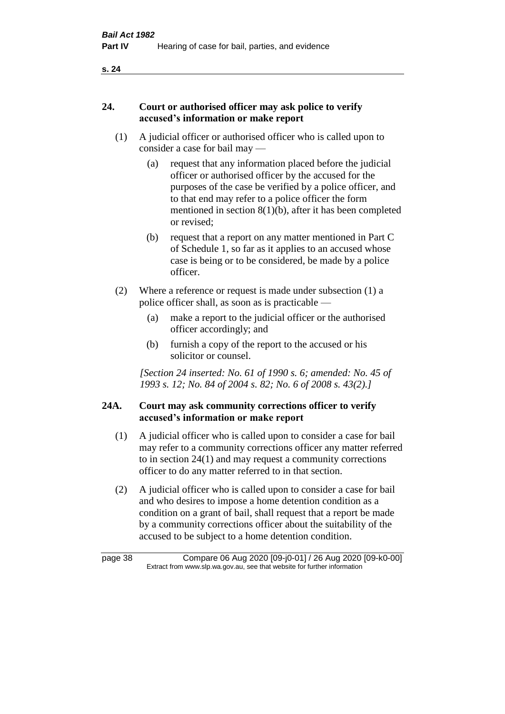# **24. Court or authorised officer may ask police to verify accused's information or make report**

- (1) A judicial officer or authorised officer who is called upon to consider a case for bail may —
	- (a) request that any information placed before the judicial officer or authorised officer by the accused for the purposes of the case be verified by a police officer, and to that end may refer to a police officer the form mentioned in section 8(1)(b), after it has been completed or revised;
	- (b) request that a report on any matter mentioned in Part C of Schedule 1, so far as it applies to an accused whose case is being or to be considered, be made by a police officer.
- (2) Where a reference or request is made under subsection (1) a police officer shall, as soon as is practicable —
	- (a) make a report to the judicial officer or the authorised officer accordingly; and
	- (b) furnish a copy of the report to the accused or his solicitor or counsel.

*[Section 24 inserted: No. 61 of 1990 s. 6; amended: No. 45 of 1993 s. 12; No. 84 of 2004 s. 82; No. 6 of 2008 s. 43(2).]* 

# **24A. Court may ask community corrections officer to verify accused's information or make report**

- (1) A judicial officer who is called upon to consider a case for bail may refer to a community corrections officer any matter referred to in section 24(1) and may request a community corrections officer to do any matter referred to in that section.
- (2) A judicial officer who is called upon to consider a case for bail and who desires to impose a home detention condition as a condition on a grant of bail, shall request that a report be made by a community corrections officer about the suitability of the accused to be subject to a home detention condition.

page 38 Compare 06 Aug 2020 [09-j0-01] / 26 Aug 2020 [09-k0-00] Extract from www.slp.wa.gov.au, see that website for further information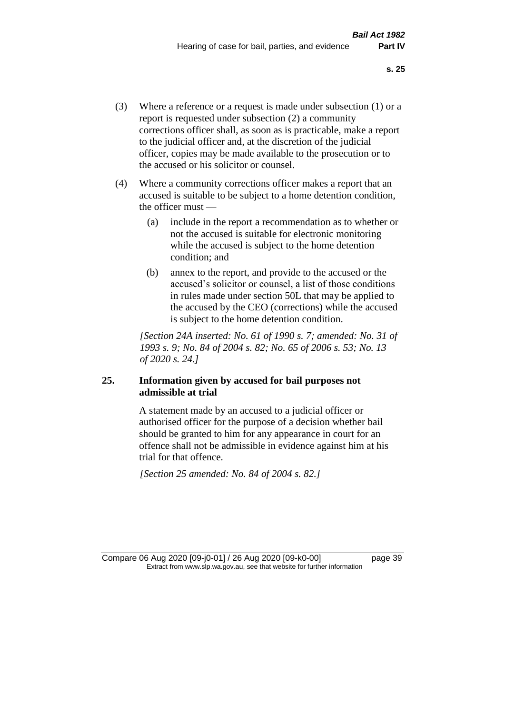- (3) Where a reference or a request is made under subsection (1) or a report is requested under subsection (2) a community corrections officer shall, as soon as is practicable, make a report to the judicial officer and, at the discretion of the judicial officer, copies may be made available to the prosecution or to the accused or his solicitor or counsel.
- (4) Where a community corrections officer makes a report that an accused is suitable to be subject to a home detention condition, the officer must —
	- (a) include in the report a recommendation as to whether or not the accused is suitable for electronic monitoring while the accused is subject to the home detention condition; and
	- (b) annex to the report, and provide to the accused or the accused's solicitor or counsel, a list of those conditions in rules made under section 50L that may be applied to the accused by the CEO (corrections) while the accused is subject to the home detention condition.

*[Section 24A inserted: No. 61 of 1990 s. 7; amended: No. 31 of 1993 s. 9; No. 84 of 2004 s. 82; No. 65 of 2006 s. 53; No. 13 of 2020 s. 24.]* 

# **25. Information given by accused for bail purposes not admissible at trial**

A statement made by an accused to a judicial officer or authorised officer for the purpose of a decision whether bail should be granted to him for any appearance in court for an offence shall not be admissible in evidence against him at his trial for that offence.

*[Section 25 amended: No. 84 of 2004 s. 82.]* 

Compare 06 Aug 2020 [09-j0-01] / 26 Aug 2020 [09-k0-00] page 39 Extract from www.slp.wa.gov.au, see that website for further information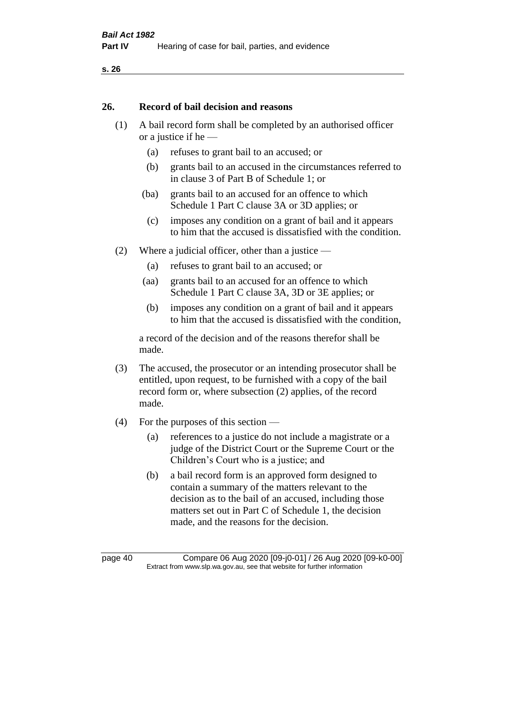#### **26. Record of bail decision and reasons**

- (1) A bail record form shall be completed by an authorised officer or a justice if he —
	- (a) refuses to grant bail to an accused; or
	- (b) grants bail to an accused in the circumstances referred to in clause 3 of Part B of Schedule 1; or
	- (ba) grants bail to an accused for an offence to which Schedule 1 Part C clause 3A or 3D applies; or
	- (c) imposes any condition on a grant of bail and it appears to him that the accused is dissatisfied with the condition.
- (2) Where a judicial officer, other than a justice
	- (a) refuses to grant bail to an accused; or
	- (aa) grants bail to an accused for an offence to which Schedule 1 Part C clause 3A, 3D or 3E applies; or
	- (b) imposes any condition on a grant of bail and it appears to him that the accused is dissatisfied with the condition,

a record of the decision and of the reasons therefor shall be made.

- (3) The accused, the prosecutor or an intending prosecutor shall be entitled, upon request, to be furnished with a copy of the bail record form or, where subsection (2) applies, of the record made.
- (4) For the purposes of this section
	- (a) references to a justice do not include a magistrate or a judge of the District Court or the Supreme Court or the Children's Court who is a justice; and
	- (b) a bail record form is an approved form designed to contain a summary of the matters relevant to the decision as to the bail of an accused, including those matters set out in Part C of Schedule 1, the decision made, and the reasons for the decision.

page 40 Compare 06 Aug 2020 [09-j0-01] / 26 Aug 2020 [09-k0-00] Extract from www.slp.wa.gov.au, see that website for further information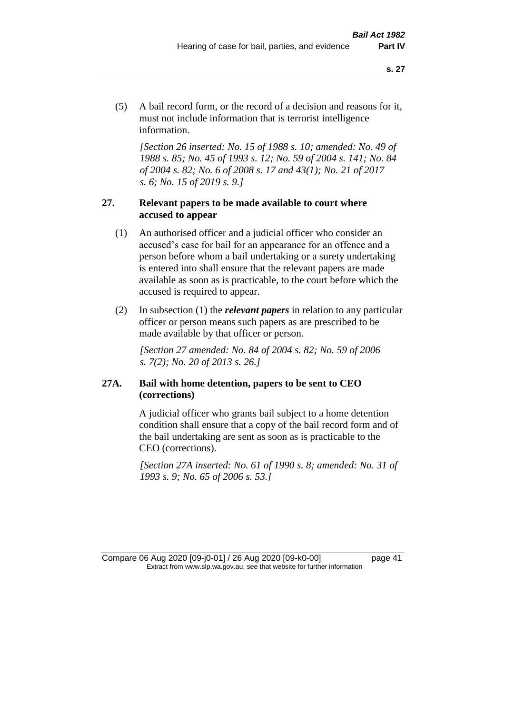(5) A bail record form, or the record of a decision and reasons for it, must not include information that is terrorist intelligence information.

*[Section 26 inserted: No. 15 of 1988 s. 10; amended: No. 49 of 1988 s. 85; No. 45 of 1993 s. 12; No. 59 of 2004 s. 141; No. 84 of 2004 s. 82; No. 6 of 2008 s. 17 and 43(1); No. 21 of 2017 s. 6; No. 15 of 2019 s. 9.]* 

# **27. Relevant papers to be made available to court where accused to appear**

- (1) An authorised officer and a judicial officer who consider an accused's case for bail for an appearance for an offence and a person before whom a bail undertaking or a surety undertaking is entered into shall ensure that the relevant papers are made available as soon as is practicable, to the court before which the accused is required to appear.
- (2) In subsection (1) the *relevant papers* in relation to any particular officer or person means such papers as are prescribed to be made available by that officer or person.

*[Section 27 amended: No. 84 of 2004 s. 82; No. 59 of 2006 s. 7(2); No. 20 of 2013 s. 26.]* 

# **27A. Bail with home detention, papers to be sent to CEO (corrections)**

A judicial officer who grants bail subject to a home detention condition shall ensure that a copy of the bail record form and of the bail undertaking are sent as soon as is practicable to the CEO (corrections).

*[Section 27A inserted: No. 61 of 1990 s. 8; amended: No. 31 of 1993 s. 9; No. 65 of 2006 s. 53.]* 

Compare 06 Aug 2020 [09-j0-01] / 26 Aug 2020 [09-k0-00] page 41 Extract from www.slp.wa.gov.au, see that website for further information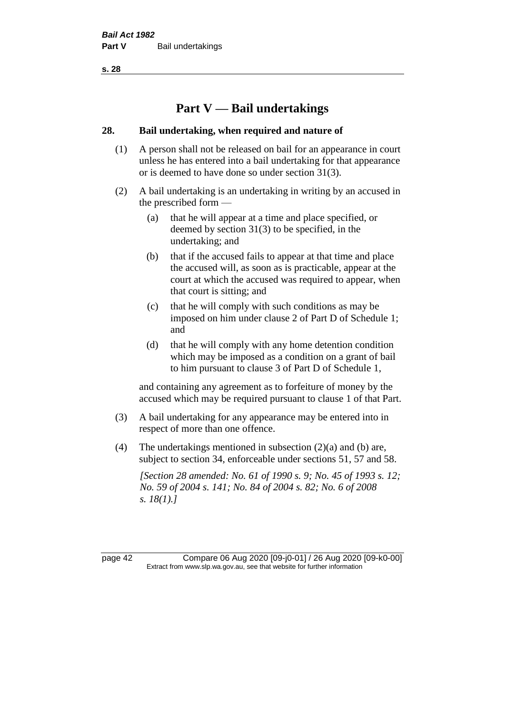# **Part V — Bail undertakings**

## **28. Bail undertaking, when required and nature of**

- (1) A person shall not be released on bail for an appearance in court unless he has entered into a bail undertaking for that appearance or is deemed to have done so under section 31(3).
- (2) A bail undertaking is an undertaking in writing by an accused in the prescribed form —
	- (a) that he will appear at a time and place specified, or deemed by section 31(3) to be specified, in the undertaking; and
	- (b) that if the accused fails to appear at that time and place the accused will, as soon as is practicable, appear at the court at which the accused was required to appear, when that court is sitting; and
	- (c) that he will comply with such conditions as may be imposed on him under clause 2 of Part D of Schedule 1; and
	- (d) that he will comply with any home detention condition which may be imposed as a condition on a grant of bail to him pursuant to clause 3 of Part D of Schedule 1,

and containing any agreement as to forfeiture of money by the accused which may be required pursuant to clause 1 of that Part.

- (3) A bail undertaking for any appearance may be entered into in respect of more than one offence.
- (4) The undertakings mentioned in subsection (2)(a) and (b) are, subject to section 34, enforceable under sections 51, 57 and 58.

*[Section 28 amended: No. 61 of 1990 s. 9; No. 45 of 1993 s. 12; No. 59 of 2004 s. 141; No. 84 of 2004 s. 82; No. 6 of 2008 s. 18(1).]* 

page 42 Compare 06 Aug 2020 [09-j0-01] / 26 Aug 2020 [09-k0-00] Extract from www.slp.wa.gov.au, see that website for further information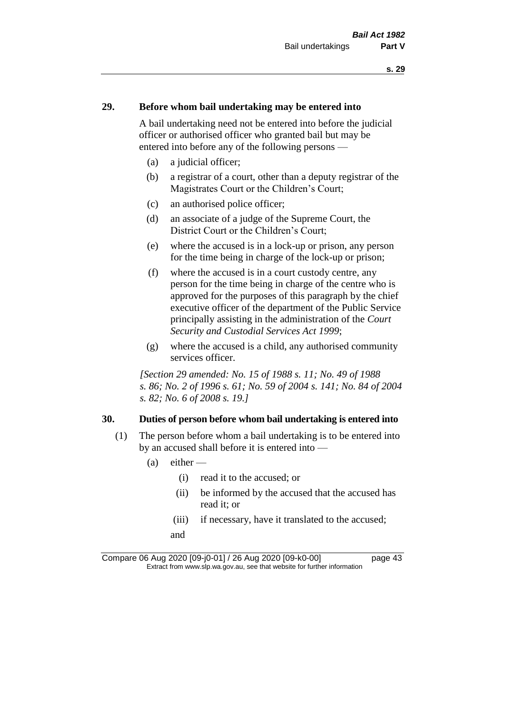## **29. Before whom bail undertaking may be entered into**

A bail undertaking need not be entered into before the judicial officer or authorised officer who granted bail but may be entered into before any of the following persons —

- (a) a judicial officer;
- (b) a registrar of a court, other than a deputy registrar of the Magistrates Court or the Children's Court;
- (c) an authorised police officer;
- (d) an associate of a judge of the Supreme Court, the District Court or the Children's Court;
- (e) where the accused is in a lock-up or prison, any person for the time being in charge of the lock-up or prison;
- (f) where the accused is in a court custody centre, any person for the time being in charge of the centre who is approved for the purposes of this paragraph by the chief executive officer of the department of the Public Service principally assisting in the administration of the *Court Security and Custodial Services Act 1999*;
- (g) where the accused is a child, any authorised community services officer.

*[Section 29 amended: No. 15 of 1988 s. 11; No. 49 of 1988 s. 86; No. 2 of 1996 s. 61; No. 59 of 2004 s. 141; No. 84 of 2004 s. 82; No. 6 of 2008 s. 19.]* 

#### **30. Duties of person before whom bail undertaking is entered into**

- (1) The person before whom a bail undertaking is to be entered into by an accused shall before it is entered into —
	- $(a)$  either
		- (i) read it to the accused; or
		- (ii) be informed by the accused that the accused has read it; or
		- (iii) if necessary, have it translated to the accused; and

Compare 06 Aug 2020 [09-j0-01] / 26 Aug 2020 [09-k0-00] page 43 Extract from www.slp.wa.gov.au, see that website for further information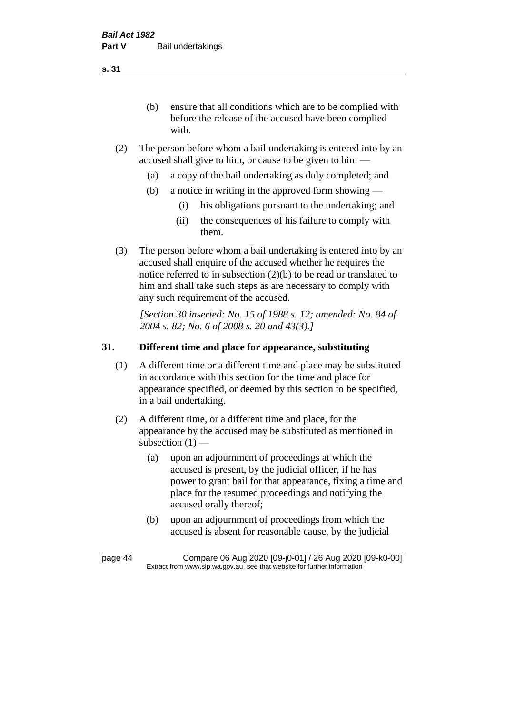(b) ensure that all conditions which are to be complied with before the release of the accused have been complied with.

- (2) The person before whom a bail undertaking is entered into by an accused shall give to him, or cause to be given to him —
	- (a) a copy of the bail undertaking as duly completed; and
	- (b) a notice in writing in the approved form showing
		- (i) his obligations pursuant to the undertaking; and
		- (ii) the consequences of his failure to comply with them.
- (3) The person before whom a bail undertaking is entered into by an accused shall enquire of the accused whether he requires the notice referred to in subsection (2)(b) to be read or translated to him and shall take such steps as are necessary to comply with any such requirement of the accused.

*[Section 30 inserted: No. 15 of 1988 s. 12; amended: No. 84 of 2004 s. 82; No. 6 of 2008 s. 20 and 43(3).]* 

# **31. Different time and place for appearance, substituting**

- (1) A different time or a different time and place may be substituted in accordance with this section for the time and place for appearance specified, or deemed by this section to be specified, in a bail undertaking.
- (2) A different time, or a different time and place, for the appearance by the accused may be substituted as mentioned in subsection  $(1)$  —
	- (a) upon an adjournment of proceedings at which the accused is present, by the judicial officer, if he has power to grant bail for that appearance, fixing a time and place for the resumed proceedings and notifying the accused orally thereof;
	- (b) upon an adjournment of proceedings from which the accused is absent for reasonable cause, by the judicial

**s. 31**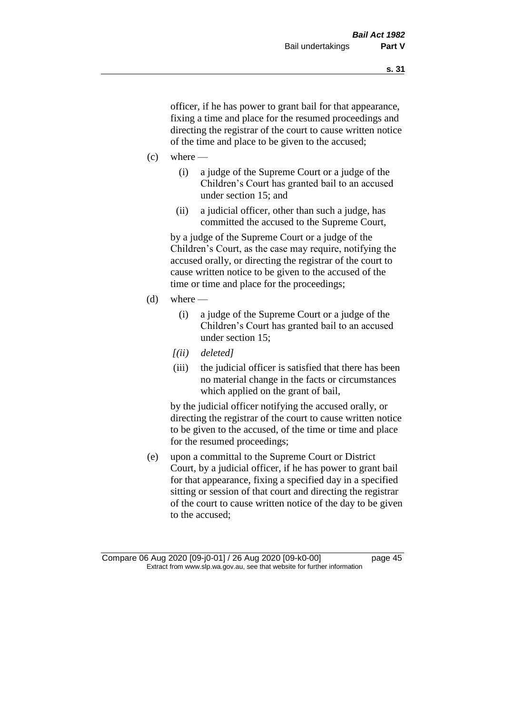officer, if he has power to grant bail for that appearance, fixing a time and place for the resumed proceedings and directing the registrar of the court to cause written notice of the time and place to be given to the accused;

- $(c)$  where
	- (i) a judge of the Supreme Court or a judge of the Children's Court has granted bail to an accused under section 15; and
	- (ii) a judicial officer, other than such a judge, has committed the accused to the Supreme Court,

by a judge of the Supreme Court or a judge of the Children's Court, as the case may require, notifying the accused orally, or directing the registrar of the court to cause written notice to be given to the accused of the time or time and place for the proceedings;

- $(d)$  where
	- (i) a judge of the Supreme Court or a judge of the Children's Court has granted bail to an accused under section 15;
	- *[(ii) deleted]*
	- (iii) the judicial officer is satisfied that there has been no material change in the facts or circumstances which applied on the grant of bail,

by the judicial officer notifying the accused orally, or directing the registrar of the court to cause written notice to be given to the accused, of the time or time and place for the resumed proceedings;

(e) upon a committal to the Supreme Court or District Court, by a judicial officer, if he has power to grant bail for that appearance, fixing a specified day in a specified sitting or session of that court and directing the registrar of the court to cause written notice of the day to be given to the accused;

Compare 06 Aug 2020 [09-j0-01] / 26 Aug 2020 [09-k0-00] page 45 Extract from www.slp.wa.gov.au, see that website for further information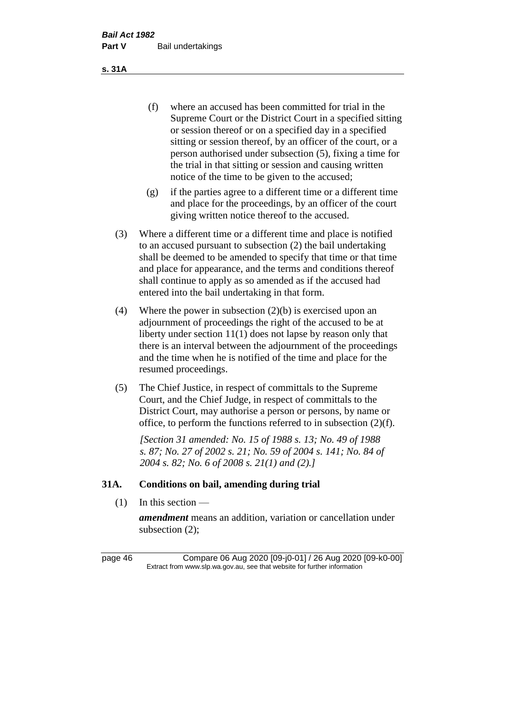(f) where an accused has been committed for trial in the Supreme Court or the District Court in a specified sitting or session thereof or on a specified day in a specified sitting or session thereof, by an officer of the court, or a person authorised under subsection (5), fixing a time for the trial in that sitting or session and causing written notice of the time to be given to the accused;

- (g) if the parties agree to a different time or a different time and place for the proceedings, by an officer of the court giving written notice thereof to the accused.
- (3) Where a different time or a different time and place is notified to an accused pursuant to subsection (2) the bail undertaking shall be deemed to be amended to specify that time or that time and place for appearance, and the terms and conditions thereof shall continue to apply as so amended as if the accused had entered into the bail undertaking in that form.
- (4) Where the power in subsection (2)(b) is exercised upon an adjournment of proceedings the right of the accused to be at liberty under section 11(1) does not lapse by reason only that there is an interval between the adjournment of the proceedings and the time when he is notified of the time and place for the resumed proceedings.
- (5) The Chief Justice, in respect of committals to the Supreme Court, and the Chief Judge, in respect of committals to the District Court, may authorise a person or persons, by name or office, to perform the functions referred to in subsection (2)(f).

*[Section 31 amended: No. 15 of 1988 s. 13; No. 49 of 1988 s. 87; No. 27 of 2002 s. 21; No. 59 of 2004 s. 141; No. 84 of 2004 s. 82; No. 6 of 2008 s. 21(1) and (2).]* 

## **31A. Conditions on bail, amending during trial**

 $(1)$  In this section —

*amendment* means an addition, variation or cancellation under subsection (2);

page 46 Compare 06 Aug 2020 [09-j0-01] / 26 Aug 2020 [09-k0-00] Extract from www.slp.wa.gov.au, see that website for further information

**s. 31A**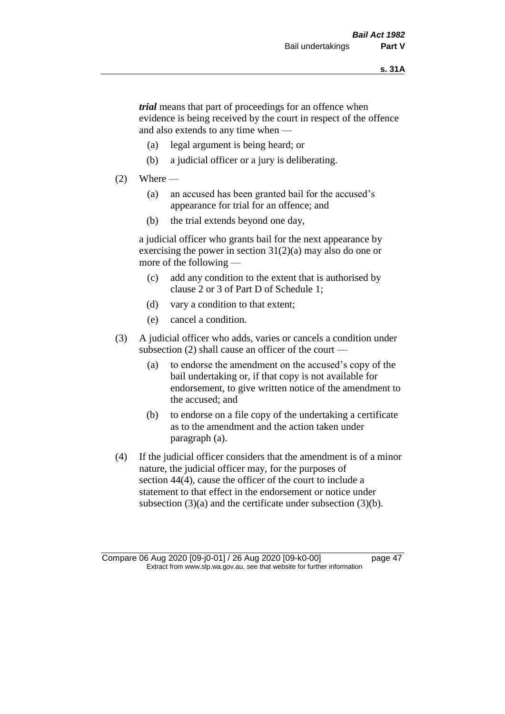*trial* means that part of proceedings for an offence when evidence is being received by the court in respect of the offence and also extends to any time when —

- (a) legal argument is being heard; or
- (b) a judicial officer or a jury is deliberating.

#### $(2)$  Where —

- (a) an accused has been granted bail for the accused's appearance for trial for an offence; and
- (b) the trial extends beyond one day,

a judicial officer who grants bail for the next appearance by exercising the power in section  $31(2)(a)$  may also do one or more of the following —

- (c) add any condition to the extent that is authorised by clause 2 or 3 of Part D of Schedule 1;
- (d) vary a condition to that extent;
- (e) cancel a condition.
- (3) A judicial officer who adds, varies or cancels a condition under subsection (2) shall cause an officer of the court —
	- (a) to endorse the amendment on the accused's copy of the bail undertaking or, if that copy is not available for endorsement, to give written notice of the amendment to the accused; and
	- (b) to endorse on a file copy of the undertaking a certificate as to the amendment and the action taken under paragraph (a).
- (4) If the judicial officer considers that the amendment is of a minor nature, the judicial officer may, for the purposes of section 44(4), cause the officer of the court to include a statement to that effect in the endorsement or notice under subsection (3)(a) and the certificate under subsection (3)(b).

Compare 06 Aug 2020 [09-j0-01] / 26 Aug 2020 [09-k0-00] page 47 Extract from www.slp.wa.gov.au, see that website for further information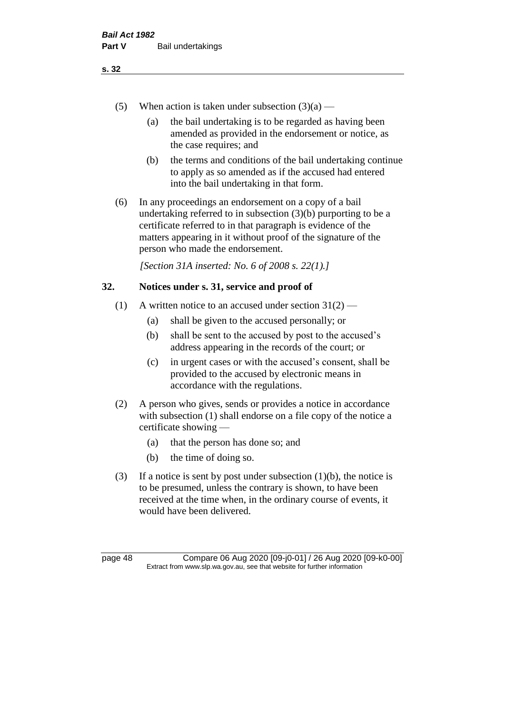- (5) When action is taken under subsection  $(3)(a)$ 
	- (a) the bail undertaking is to be regarded as having been amended as provided in the endorsement or notice, as the case requires; and
	- (b) the terms and conditions of the bail undertaking continue to apply as so amended as if the accused had entered into the bail undertaking in that form.
- (6) In any proceedings an endorsement on a copy of a bail undertaking referred to in subsection (3)(b) purporting to be a certificate referred to in that paragraph is evidence of the matters appearing in it without proof of the signature of the person who made the endorsement.

*[Section 31A inserted: No. 6 of 2008 s. 22(1).]*

# **32. Notices under s. 31, service and proof of**

- (1) A written notice to an accused under section  $31(2)$ 
	- (a) shall be given to the accused personally; or
	- (b) shall be sent to the accused by post to the accused's address appearing in the records of the court; or
	- (c) in urgent cases or with the accused's consent, shall be provided to the accused by electronic means in accordance with the regulations.
- (2) A person who gives, sends or provides a notice in accordance with subsection (1) shall endorse on a file copy of the notice a certificate showing —
	- (a) that the person has done so; and
	- (b) the time of doing so.
- (3) If a notice is sent by post under subsection  $(1)(b)$ , the notice is to be presumed, unless the contrary is shown, to have been received at the time when, in the ordinary course of events, it would have been delivered.

page 48 Compare 06 Aug 2020 [09-j0-01] / 26 Aug 2020 [09-k0-00] Extract from www.slp.wa.gov.au, see that website for further information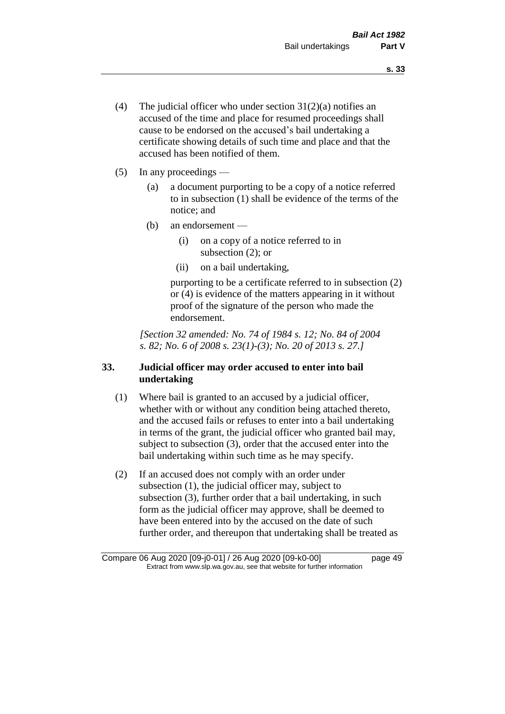- (4) The judicial officer who under section  $31(2)(a)$  notifies an accused of the time and place for resumed proceedings shall cause to be endorsed on the accused's bail undertaking a certificate showing details of such time and place and that the accused has been notified of them.
- (5) In any proceedings
	- (a) a document purporting to be a copy of a notice referred to in subsection (1) shall be evidence of the terms of the notice; and
	- (b) an endorsement
		- (i) on a copy of a notice referred to in subsection (2); or
		- (ii) on a bail undertaking,

purporting to be a certificate referred to in subsection (2) or (4) is evidence of the matters appearing in it without proof of the signature of the person who made the endorsement.

*[Section 32 amended: No. 74 of 1984 s. 12; No. 84 of 2004 s. 82; No. 6 of 2008 s. 23(1)-(3); No. 20 of 2013 s. 27.]* 

# **33. Judicial officer may order accused to enter into bail undertaking**

- (1) Where bail is granted to an accused by a judicial officer, whether with or without any condition being attached thereto, and the accused fails or refuses to enter into a bail undertaking in terms of the grant, the judicial officer who granted bail may, subject to subsection (3), order that the accused enter into the bail undertaking within such time as he may specify.
- (2) If an accused does not comply with an order under subsection (1), the judicial officer may, subject to subsection (3), further order that a bail undertaking, in such form as the judicial officer may approve, shall be deemed to have been entered into by the accused on the date of such further order, and thereupon that undertaking shall be treated as

Compare 06 Aug 2020 [09-j0-01] / 26 Aug 2020 [09-k0-00] page 49 Extract from www.slp.wa.gov.au, see that website for further information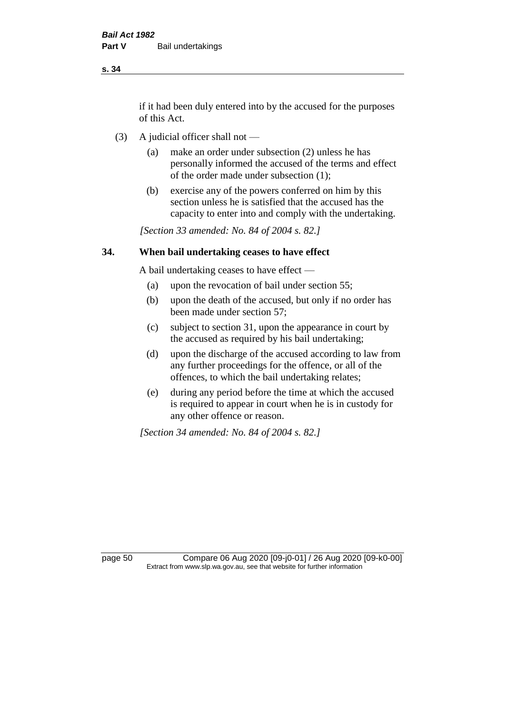if it had been duly entered into by the accused for the purposes of this Act.

- (3) A judicial officer shall not
	- (a) make an order under subsection (2) unless he has personally informed the accused of the terms and effect of the order made under subsection (1);
	- (b) exercise any of the powers conferred on him by this section unless he is satisfied that the accused has the capacity to enter into and comply with the undertaking.

*[Section 33 amended: No. 84 of 2004 s. 82.]* 

## **34. When bail undertaking ceases to have effect**

A bail undertaking ceases to have effect —

- (a) upon the revocation of bail under section 55;
- (b) upon the death of the accused, but only if no order has been made under section 57;
- (c) subject to section 31, upon the appearance in court by the accused as required by his bail undertaking;
- (d) upon the discharge of the accused according to law from any further proceedings for the offence, or all of the offences, to which the bail undertaking relates;
- (e) during any period before the time at which the accused is required to appear in court when he is in custody for any other offence or reason.

*[Section 34 amended: No. 84 of 2004 s. 82.]* 

page 50 Compare 06 Aug 2020 [09-j0-01] / 26 Aug 2020 [09-k0-00] Extract from www.slp.wa.gov.au, see that website for further information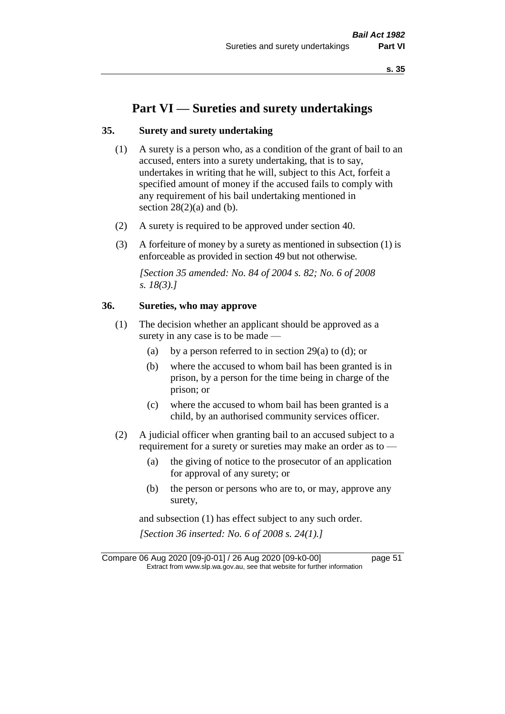# **Part VI — Sureties and surety undertakings**

## **35. Surety and surety undertaking**

- (1) A surety is a person who, as a condition of the grant of bail to an accused, enters into a surety undertaking, that is to say, undertakes in writing that he will, subject to this Act, forfeit a specified amount of money if the accused fails to comply with any requirement of his bail undertaking mentioned in section  $28(2)(a)$  and (b).
- (2) A surety is required to be approved under section 40.
- (3) A forfeiture of money by a surety as mentioned in subsection (1) is enforceable as provided in section 49 but not otherwise.

*[Section 35 amended: No. 84 of 2004 s. 82; No. 6 of 2008 s. 18(3).]* 

## **36. Sureties, who may approve**

- (1) The decision whether an applicant should be approved as a surety in any case is to be made —
	- (a) by a person referred to in section 29(a) to (d); or
	- (b) where the accused to whom bail has been granted is in prison, by a person for the time being in charge of the prison; or
	- (c) where the accused to whom bail has been granted is a child, by an authorised community services officer.
- (2) A judicial officer when granting bail to an accused subject to a requirement for a surety or sureties may make an order as to -
	- (a) the giving of notice to the prosecutor of an application for approval of any surety; or
	- (b) the person or persons who are to, or may, approve any surety,

and subsection (1) has effect subject to any such order. *[Section 36 inserted: No. 6 of 2008 s. 24(1).]*

Compare 06 Aug 2020 [09-j0-01] / 26 Aug 2020 [09-k0-00] page 51 Extract from www.slp.wa.gov.au, see that website for further information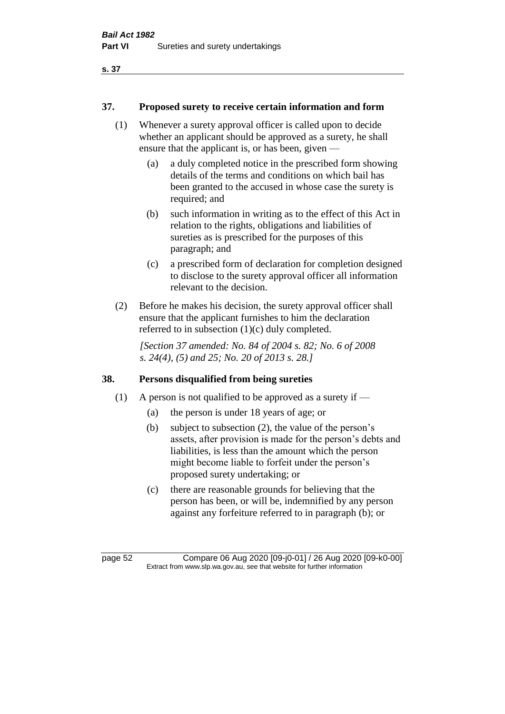## **37. Proposed surety to receive certain information and form**

- (1) Whenever a surety approval officer is called upon to decide whether an applicant should be approved as a surety, he shall ensure that the applicant is, or has been, given —
	- (a) a duly completed notice in the prescribed form showing details of the terms and conditions on which bail has been granted to the accused in whose case the surety is required; and
	- (b) such information in writing as to the effect of this Act in relation to the rights, obligations and liabilities of sureties as is prescribed for the purposes of this paragraph; and
	- (c) a prescribed form of declaration for completion designed to disclose to the surety approval officer all information relevant to the decision.
- (2) Before he makes his decision, the surety approval officer shall ensure that the applicant furnishes to him the declaration referred to in subsection (1)(c) duly completed.

*[Section 37 amended: No. 84 of 2004 s. 82; No. 6 of 2008 s. 24(4), (5) and 25; No. 20 of 2013 s. 28.]* 

## **38. Persons disqualified from being sureties**

- (1) A person is not qualified to be approved as a surety if  $-$ 
	- (a) the person is under 18 years of age; or
	- (b) subject to subsection (2), the value of the person's assets, after provision is made for the person's debts and liabilities, is less than the amount which the person might become liable to forfeit under the person's proposed surety undertaking; or
	- (c) there are reasonable grounds for believing that the person has been, or will be, indemnified by any person against any forfeiture referred to in paragraph (b); or

page 52 Compare 06 Aug 2020 [09-j0-01] / 26 Aug 2020 [09-k0-00] Extract from www.slp.wa.gov.au, see that website for further information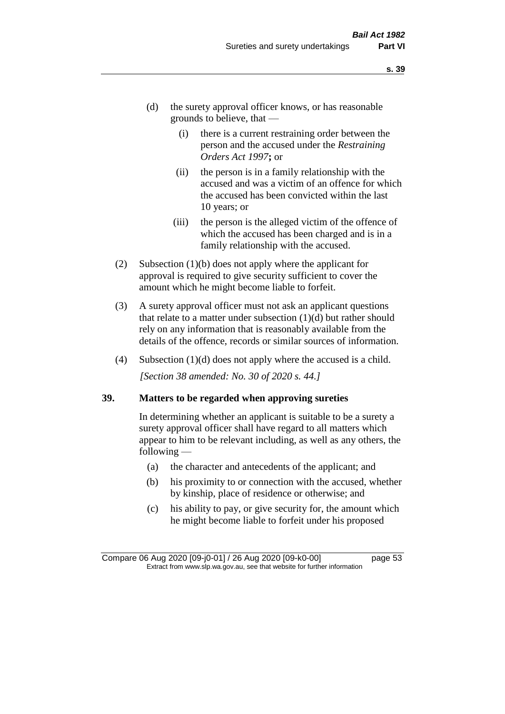- (d) the surety approval officer knows, or has reasonable grounds to believe, that —
	- (i) there is a current restraining order between the person and the accused under the *Restraining Orders Act 1997***;** or
	- (ii) the person is in a family relationship with the accused and was a victim of an offence for which the accused has been convicted within the last 10 years; or
	- (iii) the person is the alleged victim of the offence of which the accused has been charged and is in a family relationship with the accused.
- (2) Subsection (1)(b) does not apply where the applicant for approval is required to give security sufficient to cover the amount which he might become liable to forfeit.
- (3) A surety approval officer must not ask an applicant questions that relate to a matter under subsection  $(1)(d)$  but rather should rely on any information that is reasonably available from the details of the offence, records or similar sources of information.
- (4) Subsection (1)(d) does not apply where the accused is a child. *[Section 38 amended: No. 30 of 2020 s. 44.]*

#### **39. Matters to be regarded when approving sureties**

In determining whether an applicant is suitable to be a surety a surety approval officer shall have regard to all matters which appear to him to be relevant including, as well as any others, the following —

- (a) the character and antecedents of the applicant; and
- (b) his proximity to or connection with the accused, whether by kinship, place of residence or otherwise; and
- (c) his ability to pay, or give security for, the amount which he might become liable to forfeit under his proposed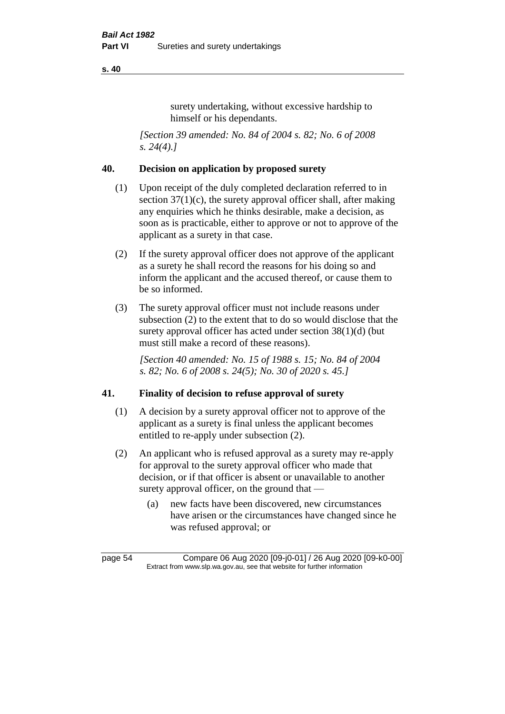surety undertaking, without excessive hardship to himself or his dependants.

*[Section 39 amended: No. 84 of 2004 s. 82; No. 6 of 2008 s. 24(4).]* 

## **40. Decision on application by proposed surety**

- (1) Upon receipt of the duly completed declaration referred to in section  $37(1)(c)$ , the surety approval officer shall, after making any enquiries which he thinks desirable, make a decision, as soon as is practicable, either to approve or not to approve of the applicant as a surety in that case.
- (2) If the surety approval officer does not approve of the applicant as a surety he shall record the reasons for his doing so and inform the applicant and the accused thereof, or cause them to be so informed.
- (3) The surety approval officer must not include reasons under subsection (2) to the extent that to do so would disclose that the surety approval officer has acted under section 38(1)(d) (but must still make a record of these reasons).

*[Section 40 amended: No. 15 of 1988 s. 15; No. 84 of 2004 s. 82; No. 6 of 2008 s. 24(5); No. 30 of 2020 s. 45.]* 

## **41. Finality of decision to refuse approval of surety**

- (1) A decision by a surety approval officer not to approve of the applicant as a surety is final unless the applicant becomes entitled to re-apply under subsection (2).
- (2) An applicant who is refused approval as a surety may re-apply for approval to the surety approval officer who made that decision, or if that officer is absent or unavailable to another surety approval officer, on the ground that —
	- (a) new facts have been discovered, new circumstances have arisen or the circumstances have changed since he was refused approval; or

page 54 Compare 06 Aug 2020 [09-j0-01] / 26 Aug 2020 [09-k0-00] Extract from www.slp.wa.gov.au, see that website for further information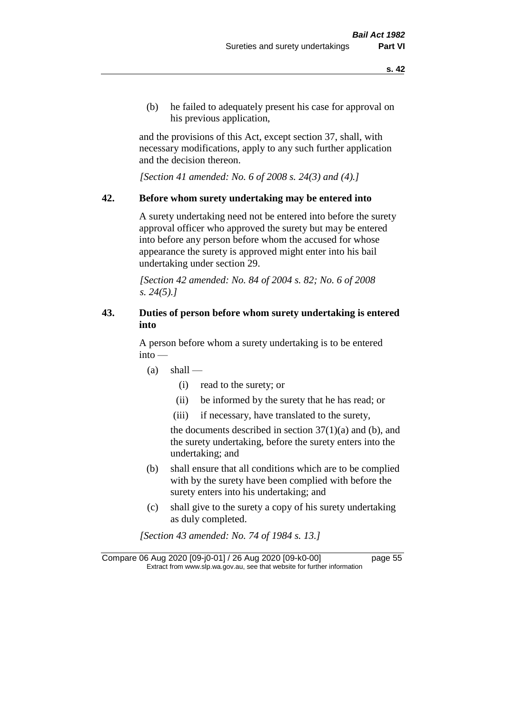(b) he failed to adequately present his case for approval on his previous application,

and the provisions of this Act, except section 37, shall, with necessary modifications, apply to any such further application and the decision thereon.

*[Section 41 amended: No. 6 of 2008 s. 24(3) and (4).]*

#### **42. Before whom surety undertaking may be entered into**

A surety undertaking need not be entered into before the surety approval officer who approved the surety but may be entered into before any person before whom the accused for whose appearance the surety is approved might enter into his bail undertaking under section 29.

*[Section 42 amended: No. 84 of 2004 s. 82; No. 6 of 2008 s. 24(5).]* 

# **43. Duties of person before whom surety undertaking is entered into**

A person before whom a surety undertaking is to be entered into —

- $(a)$  shall
	- (i) read to the surety; or
	- (ii) be informed by the surety that he has read; or
	- (iii) if necessary, have translated to the surety,

the documents described in section  $37(1)(a)$  and (b), and the surety undertaking, before the surety enters into the undertaking; and

- (b) shall ensure that all conditions which are to be complied with by the surety have been complied with before the surety enters into his undertaking; and
- (c) shall give to the surety a copy of his surety undertaking as duly completed.

*[Section 43 amended: No. 74 of 1984 s. 13.]* 

Compare 06 Aug 2020 [09-j0-01] / 26 Aug 2020 [09-k0-00] page 55 Extract from www.slp.wa.gov.au, see that website for further information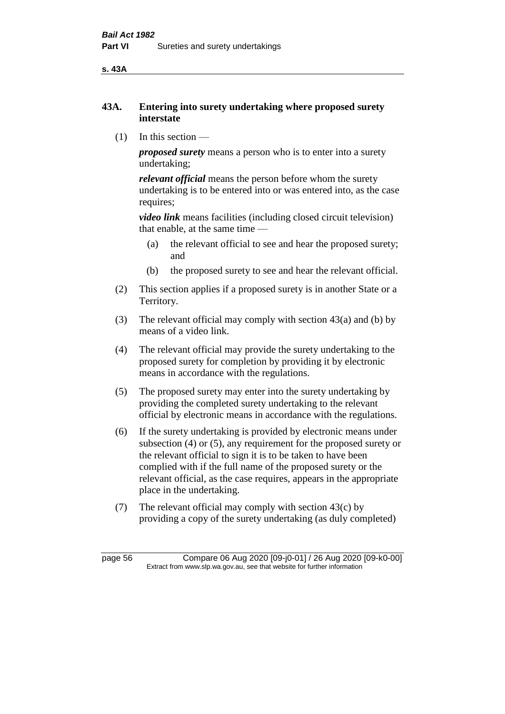**s. 43A**

## **43A. Entering into surety undertaking where proposed surety interstate**

(1) In this section —

*proposed surety* means a person who is to enter into a surety undertaking;

*relevant official* means the person before whom the surety undertaking is to be entered into or was entered into, as the case requires;

*video link* means facilities (including closed circuit television) that enable, at the same time —

- (a) the relevant official to see and hear the proposed surety; and
- (b) the proposed surety to see and hear the relevant official.
- (2) This section applies if a proposed surety is in another State or a Territory.
- (3) The relevant official may comply with section 43(a) and (b) by means of a video link.
- (4) The relevant official may provide the surety undertaking to the proposed surety for completion by providing it by electronic means in accordance with the regulations.
- (5) The proposed surety may enter into the surety undertaking by providing the completed surety undertaking to the relevant official by electronic means in accordance with the regulations.
- (6) If the surety undertaking is provided by electronic means under subsection (4) or (5), any requirement for the proposed surety or the relevant official to sign it is to be taken to have been complied with if the full name of the proposed surety or the relevant official, as the case requires, appears in the appropriate place in the undertaking.
- (7) The relevant official may comply with section 43(c) by providing a copy of the surety undertaking (as duly completed)

page 56 Compare 06 Aug 2020 [09-j0-01] / 26 Aug 2020 [09-k0-00] Extract from www.slp.wa.gov.au, see that website for further information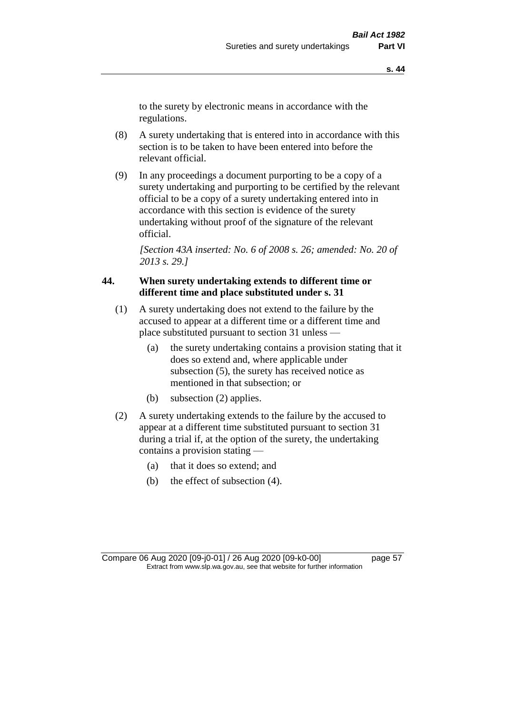to the surety by electronic means in accordance with the regulations.

- (8) A surety undertaking that is entered into in accordance with this section is to be taken to have been entered into before the relevant official.
- (9) In any proceedings a document purporting to be a copy of a surety undertaking and purporting to be certified by the relevant official to be a copy of a surety undertaking entered into in accordance with this section is evidence of the surety undertaking without proof of the signature of the relevant official.

*[Section 43A inserted: No. 6 of 2008 s. 26; amended: No. 20 of 2013 s. 29.]*

# **44. When surety undertaking extends to different time or different time and place substituted under s. 31**

- (1) A surety undertaking does not extend to the failure by the accused to appear at a different time or a different time and place substituted pursuant to section 31 unless —
	- (a) the surety undertaking contains a provision stating that it does so extend and, where applicable under subsection (5), the surety has received notice as mentioned in that subsection; or
	- (b) subsection (2) applies.
- (2) A surety undertaking extends to the failure by the accused to appear at a different time substituted pursuant to section 31 during a trial if, at the option of the surety, the undertaking contains a provision stating —
	- (a) that it does so extend; and
	- (b) the effect of subsection (4).

Compare 06 Aug 2020 [09-j0-01] / 26 Aug 2020 [09-k0-00] page 57 Extract from www.slp.wa.gov.au, see that website for further information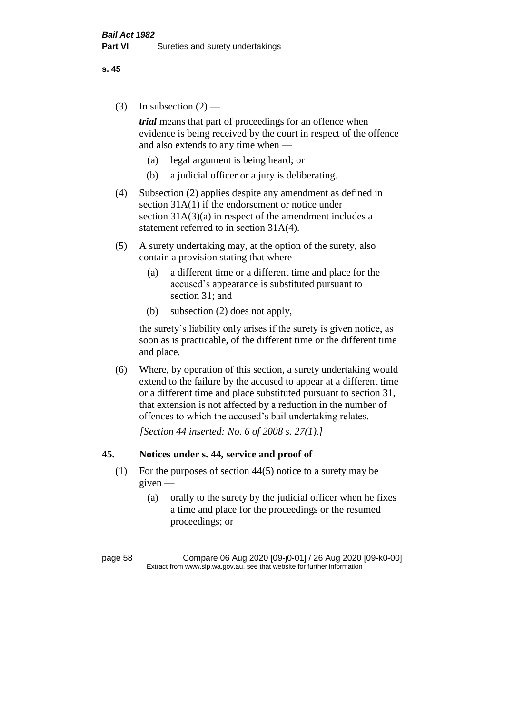(3) In subsection  $(2)$  —

*trial* means that part of proceedings for an offence when evidence is being received by the court in respect of the offence and also extends to any time when —

- (a) legal argument is being heard; or
- (b) a judicial officer or a jury is deliberating.
- (4) Subsection (2) applies despite any amendment as defined in section 31A(1) if the endorsement or notice under section  $31A(3)(a)$  in respect of the amendment includes a statement referred to in section 31A(4).
- (5) A surety undertaking may, at the option of the surety, also contain a provision stating that where —
	- (a) a different time or a different time and place for the accused's appearance is substituted pursuant to section 31; and
	- (b) subsection (2) does not apply,

the surety's liability only arises if the surety is given notice, as soon as is practicable, of the different time or the different time and place.

(6) Where, by operation of this section, a surety undertaking would extend to the failure by the accused to appear at a different time or a different time and place substituted pursuant to section 31, that extension is not affected by a reduction in the number of offences to which the accused's bail undertaking relates.

*[Section 44 inserted: No. 6 of 2008 s. 27(1).]*

## **45. Notices under s. 44, service and proof of**

- (1) For the purposes of section 44(5) notice to a surety may be given —
	- (a) orally to the surety by the judicial officer when he fixes a time and place for the proceedings or the resumed proceedings; or

page 58 Compare 06 Aug 2020 [09-j0-01] / 26 Aug 2020 [09-k0-00] Extract from www.slp.wa.gov.au, see that website for further information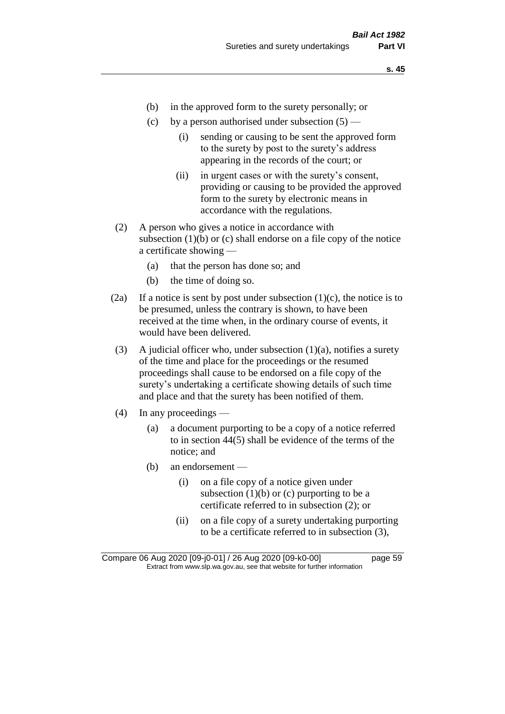- (b) in the approved form to the surety personally; or
- (c) by a person authorised under subsection  $(5)$ 
	- (i) sending or causing to be sent the approved form to the surety by post to the surety's address appearing in the records of the court; or
	- (ii) in urgent cases or with the surety's consent, providing or causing to be provided the approved form to the surety by electronic means in accordance with the regulations.
- (2) A person who gives a notice in accordance with subsection  $(1)(b)$  or  $(c)$  shall endorse on a file copy of the notice a certificate showing —
	- (a) that the person has done so; and
	- (b) the time of doing so.
- (2a) If a notice is sent by post under subsection  $(1)(c)$ , the notice is to be presumed, unless the contrary is shown, to have been received at the time when, in the ordinary course of events, it would have been delivered.
- (3) A judicial officer who, under subsection  $(1)(a)$ , notifies a surety of the time and place for the proceedings or the resumed proceedings shall cause to be endorsed on a file copy of the surety's undertaking a certificate showing details of such time and place and that the surety has been notified of them.
- (4) In any proceedings
	- (a) a document purporting to be a copy of a notice referred to in section 44(5) shall be evidence of the terms of the notice; and
	- (b) an endorsement
		- (i) on a file copy of a notice given under subsection  $(1)(b)$  or  $(c)$  purporting to be a certificate referred to in subsection (2); or
		- (ii) on a file copy of a surety undertaking purporting to be a certificate referred to in subsection (3),

Compare 06 Aug 2020 [09-j0-01] / 26 Aug 2020 [09-k0-00] page 59 Extract from www.slp.wa.gov.au, see that website for further information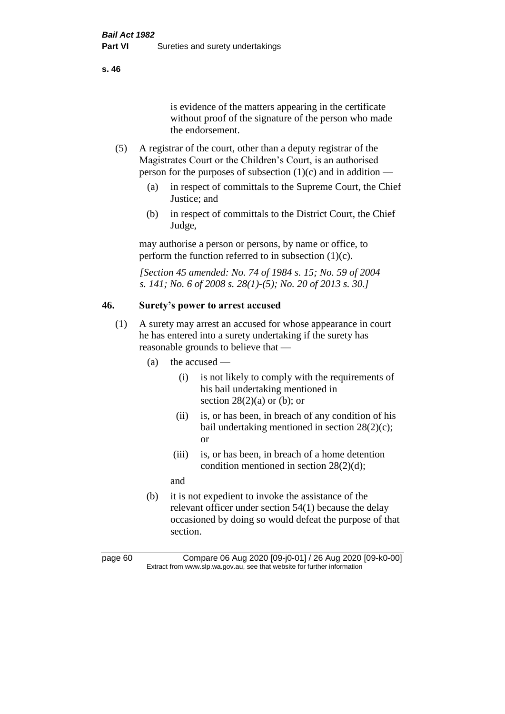is evidence of the matters appearing in the certificate without proof of the signature of the person who made the endorsement.

- (5) A registrar of the court, other than a deputy registrar of the Magistrates Court or the Children's Court, is an authorised person for the purposes of subsection  $(1)(c)$  and in addition —
	- (a) in respect of committals to the Supreme Court, the Chief Justice; and
	- (b) in respect of committals to the District Court, the Chief Judge,

may authorise a person or persons, by name or office, to perform the function referred to in subsection  $(1)(c)$ .

*[Section 45 amended: No. 74 of 1984 s. 15; No. 59 of 2004 s. 141; No. 6 of 2008 s. 28(1)-(5); No. 20 of 2013 s. 30.]* 

# **46. Surety's power to arrest accused**

- (1) A surety may arrest an accused for whose appearance in court he has entered into a surety undertaking if the surety has reasonable grounds to believe that —
	- (a) the accused
		- (i) is not likely to comply with the requirements of his bail undertaking mentioned in section  $28(2)(a)$  or (b); or
		- (ii) is, or has been, in breach of any condition of his bail undertaking mentioned in section 28(2)(c); or
		- (iii) is, or has been, in breach of a home detention condition mentioned in section 28(2)(d);

and

(b) it is not expedient to invoke the assistance of the relevant officer under section 54(1) because the delay occasioned by doing so would defeat the purpose of that section.

page 60 Compare 06 Aug 2020 [09-j0-01] / 26 Aug 2020 [09-k0-00] Extract from www.slp.wa.gov.au, see that website for further information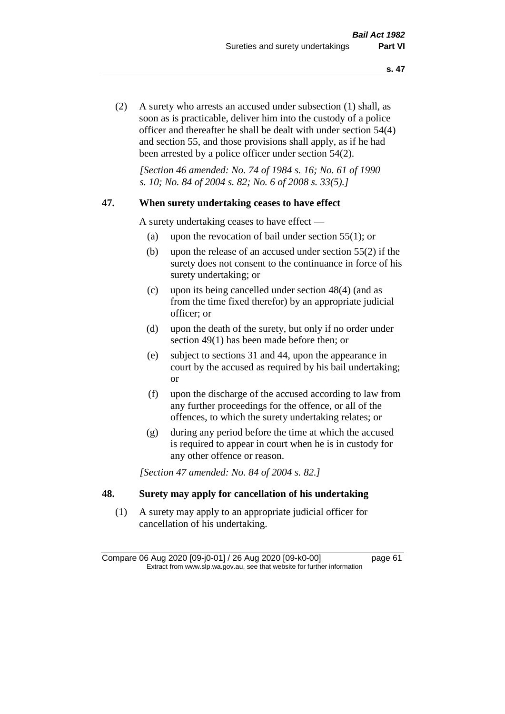(2) A surety who arrests an accused under subsection (1) shall, as soon as is practicable, deliver him into the custody of a police officer and thereafter he shall be dealt with under section 54(4) and section 55, and those provisions shall apply, as if he had been arrested by a police officer under section 54(2).

*[Section 46 amended: No. 74 of 1984 s. 16; No. 61 of 1990 s. 10; No. 84 of 2004 s. 82; No. 6 of 2008 s. 33(5).]* 

#### **47. When surety undertaking ceases to have effect**

A surety undertaking ceases to have effect —

- (a) upon the revocation of bail under section 55(1); or
- (b) upon the release of an accused under section 55(2) if the surety does not consent to the continuance in force of his surety undertaking; or
- (c) upon its being cancelled under section 48(4) (and as from the time fixed therefor) by an appropriate judicial officer; or
- (d) upon the death of the surety, but only if no order under section 49(1) has been made before then; or
- (e) subject to sections 31 and 44, upon the appearance in court by the accused as required by his bail undertaking; or
- (f) upon the discharge of the accused according to law from any further proceedings for the offence, or all of the offences, to which the surety undertaking relates; or
- (g) during any period before the time at which the accused is required to appear in court when he is in custody for any other offence or reason.

*[Section 47 amended: No. 84 of 2004 s. 82.]* 

# **48. Surety may apply for cancellation of his undertaking**

(1) A surety may apply to an appropriate judicial officer for cancellation of his undertaking.

Compare 06 Aug 2020 [09-j0-01] / 26 Aug 2020 [09-k0-00] page 61 Extract from www.slp.wa.gov.au, see that website for further information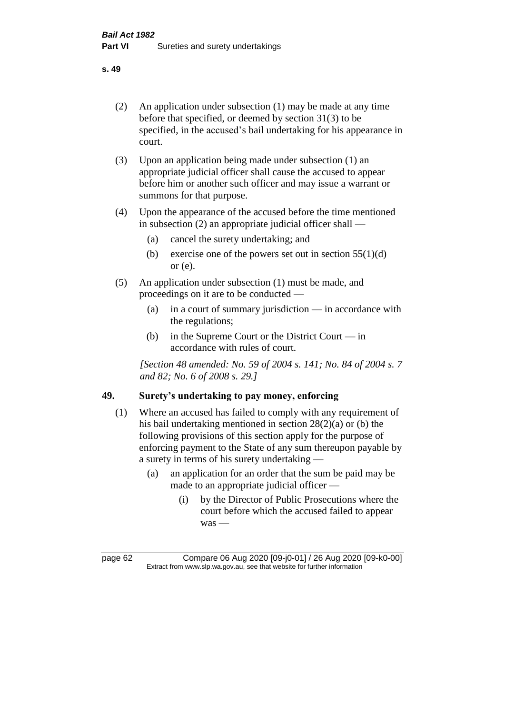- (2) An application under subsection (1) may be made at any time before that specified, or deemed by section 31(3) to be specified, in the accused's bail undertaking for his appearance in court.
- (3) Upon an application being made under subsection (1) an appropriate judicial officer shall cause the accused to appear before him or another such officer and may issue a warrant or summons for that purpose.
- (4) Upon the appearance of the accused before the time mentioned in subsection (2) an appropriate judicial officer shall —
	- (a) cancel the surety undertaking; and
	- (b) exercise one of the powers set out in section  $55(1)(d)$ or (e).
- (5) An application under subsection (1) must be made, and proceedings on it are to be conducted —
	- (a) in a court of summary jurisdiction in accordance with the regulations;
	- (b) in the Supreme Court or the District Court in accordance with rules of court.

*[Section 48 amended: No. 59 of 2004 s. 141; No. 84 of 2004 s. 7 and 82; No. 6 of 2008 s. 29.]* 

# **49. Surety's undertaking to pay money, enforcing**

- (1) Where an accused has failed to comply with any requirement of his bail undertaking mentioned in section 28(2)(a) or (b) the following provisions of this section apply for the purpose of enforcing payment to the State of any sum thereupon payable by a surety in terms of his surety undertaking —
	- (a) an application for an order that the sum be paid may be made to an appropriate judicial officer —
		- (i) by the Director of Public Prosecutions where the court before which the accused failed to appear was —

page 62 Compare 06 Aug 2020 [09-j0-01] / 26 Aug 2020 [09-k0-00] Extract from www.slp.wa.gov.au, see that website for further information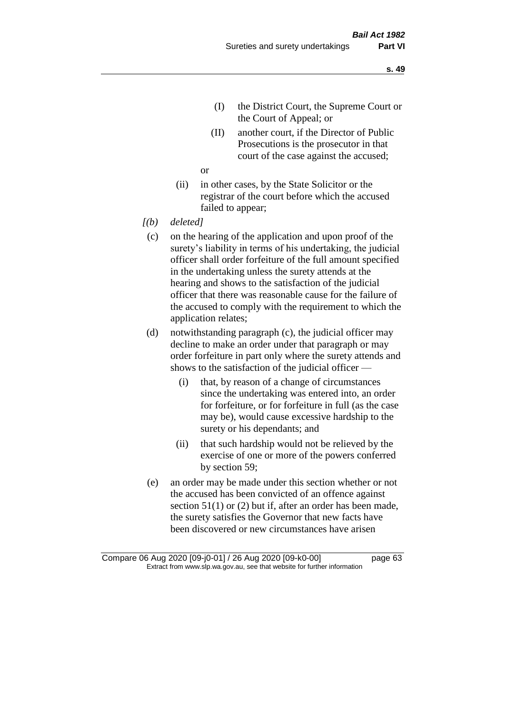- (I) the District Court, the Supreme Court or the Court of Appeal; or
- (II) another court, if the Director of Public Prosecutions is the prosecutor in that court of the case against the accused;

or

- (ii) in other cases, by the State Solicitor or the registrar of the court before which the accused failed to appear;
- *[(b) deleted]*
	- (c) on the hearing of the application and upon proof of the surety's liability in terms of his undertaking, the judicial officer shall order forfeiture of the full amount specified in the undertaking unless the surety attends at the hearing and shows to the satisfaction of the judicial officer that there was reasonable cause for the failure of the accused to comply with the requirement to which the application relates;
	- (d) notwithstanding paragraph (c), the judicial officer may decline to make an order under that paragraph or may order forfeiture in part only where the surety attends and shows to the satisfaction of the judicial officer —
		- (i) that, by reason of a change of circumstances since the undertaking was entered into, an order for forfeiture, or for forfeiture in full (as the case may be), would cause excessive hardship to the surety or his dependants; and
		- (ii) that such hardship would not be relieved by the exercise of one or more of the powers conferred by section 59;
	- (e) an order may be made under this section whether or not the accused has been convicted of an offence against section 51(1) or (2) but if, after an order has been made, the surety satisfies the Governor that new facts have been discovered or new circumstances have arisen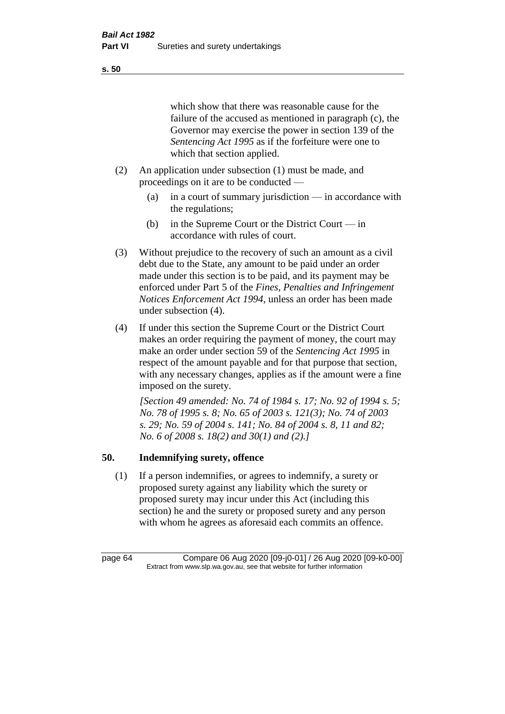which show that there was reasonable cause for the failure of the accused as mentioned in paragraph (c), the Governor may exercise the power in section 139 of the *Sentencing Act 1995* as if the forfeiture were one to which that section applied.

- (2) An application under subsection (1) must be made, and proceedings on it are to be conducted —
	- (a) in a court of summary jurisdiction in accordance with the regulations;
	- (b) in the Supreme Court or the District Court in accordance with rules of court.
- (3) Without prejudice to the recovery of such an amount as a civil debt due to the State, any amount to be paid under an order made under this section is to be paid, and its payment may be enforced under Part 5 of the *Fines, Penalties and Infringement Notices Enforcement Act 1994*, unless an order has been made under subsection (4).
- (4) If under this section the Supreme Court or the District Court makes an order requiring the payment of money, the court may make an order under section 59 of the *Sentencing Act 1995* in respect of the amount payable and for that purpose that section, with any necessary changes, applies as if the amount were a fine imposed on the surety.

*[Section 49 amended: No. 74 of 1984 s. 17; No. 92 of 1994 s. 5; No. 78 of 1995 s. 8; No. 65 of 2003 s. 121(3); No. 74 of 2003 s. 29; No. 59 of 2004 s. 141; No. 84 of 2004 s. 8, 11 and 82; No. 6 of 2008 s. 18(2) and 30(1) and (2).]* 

## **50. Indemnifying surety, offence**

(1) If a person indemnifies, or agrees to indemnify, a surety or proposed surety against any liability which the surety or proposed surety may incur under this Act (including this section) he and the surety or proposed surety and any person with whom he agrees as aforesaid each commits an offence.

page 64 Compare 06 Aug 2020 [09-j0-01] / 26 Aug 2020 [09-k0-00] Extract from www.slp.wa.gov.au, see that website for further information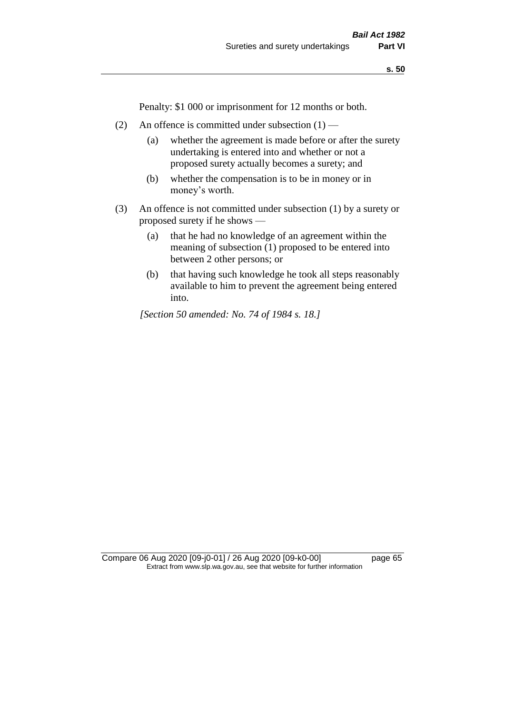Penalty: \$1 000 or imprisonment for 12 months or both.

- (2) An offence is committed under subsection  $(1)$ 
	- (a) whether the agreement is made before or after the surety undertaking is entered into and whether or not a proposed surety actually becomes a surety; and
	- (b) whether the compensation is to be in money or in money's worth.
- (3) An offence is not committed under subsection (1) by a surety or proposed surety if he shows —
	- (a) that he had no knowledge of an agreement within the meaning of subsection (1) proposed to be entered into between 2 other persons; or
	- (b) that having such knowledge he took all steps reasonably available to him to prevent the agreement being entered into.

*[Section 50 amended: No. 74 of 1984 s. 18.]*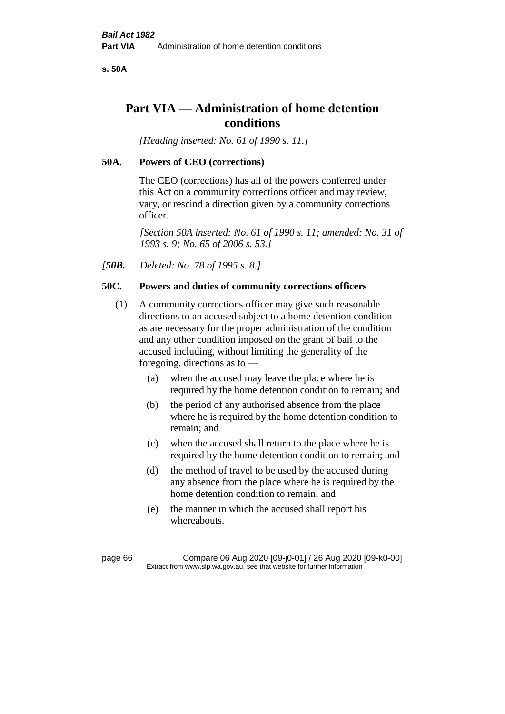**s. 50A**

# **Part VIA — Administration of home detention conditions**

*[Heading inserted: No. 61 of 1990 s. 11.]* 

# **50A. Powers of CEO (corrections)**

The CEO (corrections) has all of the powers conferred under this Act on a community corrections officer and may review, vary, or rescind a direction given by a community corrections officer.

*[Section 50A inserted: No. 61 of 1990 s. 11; amended: No. 31 of 1993 s. 9; No. 65 of 2006 s. 53.]* 

*[50B. Deleted: No. 78 of 1995 s. 8.]* 

# **50C. Powers and duties of community corrections officers**

- (1) A community corrections officer may give such reasonable directions to an accused subject to a home detention condition as are necessary for the proper administration of the condition and any other condition imposed on the grant of bail to the accused including, without limiting the generality of the foregoing, directions as to —
	- (a) when the accused may leave the place where he is required by the home detention condition to remain; and
	- (b) the period of any authorised absence from the place where he is required by the home detention condition to remain; and
	- (c) when the accused shall return to the place where he is required by the home detention condition to remain; and
	- (d) the method of travel to be used by the accused during any absence from the place where he is required by the home detention condition to remain; and
	- (e) the manner in which the accused shall report his whereabouts.

page 66 Compare 06 Aug 2020 [09-j0-01] / 26 Aug 2020 [09-k0-00] Extract from www.slp.wa.gov.au, see that website for further information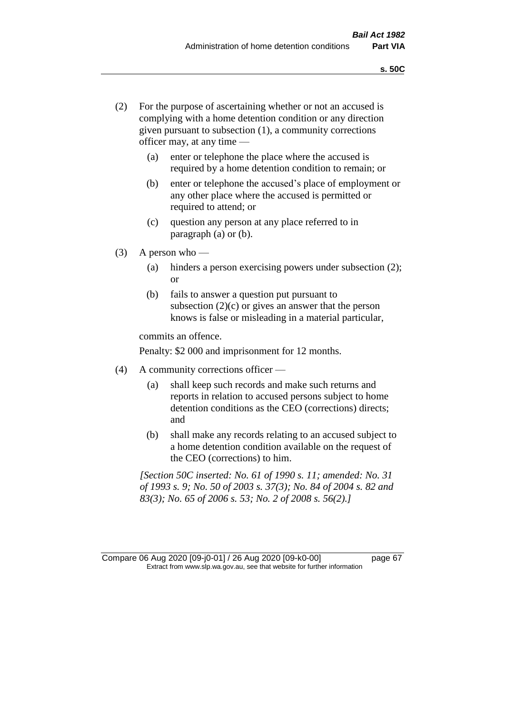- (2) For the purpose of ascertaining whether or not an accused is complying with a home detention condition or any direction given pursuant to subsection (1), a community corrections officer may, at any time —
	- (a) enter or telephone the place where the accused is required by a home detention condition to remain; or
	- (b) enter or telephone the accused's place of employment or any other place where the accused is permitted or required to attend; or
	- (c) question any person at any place referred to in paragraph (a) or (b).
- (3) A person who
	- (a) hinders a person exercising powers under subsection (2); or
	- (b) fails to answer a question put pursuant to subsection  $(2)(c)$  or gives an answer that the person knows is false or misleading in a material particular,

commits an offence.

Penalty: \$2 000 and imprisonment for 12 months.

- (4) A community corrections officer
	- (a) shall keep such records and make such returns and reports in relation to accused persons subject to home detention conditions as the CEO (corrections) directs; and
	- (b) shall make any records relating to an accused subject to a home detention condition available on the request of the CEO (corrections) to him.

*[Section 50C inserted: No. 61 of 1990 s. 11; amended: No. 31 of 1993 s. 9; No. 50 of 2003 s. 37(3); No. 84 of 2004 s. 82 and 83(3); No. 65 of 2006 s. 53; No. 2 of 2008 s. 56(2).]*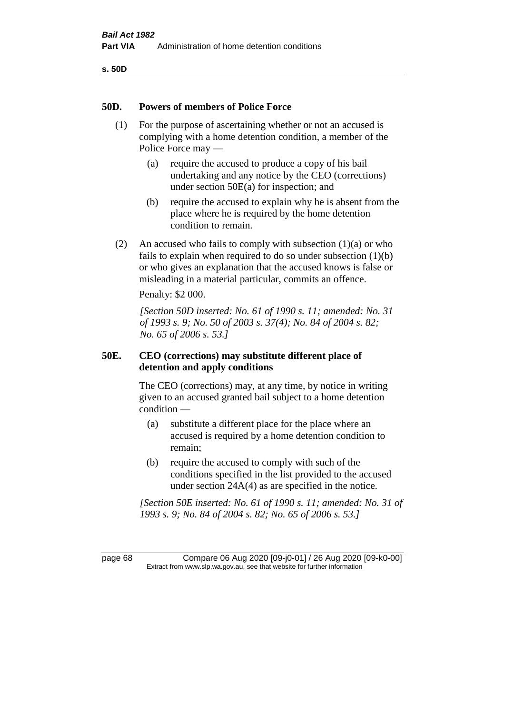**s. 50D**

#### **50D. Powers of members of Police Force**

- (1) For the purpose of ascertaining whether or not an accused is complying with a home detention condition, a member of the Police Force may —
	- (a) require the accused to produce a copy of his bail undertaking and any notice by the CEO (corrections) under section 50E(a) for inspection; and
	- (b) require the accused to explain why he is absent from the place where he is required by the home detention condition to remain.
- (2) An accused who fails to comply with subsection  $(1)(a)$  or who fails to explain when required to do so under subsection (1)(b) or who gives an explanation that the accused knows is false or misleading in a material particular, commits an offence.

Penalty: \$2 000.

*[Section 50D inserted: No. 61 of 1990 s. 11; amended: No. 31 of 1993 s. 9; No. 50 of 2003 s. 37(4); No. 84 of 2004 s. 82; No. 65 of 2006 s. 53.]* 

## **50E. CEO (corrections) may substitute different place of detention and apply conditions**

The CEO (corrections) may, at any time, by notice in writing given to an accused granted bail subject to a home detention condition —

- (a) substitute a different place for the place where an accused is required by a home detention condition to remain;
- (b) require the accused to comply with such of the conditions specified in the list provided to the accused under section 24A(4) as are specified in the notice.

*[Section 50E inserted: No. 61 of 1990 s. 11; amended: No. 31 of 1993 s. 9; No. 84 of 2004 s. 82; No. 65 of 2006 s. 53.]* 

page 68 Compare 06 Aug 2020 [09-j0-01] / 26 Aug 2020 [09-k0-00] Extract from www.slp.wa.gov.au, see that website for further information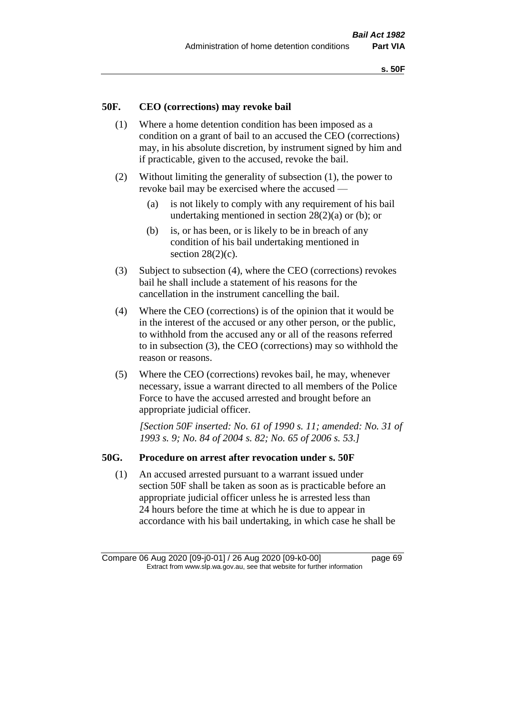## **50F. CEO (corrections) may revoke bail**

- (1) Where a home detention condition has been imposed as a condition on a grant of bail to an accused the CEO (corrections) may, in his absolute discretion, by instrument signed by him and if practicable, given to the accused, revoke the bail.
- (2) Without limiting the generality of subsection (1), the power to revoke bail may be exercised where the accused —
	- (a) is not likely to comply with any requirement of his bail undertaking mentioned in section 28(2)(a) or (b); or
	- (b) is, or has been, or is likely to be in breach of any condition of his bail undertaking mentioned in section  $28(2)(c)$ .
- (3) Subject to subsection (4), where the CEO (corrections) revokes bail he shall include a statement of his reasons for the cancellation in the instrument cancelling the bail.
- (4) Where the CEO (corrections) is of the opinion that it would be in the interest of the accused or any other person, or the public, to withhold from the accused any or all of the reasons referred to in subsection (3), the CEO (corrections) may so withhold the reason or reasons.
- (5) Where the CEO (corrections) revokes bail, he may, whenever necessary, issue a warrant directed to all members of the Police Force to have the accused arrested and brought before an appropriate judicial officer.

*[Section 50F inserted: No. 61 of 1990 s. 11; amended: No. 31 of 1993 s. 9; No. 84 of 2004 s. 82; No. 65 of 2006 s. 53.]* 

#### **50G. Procedure on arrest after revocation under s. 50F**

(1) An accused arrested pursuant to a warrant issued under section 50F shall be taken as soon as is practicable before an appropriate judicial officer unless he is arrested less than 24 hours before the time at which he is due to appear in accordance with his bail undertaking, in which case he shall be

Compare 06 Aug 2020 [09-j0-01] / 26 Aug 2020 [09-k0-00] page 69 Extract from www.slp.wa.gov.au, see that website for further information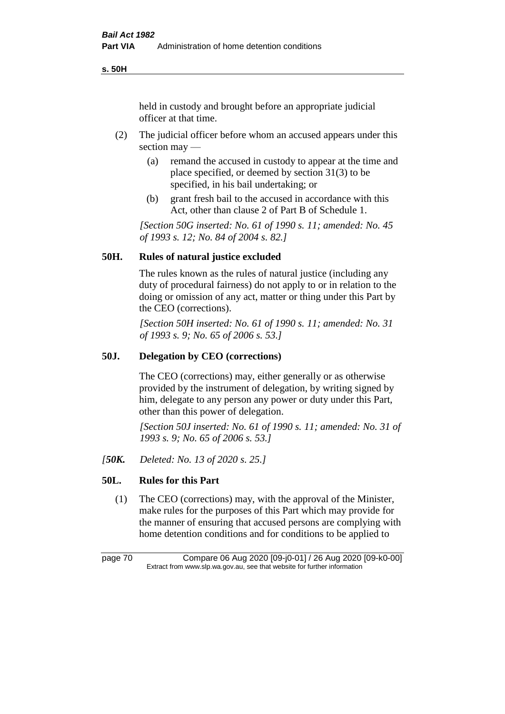**s. 50H**

held in custody and brought before an appropriate judicial officer at that time.

- (2) The judicial officer before whom an accused appears under this section may —
	- (a) remand the accused in custody to appear at the time and place specified, or deemed by section 31(3) to be specified, in his bail undertaking; or
	- (b) grant fresh bail to the accused in accordance with this Act, other than clause 2 of Part B of Schedule 1.

*[Section 50G inserted: No. 61 of 1990 s. 11; amended: No. 45 of 1993 s. 12; No. 84 of 2004 s. 82.]* 

## **50H. Rules of natural justice excluded**

The rules known as the rules of natural justice (including any duty of procedural fairness) do not apply to or in relation to the doing or omission of any act, matter or thing under this Part by the CEO (corrections).

*[Section 50H inserted: No. 61 of 1990 s. 11; amended: No. 31 of 1993 s. 9; No. 65 of 2006 s. 53.]* 

## **50J. Delegation by CEO (corrections)**

The CEO (corrections) may, either generally or as otherwise provided by the instrument of delegation, by writing signed by him, delegate to any person any power or duty under this Part, other than this power of delegation.

*[Section 50J inserted: No. 61 of 1990 s. 11; amended: No. 31 of 1993 s. 9; No. 65 of 2006 s. 53.]* 

*[50K. Deleted: No. 13 of 2020 s. 25.]*

# **50L. Rules for this Part**

(1) The CEO (corrections) may, with the approval of the Minister, make rules for the purposes of this Part which may provide for the manner of ensuring that accused persons are complying with home detention conditions and for conditions to be applied to

page 70 Compare 06 Aug 2020 [09-j0-01] / 26 Aug 2020 [09-k0-00] Extract from www.slp.wa.gov.au, see that website for further information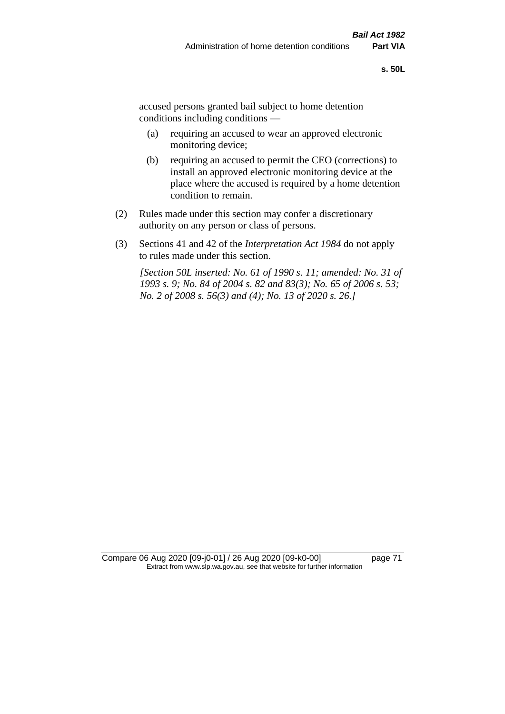accused persons granted bail subject to home detention conditions including conditions —

- (a) requiring an accused to wear an approved electronic monitoring device;
- (b) requiring an accused to permit the CEO (corrections) to install an approved electronic monitoring device at the place where the accused is required by a home detention condition to remain.
- (2) Rules made under this section may confer a discretionary authority on any person or class of persons.
- (3) Sections 41 and 42 of the *Interpretation Act 1984* do not apply to rules made under this section.

*[Section 50L inserted: No. 61 of 1990 s. 11; amended: No. 31 of 1993 s. 9; No. 84 of 2004 s. 82 and 83(3); No. 65 of 2006 s. 53; No. 2 of 2008 s. 56(3) and (4); No. 13 of 2020 s. 26.]* 

Compare 06 Aug 2020 [09-j0-01] / 26 Aug 2020 [09-k0-00] page 71 Extract from www.slp.wa.gov.au, see that website for further information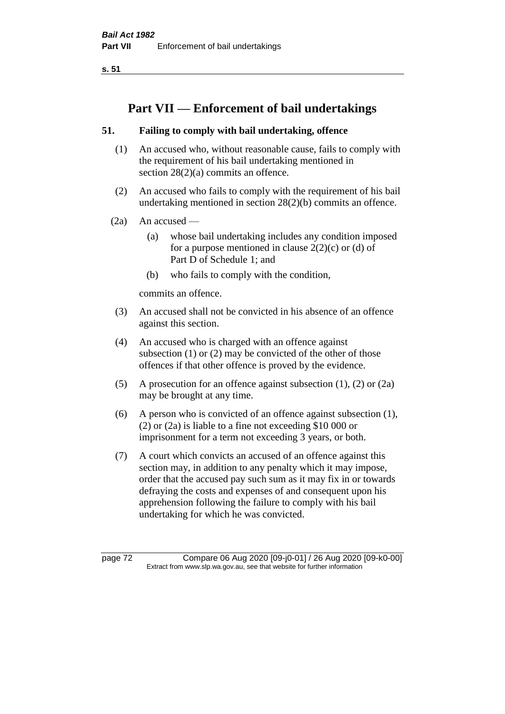**s. 51**

# **Part VII — Enforcement of bail undertakings**

## **51. Failing to comply with bail undertaking, offence**

- (1) An accused who, without reasonable cause, fails to comply with the requirement of his bail undertaking mentioned in section 28(2)(a) commits an offence.
- (2) An accused who fails to comply with the requirement of his bail undertaking mentioned in section 28(2)(b) commits an offence.
- $(2a)$  An accused
	- (a) whose bail undertaking includes any condition imposed for a purpose mentioned in clause  $2(2)(c)$  or (d) of Part D of Schedule 1; and
	- (b) who fails to comply with the condition,

commits an offence.

- (3) An accused shall not be convicted in his absence of an offence against this section.
- (4) An accused who is charged with an offence against subsection (1) or (2) may be convicted of the other of those offences if that other offence is proved by the evidence.
- (5) A prosecution for an offence against subsection (1), (2) or (2a) may be brought at any time.
- (6) A person who is convicted of an offence against subsection (1), (2) or (2a) is liable to a fine not exceeding \$10 000 or imprisonment for a term not exceeding 3 years, or both.
- (7) A court which convicts an accused of an offence against this section may, in addition to any penalty which it may impose, order that the accused pay such sum as it may fix in or towards defraying the costs and expenses of and consequent upon his apprehension following the failure to comply with his bail undertaking for which he was convicted.

page 72 Compare 06 Aug 2020 [09-j0-01] / 26 Aug 2020 [09-k0-00] Extract from www.slp.wa.gov.au, see that website for further information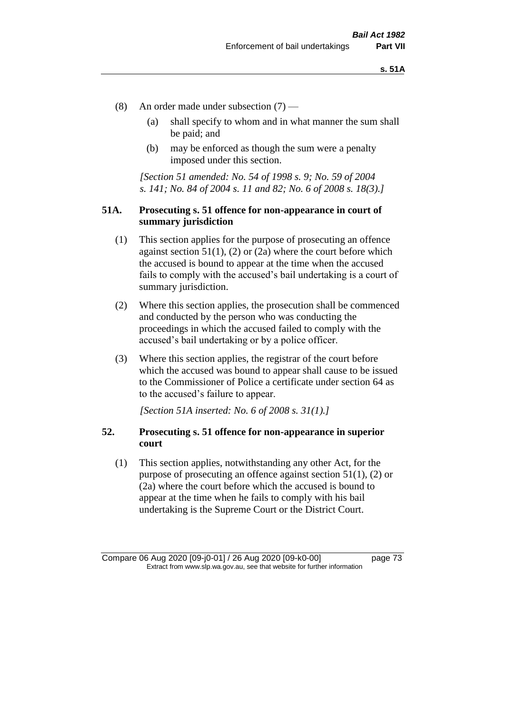- (8) An order made under subsection (7)
	- (a) shall specify to whom and in what manner the sum shall be paid; and
	- (b) may be enforced as though the sum were a penalty imposed under this section.

*[Section 51 amended: No. 54 of 1998 s. 9; No. 59 of 2004 s. 141; No. 84 of 2004 s. 11 and 82; No. 6 of 2008 s. 18(3).]*

### **51A. Prosecuting s. 51 offence for non-appearance in court of summary jurisdiction**

- (1) This section applies for the purpose of prosecuting an offence against section  $51(1)$ , (2) or (2a) where the court before which the accused is bound to appear at the time when the accused fails to comply with the accused's bail undertaking is a court of summary jurisdiction.
- (2) Where this section applies, the prosecution shall be commenced and conducted by the person who was conducting the proceedings in which the accused failed to comply with the accused's bail undertaking or by a police officer.
- (3) Where this section applies, the registrar of the court before which the accused was bound to appear shall cause to be issued to the Commissioner of Police a certificate under section 64 as to the accused's failure to appear.

*[Section 51A inserted: No. 6 of 2008 s. 31(1).]*

## **52. Prosecuting s. 51 offence for non-appearance in superior court**

(1) This section applies, notwithstanding any other Act, for the purpose of prosecuting an offence against section 51(1), (2) or (2a) where the court before which the accused is bound to appear at the time when he fails to comply with his bail undertaking is the Supreme Court or the District Court.

Compare 06 Aug 2020 [09-j0-01] / 26 Aug 2020 [09-k0-00] page 73 Extract from www.slp.wa.gov.au, see that website for further information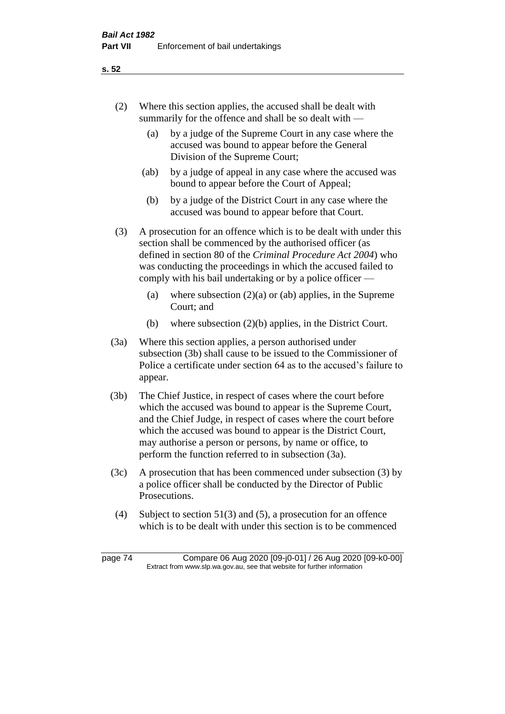- (2) Where this section applies, the accused shall be dealt with summarily for the offence and shall be so dealt with —
	- (a) by a judge of the Supreme Court in any case where the accused was bound to appear before the General Division of the Supreme Court;
	- (ab) by a judge of appeal in any case where the accused was bound to appear before the Court of Appeal;
	- (b) by a judge of the District Court in any case where the accused was bound to appear before that Court.
- (3) A prosecution for an offence which is to be dealt with under this section shall be commenced by the authorised officer (as defined in section 80 of the *Criminal Procedure Act 2004*) who was conducting the proceedings in which the accused failed to comply with his bail undertaking or by a police officer —
	- (a) where subsection  $(2)(a)$  or (ab) applies, in the Supreme Court; and
	- (b) where subsection (2)(b) applies, in the District Court.
- (3a) Where this section applies, a person authorised under subsection (3b) shall cause to be issued to the Commissioner of Police a certificate under section 64 as to the accused's failure to appear.
- (3b) The Chief Justice, in respect of cases where the court before which the accused was bound to appear is the Supreme Court, and the Chief Judge, in respect of cases where the court before which the accused was bound to appear is the District Court, may authorise a person or persons, by name or office, to perform the function referred to in subsection (3a).
- (3c) A prosecution that has been commenced under subsection (3) by a police officer shall be conducted by the Director of Public Prosecutions.
- (4) Subject to section 51(3) and (5), a prosecution for an offence which is to be dealt with under this section is to be commenced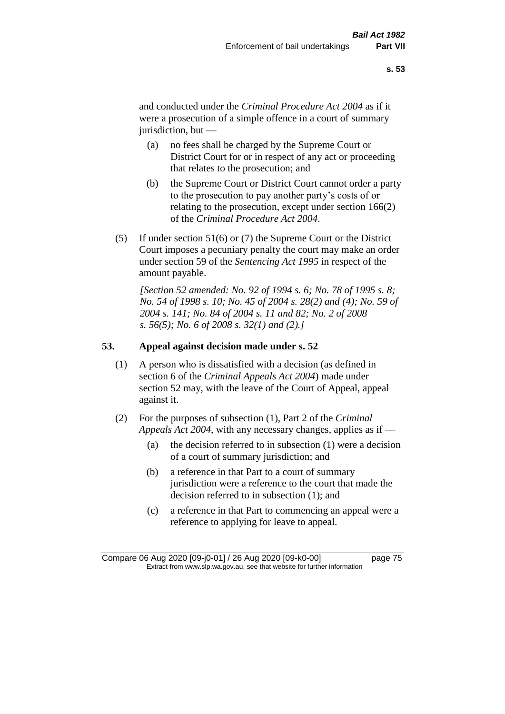and conducted under the *Criminal Procedure Act 2004* as if it were a prosecution of a simple offence in a court of summary jurisdiction, but —

- (a) no fees shall be charged by the Supreme Court or District Court for or in respect of any act or proceeding that relates to the prosecution; and
- (b) the Supreme Court or District Court cannot order a party to the prosecution to pay another party's costs of or relating to the prosecution, except under section 166(2) of the *Criminal Procedure Act 2004*.
- (5) If under section 51(6) or (7) the Supreme Court or the District Court imposes a pecuniary penalty the court may make an order under section 59 of the *Sentencing Act 1995* in respect of the amount payable.

*[Section 52 amended: No. 92 of 1994 s. 6; No. 78 of 1995 s. 8; No. 54 of 1998 s. 10; No. 45 of 2004 s. 28(2) and (4); No. 59 of 2004 s. 141; No. 84 of 2004 s. 11 and 82; No. 2 of 2008 s. 56(5); No. 6 of 2008 s. 32(1) and (2).]* 

### **53. Appeal against decision made under s. 52**

- (1) A person who is dissatisfied with a decision (as defined in section 6 of the *Criminal Appeals Act 2004*) made under section 52 may, with the leave of the Court of Appeal, appeal against it.
- (2) For the purposes of subsection (1), Part 2 of the *Criminal Appeals Act 2004*, with any necessary changes, applies as if —
	- (a) the decision referred to in subsection (1) were a decision of a court of summary jurisdiction; and
	- (b) a reference in that Part to a court of summary jurisdiction were a reference to the court that made the decision referred to in subsection (1); and
	- (c) a reference in that Part to commencing an appeal were a reference to applying for leave to appeal.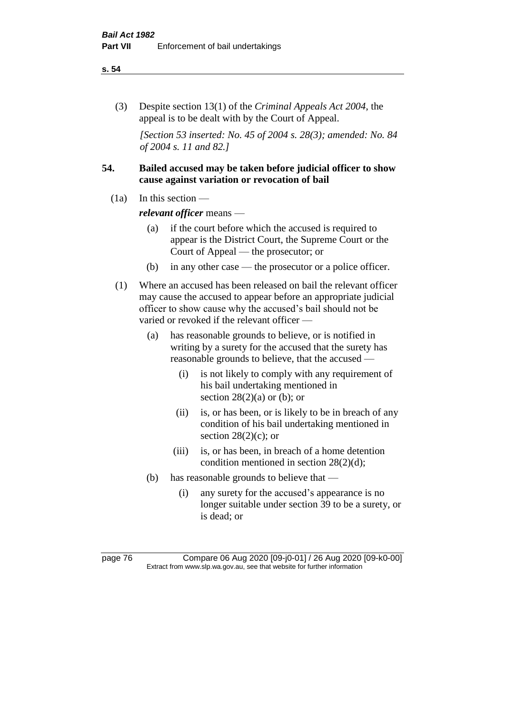#### **s. 54**

(3) Despite section 13(1) of the *Criminal Appeals Act 2004*, the appeal is to be dealt with by the Court of Appeal.

*[Section 53 inserted: No. 45 of 2004 s. 28(3); amended: No. 84 of 2004 s. 11 and 82.]*

## **54. Bailed accused may be taken before judicial officer to show cause against variation or revocation of bail**

 $(1a)$  In this section —

*relevant officer* means —

- (a) if the court before which the accused is required to appear is the District Court, the Supreme Court or the Court of Appeal — the prosecutor; or
- (b) in any other case the prosecutor or a police officer.
- (1) Where an accused has been released on bail the relevant officer may cause the accused to appear before an appropriate judicial officer to show cause why the accused's bail should not be varied or revoked if the relevant officer —
	- (a) has reasonable grounds to believe, or is notified in writing by a surety for the accused that the surety has reasonable grounds to believe, that the accused —
		- (i) is not likely to comply with any requirement of his bail undertaking mentioned in section  $28(2)(a)$  or (b); or
		- (ii) is, or has been, or is likely to be in breach of any condition of his bail undertaking mentioned in section  $28(2)(c)$ ; or
		- (iii) is, or has been, in breach of a home detention condition mentioned in section 28(2)(d);
	- (b) has reasonable grounds to believe that
		- (i) any surety for the accused's appearance is no longer suitable under section 39 to be a surety, or is dead; or

page 76 Compare 06 Aug 2020 [09-j0-01] / 26 Aug 2020 [09-k0-00] Extract from www.slp.wa.gov.au, see that website for further information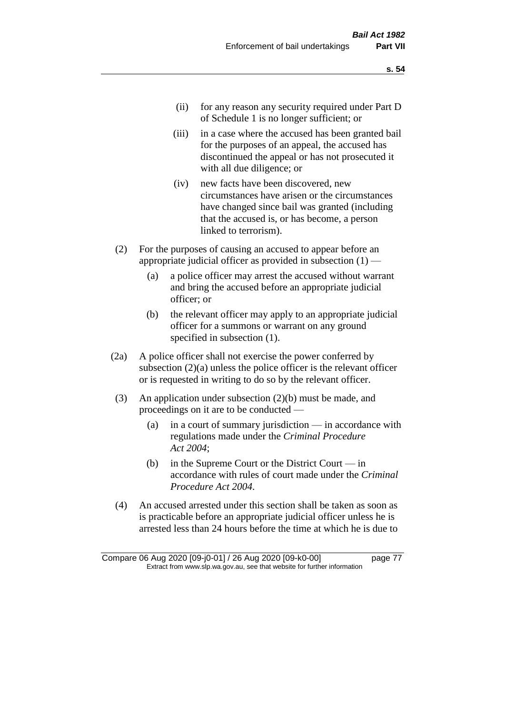- (ii) for any reason any security required under Part D of Schedule 1 is no longer sufficient; or
- (iii) in a case where the accused has been granted bail for the purposes of an appeal, the accused has discontinued the appeal or has not prosecuted it with all due diligence; or
- (iv) new facts have been discovered, new circumstances have arisen or the circumstances have changed since bail was granted (including that the accused is, or has become, a person linked to terrorism).
- (2) For the purposes of causing an accused to appear before an appropriate judicial officer as provided in subsection  $(1)$  —
	- (a) a police officer may arrest the accused without warrant and bring the accused before an appropriate judicial officer; or
	- (b) the relevant officer may apply to an appropriate judicial officer for a summons or warrant on any ground specified in subsection (1).
- (2a) A police officer shall not exercise the power conferred by subsection (2)(a) unless the police officer is the relevant officer or is requested in writing to do so by the relevant officer.
- (3) An application under subsection (2)(b) must be made, and proceedings on it are to be conducted —
	- (a) in a court of summary jurisdiction in accordance with regulations made under the *Criminal Procedure Act 2004*;
	- (b) in the Supreme Court or the District Court  $-\text{in}$ accordance with rules of court made under the *Criminal Procedure Act 2004*.
- (4) An accused arrested under this section shall be taken as soon as is practicable before an appropriate judicial officer unless he is arrested less than 24 hours before the time at which he is due to

Compare 06 Aug 2020 [09-j0-01] / 26 Aug 2020 [09-k0-00] page 77 Extract from www.slp.wa.gov.au, see that website for further information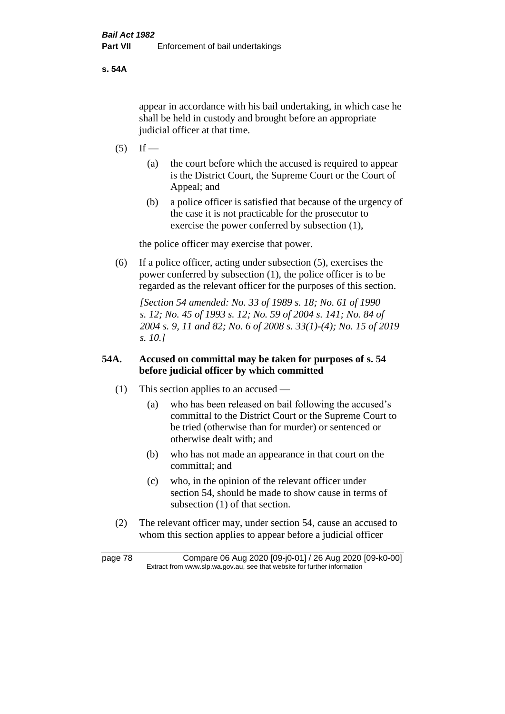**s. 54A**

appear in accordance with his bail undertaking, in which case he shall be held in custody and brought before an appropriate judicial officer at that time.

- $(5)$  If
	- (a) the court before which the accused is required to appear is the District Court, the Supreme Court or the Court of Appeal; and
	- (b) a police officer is satisfied that because of the urgency of the case it is not practicable for the prosecutor to exercise the power conferred by subsection (1),

the police officer may exercise that power.

(6) If a police officer, acting under subsection (5), exercises the power conferred by subsection (1), the police officer is to be regarded as the relevant officer for the purposes of this section.

*[Section 54 amended: No. 33 of 1989 s. 18; No. 61 of 1990 s. 12; No. 45 of 1993 s. 12; No. 59 of 2004 s. 141; No. 84 of 2004 s. 9, 11 and 82; No. 6 of 2008 s. 33(1)-(4); No. 15 of 2019 s. 10.]* 

## **54A. Accused on committal may be taken for purposes of s. 54 before judicial officer by which committed**

- (1) This section applies to an accused
	- (a) who has been released on bail following the accused's committal to the District Court or the Supreme Court to be tried (otherwise than for murder) or sentenced or otherwise dealt with; and
	- (b) who has not made an appearance in that court on the committal; and
	- (c) who, in the opinion of the relevant officer under section 54, should be made to show cause in terms of subsection (1) of that section.
- (2) The relevant officer may, under section 54, cause an accused to whom this section applies to appear before a judicial officer

page 78 Compare 06 Aug 2020 [09-j0-01] / 26 Aug 2020 [09-k0-00] Extract from www.slp.wa.gov.au, see that website for further information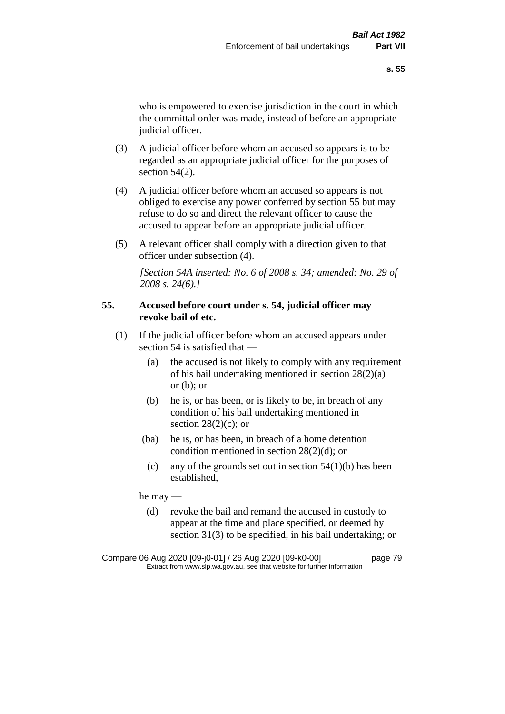who is empowered to exercise jurisdiction in the court in which the committal order was made, instead of before an appropriate judicial officer.

- (3) A judicial officer before whom an accused so appears is to be regarded as an appropriate judicial officer for the purposes of section 54(2).
- (4) A judicial officer before whom an accused so appears is not obliged to exercise any power conferred by section 55 but may refuse to do so and direct the relevant officer to cause the accused to appear before an appropriate judicial officer.
- (5) A relevant officer shall comply with a direction given to that officer under subsection (4).

*[Section 54A inserted: No. 6 of 2008 s. 34; amended: No. 29 of 2008 s. 24(6).]*

## **55. Accused before court under s. 54, judicial officer may revoke bail of etc.**

- (1) If the judicial officer before whom an accused appears under section 54 is satisfied that —
	- (a) the accused is not likely to comply with any requirement of his bail undertaking mentioned in section 28(2)(a) or  $(b)$ ; or
	- (b) he is, or has been, or is likely to be, in breach of any condition of his bail undertaking mentioned in section  $28(2)(c)$ ; or
	- (ba) he is, or has been, in breach of a home detention condition mentioned in section 28(2)(d); or
		- (c) any of the grounds set out in section  $54(1)(b)$  has been established,

he may —

(d) revoke the bail and remand the accused in custody to appear at the time and place specified, or deemed by section 31(3) to be specified, in his bail undertaking; or

Compare 06 Aug 2020 [09-j0-01] / 26 Aug 2020 [09-k0-00] page 79 Extract from www.slp.wa.gov.au, see that website for further information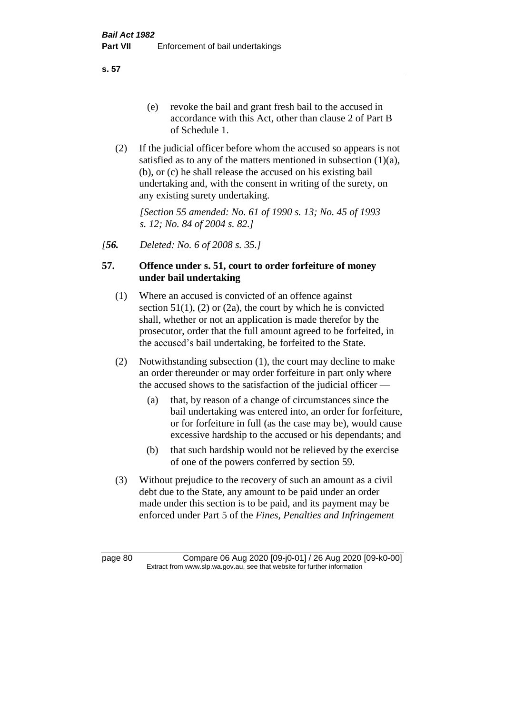**s. 57**

- (e) revoke the bail and grant fresh bail to the accused in accordance with this Act, other than clause 2 of Part B of Schedule 1.
- (2) If the judicial officer before whom the accused so appears is not satisfied as to any of the matters mentioned in subsection (1)(a), (b), or (c) he shall release the accused on his existing bail undertaking and, with the consent in writing of the surety, on any existing surety undertaking.

*[Section 55 amended: No. 61 of 1990 s. 13; No. 45 of 1993 s. 12; No. 84 of 2004 s. 82.]* 

*[56. Deleted: No. 6 of 2008 s. 35.]*

## **57. Offence under s. 51, court to order forfeiture of money under bail undertaking**

- (1) Where an accused is convicted of an offence against section  $51(1)$ ,  $(2)$  or  $(2a)$ , the court by which he is convicted shall, whether or not an application is made therefor by the prosecutor, order that the full amount agreed to be forfeited, in the accused's bail undertaking, be forfeited to the State.
- (2) Notwithstanding subsection (1), the court may decline to make an order thereunder or may order forfeiture in part only where the accused shows to the satisfaction of the judicial officer —
	- (a) that, by reason of a change of circumstances since the bail undertaking was entered into, an order for forfeiture, or for forfeiture in full (as the case may be), would cause excessive hardship to the accused or his dependants; and
	- (b) that such hardship would not be relieved by the exercise of one of the powers conferred by section 59.
- (3) Without prejudice to the recovery of such an amount as a civil debt due to the State, any amount to be paid under an order made under this section is to be paid, and its payment may be enforced under Part 5 of the *Fines, Penalties and Infringement*

page 80 Compare 06 Aug 2020 [09-j0-01] / 26 Aug 2020 [09-k0-00] Extract from www.slp.wa.gov.au, see that website for further information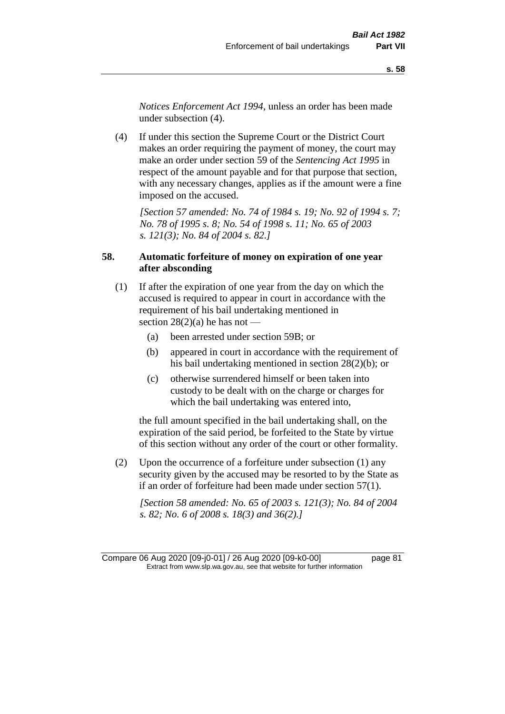*Notices Enforcement Act 1994*, unless an order has been made under subsection (4).

(4) If under this section the Supreme Court or the District Court makes an order requiring the payment of money, the court may make an order under section 59 of the *Sentencing Act 1995* in respect of the amount payable and for that purpose that section, with any necessary changes, applies as if the amount were a fine imposed on the accused.

*[Section 57 amended: No. 74 of 1984 s. 19; No. 92 of 1994 s. 7; No. 78 of 1995 s. 8; No. 54 of 1998 s. 11; No. 65 of 2003 s. 121(3); No. 84 of 2004 s. 82.]* 

## **58. Automatic forfeiture of money on expiration of one year after absconding**

- (1) If after the expiration of one year from the day on which the accused is required to appear in court in accordance with the requirement of his bail undertaking mentioned in section  $28(2)(a)$  he has not —
	- (a) been arrested under section 59B; or
	- (b) appeared in court in accordance with the requirement of his bail undertaking mentioned in section 28(2)(b); or
	- (c) otherwise surrendered himself or been taken into custody to be dealt with on the charge or charges for which the bail undertaking was entered into,

the full amount specified in the bail undertaking shall, on the expiration of the said period, be forfeited to the State by virtue of this section without any order of the court or other formality.

(2) Upon the occurrence of a forfeiture under subsection (1) any security given by the accused may be resorted to by the State as if an order of forfeiture had been made under section 57(1).

*[Section 58 amended: No. 65 of 2003 s. 121(3); No. 84 of 2004 s. 82; No. 6 of 2008 s. 18(3) and 36(2).]*

Compare 06 Aug 2020 [09-j0-01] / 26 Aug 2020 [09-k0-00] page 81 Extract from www.slp.wa.gov.au, see that website for further information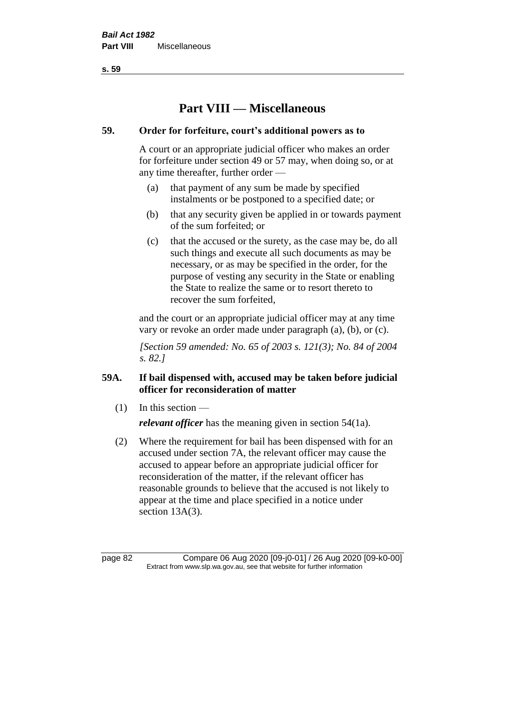**s. 59**

# **Part VIII — Miscellaneous**

## **59. Order for forfeiture, court's additional powers as to**

A court or an appropriate judicial officer who makes an order for forfeiture under section 49 or 57 may, when doing so, or at any time thereafter, further order —

- (a) that payment of any sum be made by specified instalments or be postponed to a specified date; or
- (b) that any security given be applied in or towards payment of the sum forfeited; or
- (c) that the accused or the surety, as the case may be, do all such things and execute all such documents as may be necessary, or as may be specified in the order, for the purpose of vesting any security in the State or enabling the State to realize the same or to resort thereto to recover the sum forfeited,

and the court or an appropriate judicial officer may at any time vary or revoke an order made under paragraph (a), (b), or (c).

*[Section 59 amended: No. 65 of 2003 s. 121(3); No. 84 of 2004 s. 82.]*

## **59A. If bail dispensed with, accused may be taken before judicial officer for reconsideration of matter**

 $(1)$  In this section —

*relevant officer* has the meaning given in section 54(1a).

(2) Where the requirement for bail has been dispensed with for an accused under section 7A, the relevant officer may cause the accused to appear before an appropriate judicial officer for reconsideration of the matter, if the relevant officer has reasonable grounds to believe that the accused is not likely to appear at the time and place specified in a notice under section 13A(3).

page 82 Compare 06 Aug 2020 [09-j0-01] / 26 Aug 2020 [09-k0-00] Extract from www.slp.wa.gov.au, see that website for further information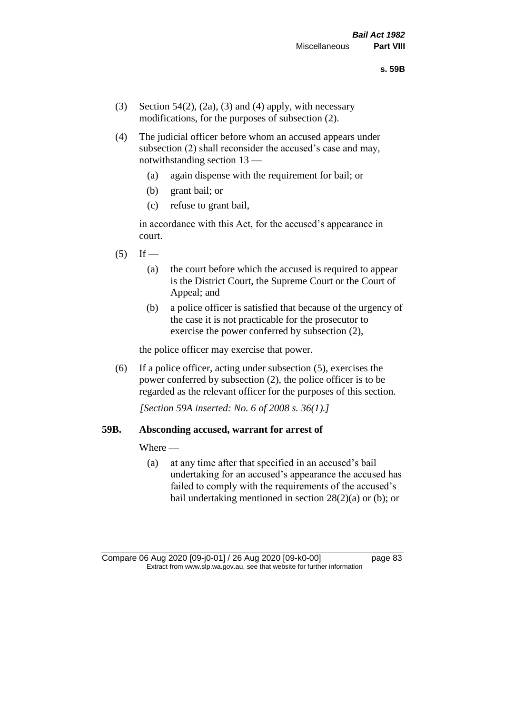- (3) Section 54(2), (2a), (3) and (4) apply, with necessary modifications, for the purposes of subsection (2).
- (4) The judicial officer before whom an accused appears under subsection (2) shall reconsider the accused's case and may, notwithstanding section 13 —
	- (a) again dispense with the requirement for bail; or
	- (b) grant bail; or
	- (c) refuse to grant bail,

in accordance with this Act, for the accused's appearance in court.

- $(5)$  If
	- (a) the court before which the accused is required to appear is the District Court, the Supreme Court or the Court of Appeal; and
	- (b) a police officer is satisfied that because of the urgency of the case it is not practicable for the prosecutor to exercise the power conferred by subsection (2),

the police officer may exercise that power.

(6) If a police officer, acting under subsection (5), exercises the power conferred by subsection (2), the police officer is to be regarded as the relevant officer for the purposes of this section.

*[Section 59A inserted: No. 6 of 2008 s. 36(1).]*

### **59B. Absconding accused, warrant for arrest of**

Where —

(a) at any time after that specified in an accused's bail undertaking for an accused's appearance the accused has failed to comply with the requirements of the accused's bail undertaking mentioned in section  $28(2)(a)$  or (b); or

Compare 06 Aug 2020 [09-j0-01] / 26 Aug 2020 [09-k0-00] page 83 Extract from www.slp.wa.gov.au, see that website for further information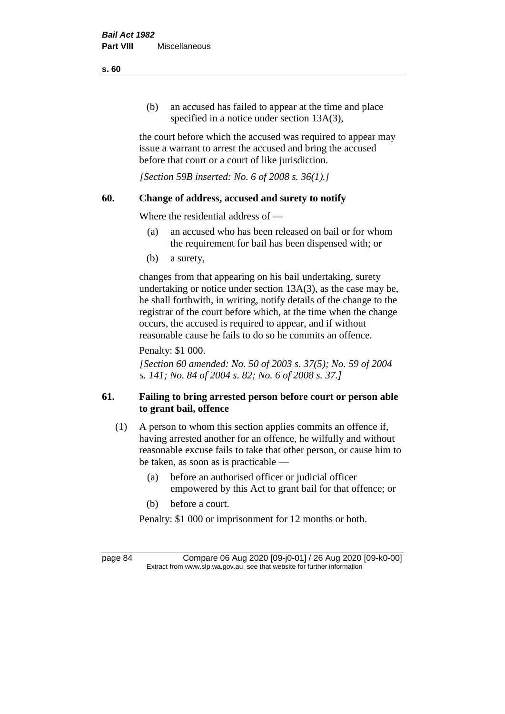(b) an accused has failed to appear at the time and place specified in a notice under section 13A(3),

the court before which the accused was required to appear may issue a warrant to arrest the accused and bring the accused before that court or a court of like jurisdiction.

*[Section 59B inserted: No. 6 of 2008 s. 36(1).]*

## **60. Change of address, accused and surety to notify**

Where the residential address of —

- (a) an accused who has been released on bail or for whom the requirement for bail has been dispensed with; or
- (b) a surety,

changes from that appearing on his bail undertaking, surety undertaking or notice under section 13A(3), as the case may be, he shall forthwith, in writing, notify details of the change to the registrar of the court before which, at the time when the change occurs, the accused is required to appear, and if without reasonable cause he fails to do so he commits an offence.

Penalty: \$1 000.

*[Section 60 amended: No. 50 of 2003 s. 37(5); No. 59 of 2004 s. 141; No. 84 of 2004 s. 82; No. 6 of 2008 s. 37.]*

## **61. Failing to bring arrested person before court or person able to grant bail, offence**

- (1) A person to whom this section applies commits an offence if, having arrested another for an offence, he wilfully and without reasonable excuse fails to take that other person, or cause him to be taken, as soon as is practicable —
	- (a) before an authorised officer or judicial officer empowered by this Act to grant bail for that offence; or
	- (b) before a court.

Penalty: \$1 000 or imprisonment for 12 months or both.

page 84 Compare 06 Aug 2020 [09-j0-01] / 26 Aug 2020 [09-k0-00] Extract from www.slp.wa.gov.au, see that website for further information

**s. 60**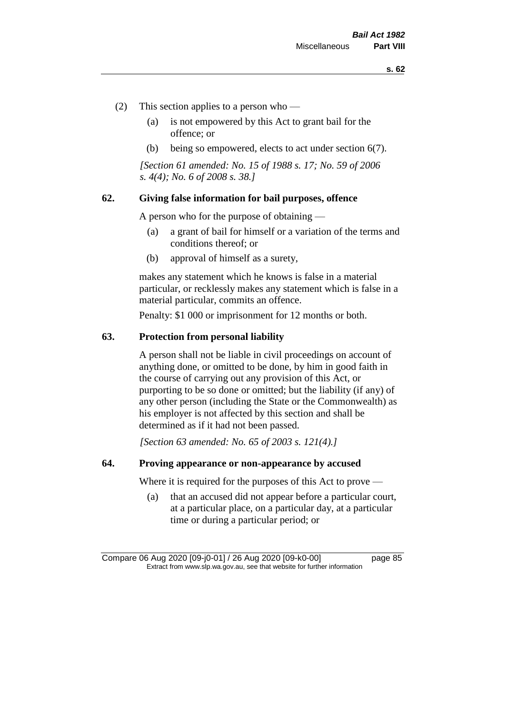- (2) This section applies to a person who
	- (a) is not empowered by this Act to grant bail for the offence; or
	- (b) being so empowered, elects to act under section 6(7).

*[Section 61 amended: No. 15 of 1988 s. 17; No. 59 of 2006 s. 4(4); No. 6 of 2008 s. 38.]* 

### **62. Giving false information for bail purposes, offence**

A person who for the purpose of obtaining —

- (a) a grant of bail for himself or a variation of the terms and conditions thereof; or
- (b) approval of himself as a surety,

makes any statement which he knows is false in a material particular, or recklessly makes any statement which is false in a material particular, commits an offence.

Penalty: \$1 000 or imprisonment for 12 months or both.

### **63. Protection from personal liability**

A person shall not be liable in civil proceedings on account of anything done, or omitted to be done, by him in good faith in the course of carrying out any provision of this Act, or purporting to be so done or omitted; but the liability (if any) of any other person (including the State or the Commonwealth) as his employer is not affected by this section and shall be determined as if it had not been passed.

*[Section 63 amended: No. 65 of 2003 s. 121(4).]*

### **64. Proving appearance or non-appearance by accused**

Where it is required for the purposes of this Act to prove —

(a) that an accused did not appear before a particular court, at a particular place, on a particular day, at a particular time or during a particular period; or

Compare 06 Aug 2020 [09-j0-01] / 26 Aug 2020 [09-k0-00] page 85 Extract from www.slp.wa.gov.au, see that website for further information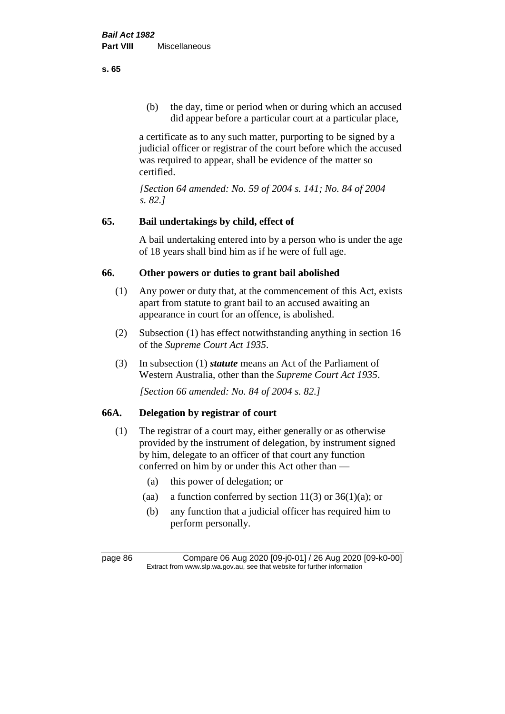(b) the day, time or period when or during which an accused did appear before a particular court at a particular place,

a certificate as to any such matter, purporting to be signed by a judicial officer or registrar of the court before which the accused was required to appear, shall be evidence of the matter so certified.

*[Section 64 amended: No. 59 of 2004 s. 141; No. 84 of 2004 s. 82.]* 

## **65. Bail undertakings by child, effect of**

A bail undertaking entered into by a person who is under the age of 18 years shall bind him as if he were of full age.

## **66. Other powers or duties to grant bail abolished**

- (1) Any power or duty that, at the commencement of this Act, exists apart from statute to grant bail to an accused awaiting an appearance in court for an offence, is abolished.
- (2) Subsection (1) has effect notwithstanding anything in section 16 of the *Supreme Court Act 1935*.
- (3) In subsection (1) *statute* means an Act of the Parliament of Western Australia, other than the *Supreme Court Act 1935*.

*[Section 66 amended: No. 84 of 2004 s. 82.]*

## **66A. Delegation by registrar of court**

- (1) The registrar of a court may, either generally or as otherwise provided by the instrument of delegation, by instrument signed by him, delegate to an officer of that court any function conferred on him by or under this Act other than —
	- (a) this power of delegation; or
	- (aa) a function conferred by section  $11(3)$  or  $36(1)(a)$ ; or
	- (b) any function that a judicial officer has required him to perform personally.

**s. 65**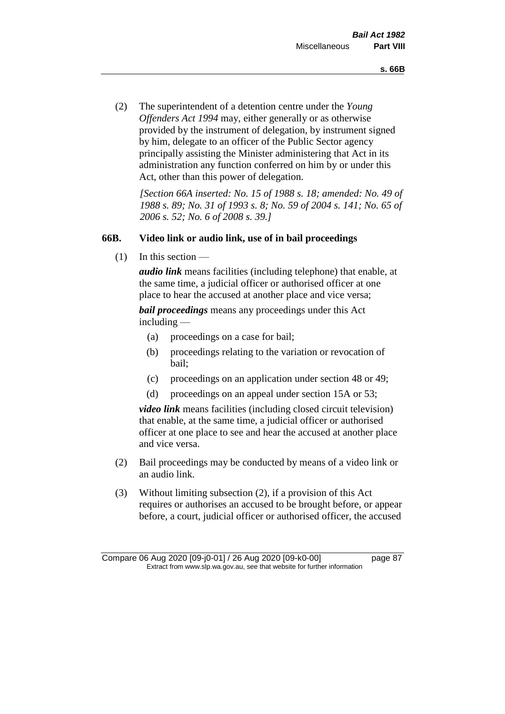(2) The superintendent of a detention centre under the *Young Offenders Act 1994* may, either generally or as otherwise provided by the instrument of delegation, by instrument signed by him, delegate to an officer of the Public Sector agency principally assisting the Minister administering that Act in its administration any function conferred on him by or under this Act, other than this power of delegation.

*[Section 66A inserted: No. 15 of 1988 s. 18; amended: No. 49 of 1988 s. 89; No. 31 of 1993 s. 8; No. 59 of 2004 s. 141; No. 65 of 2006 s. 52; No. 6 of 2008 s. 39.]* 

### **66B. Video link or audio link, use of in bail proceedings**

 $(1)$  In this section —

*audio link* means facilities (including telephone) that enable, at the same time, a judicial officer or authorised officer at one place to hear the accused at another place and vice versa;

*bail proceedings* means any proceedings under this Act including —

- (a) proceedings on a case for bail;
- (b) proceedings relating to the variation or revocation of bail;
- (c) proceedings on an application under section 48 or 49;
- (d) proceedings on an appeal under section 15A or 53;

*video link* means facilities (including closed circuit television) that enable, at the same time, a judicial officer or authorised officer at one place to see and hear the accused at another place and vice versa.

- (2) Bail proceedings may be conducted by means of a video link or an audio link.
- (3) Without limiting subsection (2), if a provision of this Act requires or authorises an accused to be brought before, or appear before, a court, judicial officer or authorised officer, the accused

Compare 06 Aug 2020 [09-j0-01] / 26 Aug 2020 [09-k0-00] page 87 Extract from www.slp.wa.gov.au, see that website for further information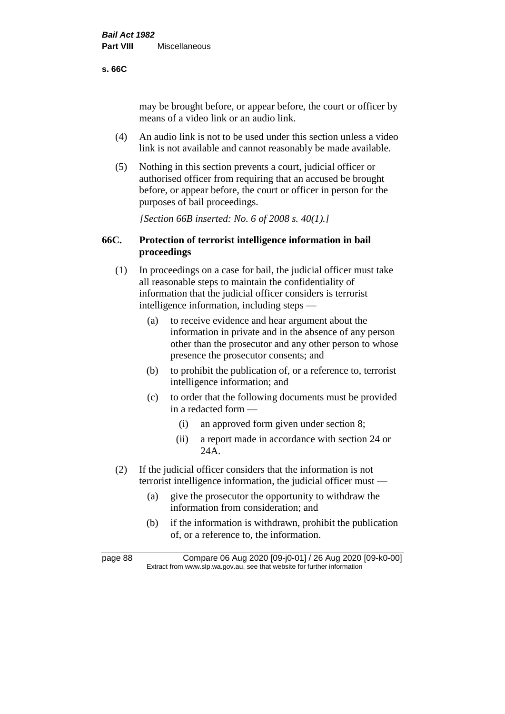### **s. 66C**

may be brought before, or appear before, the court or officer by means of a video link or an audio link.

- (4) An audio link is not to be used under this section unless a video link is not available and cannot reasonably be made available.
- (5) Nothing in this section prevents a court, judicial officer or authorised officer from requiring that an accused be brought before, or appear before, the court or officer in person for the purposes of bail proceedings.

*[Section 66B inserted: No. 6 of 2008 s. 40(1).]*

## **66C. Protection of terrorist intelligence information in bail proceedings**

- (1) In proceedings on a case for bail, the judicial officer must take all reasonable steps to maintain the confidentiality of information that the judicial officer considers is terrorist intelligence information, including steps —
	- (a) to receive evidence and hear argument about the information in private and in the absence of any person other than the prosecutor and any other person to whose presence the prosecutor consents; and
	- (b) to prohibit the publication of, or a reference to, terrorist intelligence information; and
	- (c) to order that the following documents must be provided in a redacted form —
		- (i) an approved form given under section 8;
		- (ii) a report made in accordance with section 24 or 24A.
- (2) If the judicial officer considers that the information is not terrorist intelligence information, the judicial officer must —
	- (a) give the prosecutor the opportunity to withdraw the information from consideration; and
	- (b) if the information is withdrawn, prohibit the publication of, or a reference to, the information.

page 88 Compare 06 Aug 2020 [09-j0-01] / 26 Aug 2020 [09-k0-00] Extract from www.slp.wa.gov.au, see that website for further information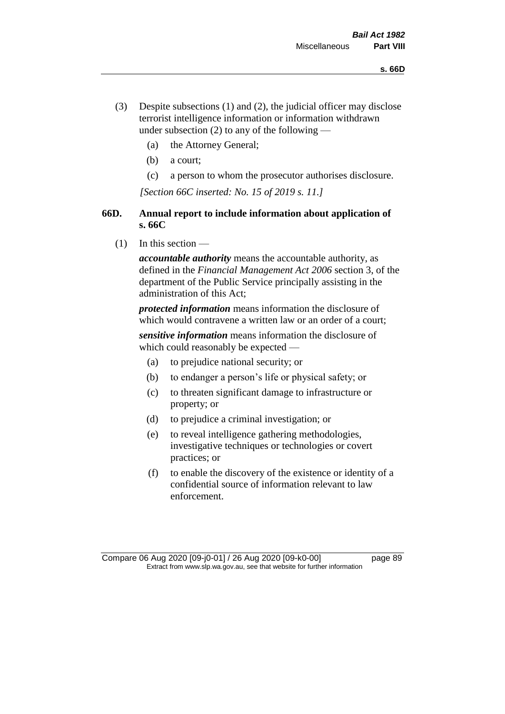- (3) Despite subsections (1) and (2), the judicial officer may disclose terrorist intelligence information or information withdrawn under subsection  $(2)$  to any of the following —
	- (a) the Attorney General;
	- (b) a court;
	- (c) a person to whom the prosecutor authorises disclosure.

*[Section 66C inserted: No. 15 of 2019 s. 11.]*

## **66D. Annual report to include information about application of s. 66C**

 $(1)$  In this section —

*accountable authority* means the accountable authority, as defined in the *Financial Management Act 2006* section 3, of the department of the Public Service principally assisting in the administration of this Act;

*protected information* means information the disclosure of which would contravene a written law or an order of a court;

*sensitive information* means information the disclosure of which could reasonably be expected —

- (a) to prejudice national security; or
- (b) to endanger a person's life or physical safety; or
- (c) to threaten significant damage to infrastructure or property; or
- (d) to prejudice a criminal investigation; or
- (e) to reveal intelligence gathering methodologies, investigative techniques or technologies or covert practices; or
- (f) to enable the discovery of the existence or identity of a confidential source of information relevant to law enforcement.

Compare 06 Aug 2020 [09-j0-01] / 26 Aug 2020 [09-k0-00] page 89 Extract from www.slp.wa.gov.au, see that website for further information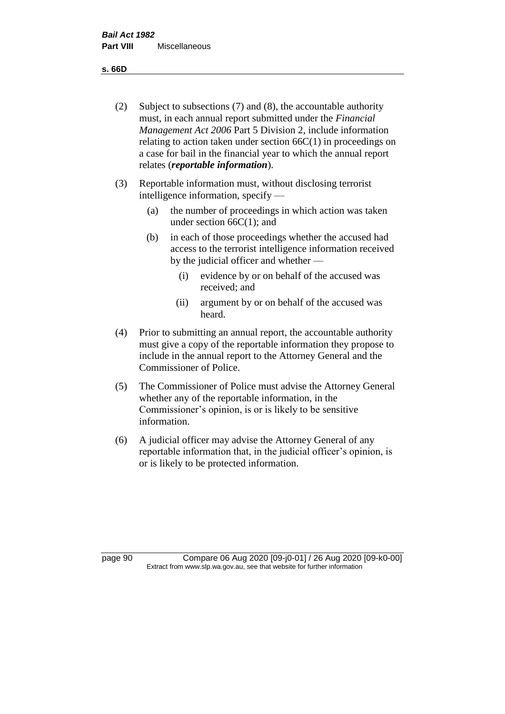**s. 66D**

- (2) Subject to subsections (7) and (8), the accountable authority must, in each annual report submitted under the *Financial Management Act 2006* Part 5 Division 2, include information relating to action taken under section  $66C(1)$  in proceedings on a case for bail in the financial year to which the annual report relates (*reportable information*).
- (3) Reportable information must, without disclosing terrorist intelligence information, specify —
	- (a) the number of proceedings in which action was taken under section  $66C(1)$ ; and
	- (b) in each of those proceedings whether the accused had access to the terrorist intelligence information received by the judicial officer and whether —
		- (i) evidence by or on behalf of the accused was received; and
		- (ii) argument by or on behalf of the accused was heard.
- (4) Prior to submitting an annual report, the accountable authority must give a copy of the reportable information they propose to include in the annual report to the Attorney General and the Commissioner of Police.
- (5) The Commissioner of Police must advise the Attorney General whether any of the reportable information, in the Commissioner's opinion, is or is likely to be sensitive information.
- (6) A judicial officer may advise the Attorney General of any reportable information that, in the judicial officer's opinion, is or is likely to be protected information.

page 90 Compare 06 Aug 2020 [09-j0-01] / 26 Aug 2020 [09-k0-00] Extract from www.slp.wa.gov.au, see that website for further information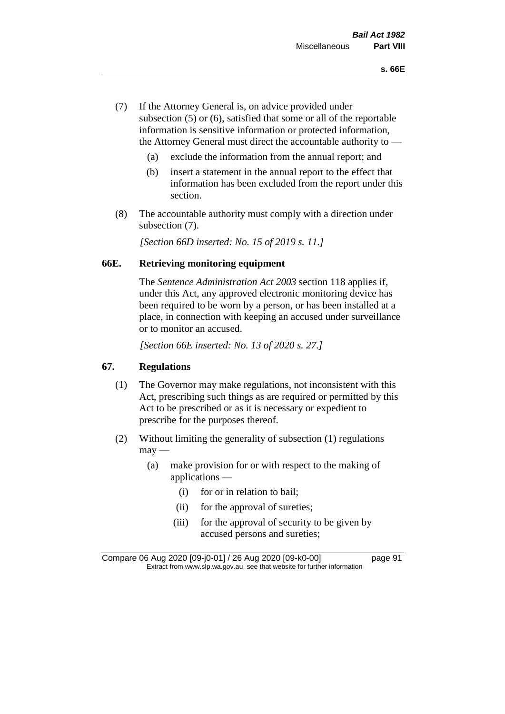- (7) If the Attorney General is, on advice provided under subsection (5) or (6), satisfied that some or all of the reportable information is sensitive information or protected information, the Attorney General must direct the accountable authority to —
	- (a) exclude the information from the annual report; and
	- (b) insert a statement in the annual report to the effect that information has been excluded from the report under this section.
- (8) The accountable authority must comply with a direction under subsection (7).

*[Section 66D inserted: No. 15 of 2019 s. 11.]*

### **66E. Retrieving monitoring equipment**

The *Sentence Administration Act 2003* section 118 applies if, under this Act, any approved electronic monitoring device has been required to be worn by a person, or has been installed at a place, in connection with keeping an accused under surveillance or to monitor an accused.

*[Section 66E inserted: No. 13 of 2020 s. 27.]*

## **67. Regulations**

- (1) The Governor may make regulations, not inconsistent with this Act, prescribing such things as are required or permitted by this Act to be prescribed or as it is necessary or expedient to prescribe for the purposes thereof.
- (2) Without limiting the generality of subsection (1) regulations  $may$ —
	- (a) make provision for or with respect to the making of applications —
		- (i) for or in relation to bail;
		- (ii) for the approval of sureties;
		- (iii) for the approval of security to be given by accused persons and sureties;

Compare 06 Aug 2020 [09-j0-01] / 26 Aug 2020 [09-k0-00] page 91 Extract from www.slp.wa.gov.au, see that website for further information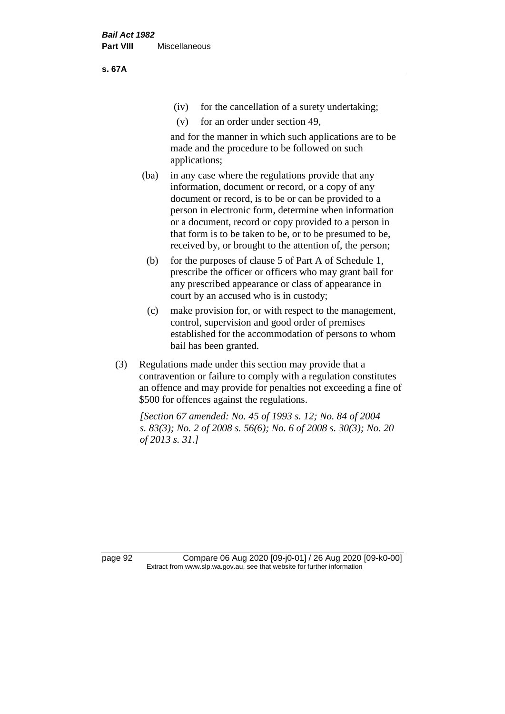(iv) for the cancellation of a surety undertaking;

(v) for an order under section 49,

and for the manner in which such applications are to be made and the procedure to be followed on such applications;

- (ba) in any case where the regulations provide that any information, document or record, or a copy of any document or record, is to be or can be provided to a person in electronic form, determine when information or a document, record or copy provided to a person in that form is to be taken to be, or to be presumed to be, received by, or brought to the attention of, the person;
	- (b) for the purposes of clause 5 of Part A of Schedule 1, prescribe the officer or officers who may grant bail for any prescribed appearance or class of appearance in court by an accused who is in custody;
	- (c) make provision for, or with respect to the management, control, supervision and good order of premises established for the accommodation of persons to whom bail has been granted.
- (3) Regulations made under this section may provide that a contravention or failure to comply with a regulation constitutes an offence and may provide for penalties not exceeding a fine of \$500 for offences against the regulations.

*[Section 67 amended: No. 45 of 1993 s. 12; No. 84 of 2004 s. 83(3); No. 2 of 2008 s. 56(6); No. 6 of 2008 s. 30(3); No. 20 of 2013 s. 31.]* 

page 92 Compare 06 Aug 2020 [09-j0-01] / 26 Aug 2020 [09-k0-00] Extract from www.slp.wa.gov.au, see that website for further information

**s. 67A**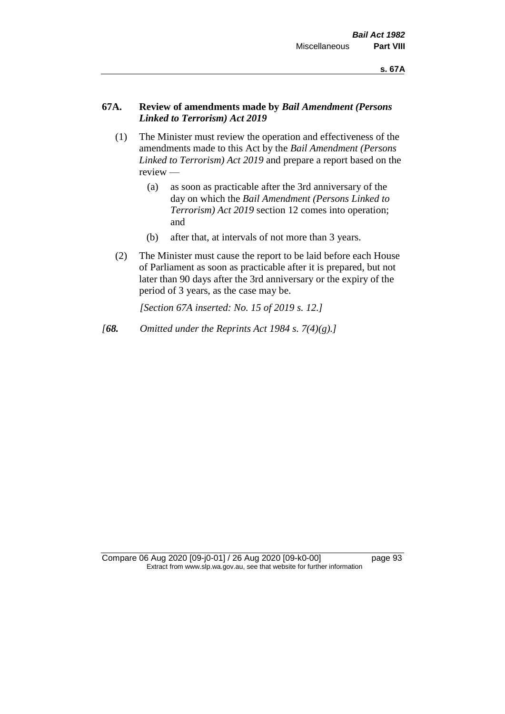## **67A. Review of amendments made by** *Bail Amendment (Persons Linked to Terrorism) Act 2019*

- (1) The Minister must review the operation and effectiveness of the amendments made to this Act by the *Bail Amendment (Persons Linked to Terrorism) Act 2019* and prepare a report based on the review —
	- (a) as soon as practicable after the 3rd anniversary of the day on which the *Bail Amendment (Persons Linked to Terrorism) Act 2019* section 12 comes into operation; and
	- (b) after that, at intervals of not more than 3 years.
- (2) The Minister must cause the report to be laid before each House of Parliament as soon as practicable after it is prepared, but not later than 90 days after the 3rd anniversary or the expiry of the period of 3 years, as the case may be.

*[Section 67A inserted: No. 15 of 2019 s. 12.]*

*[68. Omitted under the Reprints Act 1984 s. 7(4)(g).]*

Compare 06 Aug 2020 [09-j0-01] / 26 Aug 2020 [09-k0-00] page 93 Extract from www.slp.wa.gov.au, see that website for further information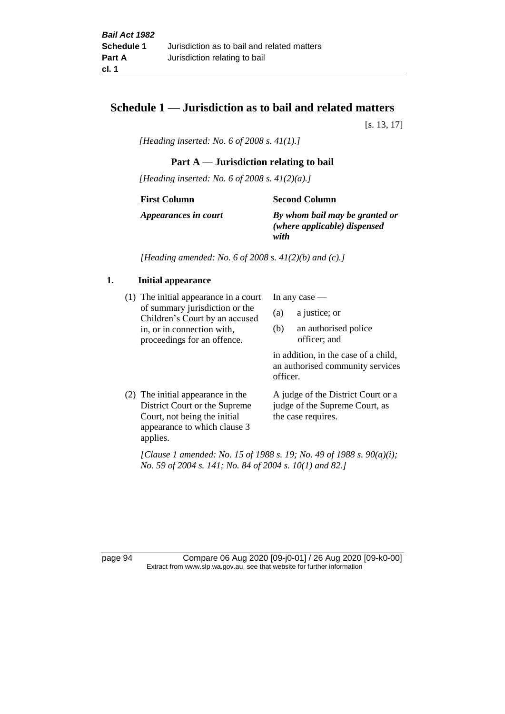## **Schedule 1 — Jurisdiction as to bail and related matters**

[s. 13, 17]

*[Heading inserted: No. 6 of 2008 s. 41(1).]*

## **Part A** — **Jurisdiction relating to bail**

*[Heading inserted: No. 6 of 2008 s. 41(2)(a).]*

**First Column**

**Second Column**

*Appearances in court*

*By whom bail may be granted or* 

*(where applicable) dispensed with*

*[Heading amended: No. 6 of 2008 s. 41(2)(b) and (c).]*

### **1. Initial appearance**

(1) The initial appearance in a court of summary jurisdiction or the Children's Court by an accused in, or in connection with, proceedings for an offence.

In any case —

- (a) a justice; or
- (b) an authorised police officer; and

in addition, in the case of a child, an authorised community services officer.

(2) The initial appearance in the District Court or the Supreme Court, not being the initial appearance to which clause 3 applies. A judge of the District Court or a judge of the Supreme Court, as the case requires.

*[Clause 1 amended: No. 15 of 1988 s. 19; No. 49 of 1988 s. 90(a)(i); No. 59 of 2004 s. 141; No. 84 of 2004 s. 10(1) and 82.]*

page 94 Compare 06 Aug 2020 [09-j0-01] / 26 Aug 2020 [09-k0-00] Extract from www.slp.wa.gov.au, see that website for further information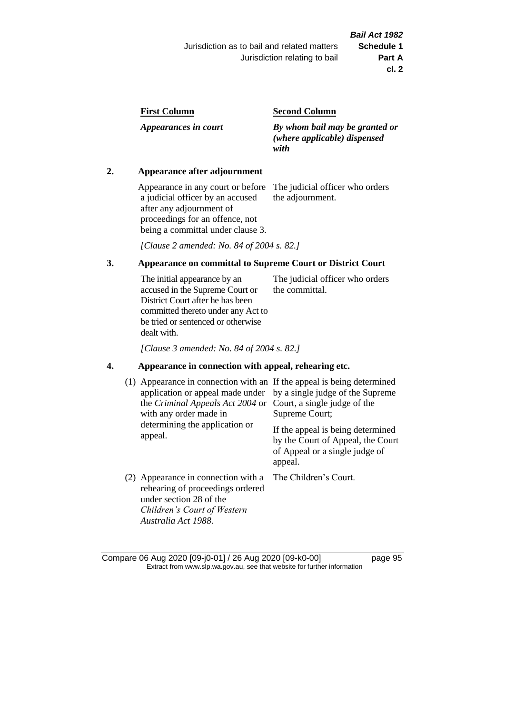| <b>First Column</b> |
|---------------------|
|---------------------|

*Appearances in court*

### **Second Column**

*By whom bail may be granted or (where applicable) dispensed with*

### **2. Appearance after adjournment**

Appearance in any court or before a judicial officer by an accused after any adjournment of proceedings for an offence, not being a committal under clause 3.

The judicial officer who orders the adjournment.

*[Clause 2 amended: No. 84 of 2004 s. 82.]*

### **3. Appearance on committal to Supreme Court or District Court**

The initial appearance by an accused in the Supreme Court or District Court after he has been committed thereto under any Act to be tried or sentenced or otherwise dealt with. The judicial officer who orders the committal.

*[Clause 3 amended: No. 84 of 2004 s. 82.]*

### **4. Appearance in connection with appeal, rehearing etc.**

| (1) | Appearance in connection with an If the appeal is being determined<br>application or appeal made under<br>the Criminal Appeals Act 2004 or<br>with any order made in<br>determining the application or<br>appeal. | by a single judge of the Supreme<br>Court, a single judge of the<br>Supreme Court;<br>If the appeal is being determined<br>by the Court of Appeal, the Court<br>of Appeal or a single judge of<br>appeal. |
|-----|-------------------------------------------------------------------------------------------------------------------------------------------------------------------------------------------------------------------|-----------------------------------------------------------------------------------------------------------------------------------------------------------------------------------------------------------|
|     | (2) Appearance in connection with a<br>rehearing of proceedings ordered<br>under section 28 of the<br>Children's Court of Western<br>Australia Act 1988.                                                          | The Children's Court.                                                                                                                                                                                     |

Compare 06 Aug 2020 [09-j0-01] / 26 Aug 2020 [09-k0-00] page 95 Extract from www.slp.wa.gov.au, see that website for further information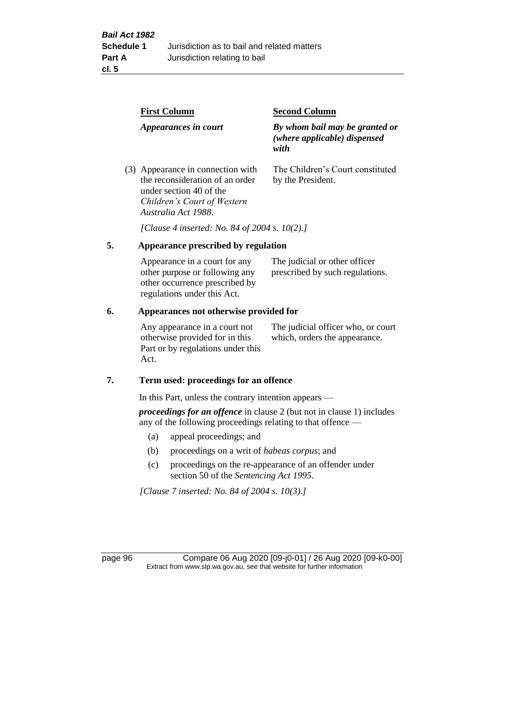|  | <b>First Column</b><br>Appearances in court                                                                                                           | <b>Second Column</b>                                                   |  |
|--|-------------------------------------------------------------------------------------------------------------------------------------------------------|------------------------------------------------------------------------|--|
|  |                                                                                                                                                       | By whom bail may be granted or<br>(where applicable) dispensed<br>with |  |
|  | (3) Appearance in connection with<br>the reconsideration of an order<br>under section 40 of the<br>Children's Court of Western<br>Australia Act 1988. | The Children's Court constituted<br>by the President.                  |  |

*[Clause 4 inserted: No. 84 of 2004 s. 10(2).]*

## **5. Appearance prescribed by regulation**

| Appearance in a court for any  | The judicial or other officer   |
|--------------------------------|---------------------------------|
| other purpose or following any | prescribed by such regulations. |
| other occurrence prescribed by |                                 |
| regulations under this Act.    |                                 |

## **6. Appearances not otherwise provided for**

Any appearance in a court not otherwise provided for in this Part or by regulations under this Act.

The judicial officer who, or court which, orders the appearance.

### **7. Term used: proceedings for an offence**

In this Part, unless the contrary intention appears —

*proceedings for an offence* in clause 2 (but not in clause 1) includes any of the following proceedings relating to that offence —

- (a) appeal proceedings; and
- (b) proceedings on a writ of *habeas corpus*; and
- (c) proceedings on the re-appearance of an offender under section 50 of the *Sentencing Act 1995*.

*[Clause 7 inserted: No. 84 of 2004 s. 10(3).]*

page 96 Compare 06 Aug 2020 [09-j0-01] / 26 Aug 2020 [09-k0-00] Extract from www.slp.wa.gov.au, see that website for further information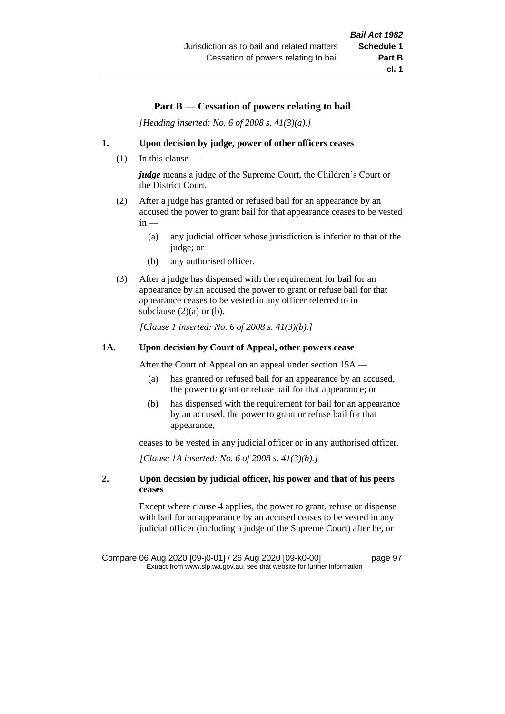# **Part B** — **Cessation of powers relating to bail**

*[Heading inserted: No. 6 of 2008 s. 41(3)(a).]*

### **1. Upon decision by judge, power of other officers ceases**

(1) In this clause —

*judge* means a judge of the Supreme Court, the Children's Court or the District Court.

- (2) After a judge has granted or refused bail for an appearance by an accused the power to grant bail for that appearance ceases to be vested  $in -$ 
	- (a) any judicial officer whose jurisdiction is inferior to that of the judge; or
	- (b) any authorised officer.
- (3) After a judge has dispensed with the requirement for bail for an appearance by an accused the power to grant or refuse bail for that appearance ceases to be vested in any officer referred to in subclause  $(2)(a)$  or  $(b)$ .

*[Clause 1 inserted: No. 6 of 2008 s. 41(3)(b).]*

### **1A. Upon decision by Court of Appeal, other powers cease**

After the Court of Appeal on an appeal under section 15A —

- (a) has granted or refused bail for an appearance by an accused, the power to grant or refuse bail for that appearance; or
- (b) has dispensed with the requirement for bail for an appearance by an accused, the power to grant or refuse bail for that appearance,

ceases to be vested in any judicial officer or in any authorised officer.

*[Clause 1A inserted: No. 6 of 2008 s. 41(3)(b).]*

### **2. Upon decision by judicial officer, his power and that of his peers ceases**

Except where clause 4 applies, the power to grant, refuse or dispense with bail for an appearance by an accused ceases to be vested in any judicial officer (including a judge of the Supreme Court) after he, or

Compare 06 Aug 2020 [09-j0-01] / 26 Aug 2020 [09-k0-00] page 97 Extract from www.slp.wa.gov.au, see that website for further information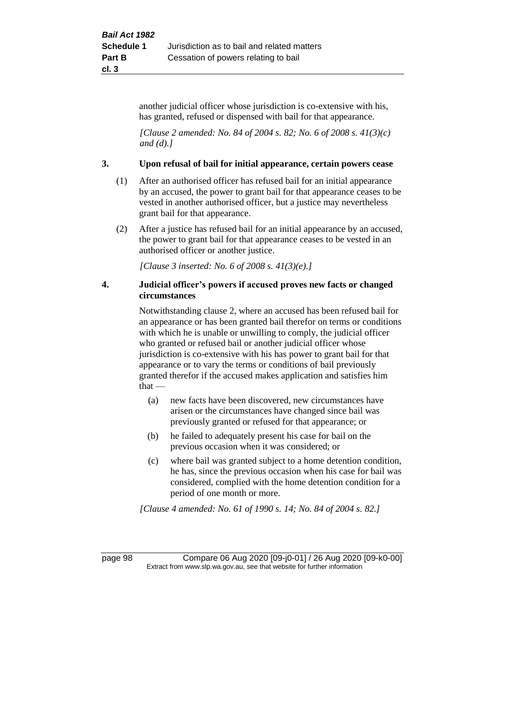another judicial officer whose jurisdiction is co-extensive with his, has granted, refused or dispensed with bail for that appearance.

*[Clause 2 amended: No. 84 of 2004 s. 82; No. 6 of 2008 s. 41(3)(c) and (d).]*

### **3. Upon refusal of bail for initial appearance, certain powers cease**

- (1) After an authorised officer has refused bail for an initial appearance by an accused, the power to grant bail for that appearance ceases to be vested in another authorised officer, but a justice may nevertheless grant bail for that appearance.
- (2) After a justice has refused bail for an initial appearance by an accused, the power to grant bail for that appearance ceases to be vested in an authorised officer or another justice.

*[Clause 3 inserted: No. 6 of 2008 s. 41(3)(e).]*

### **4. Judicial officer's powers if accused proves new facts or changed circumstances**

Notwithstanding clause 2, where an accused has been refused bail for an appearance or has been granted bail therefor on terms or conditions with which he is unable or unwilling to comply, the judicial officer who granted or refused bail or another judicial officer whose jurisdiction is co-extensive with his has power to grant bail for that appearance or to vary the terms or conditions of bail previously granted therefor if the accused makes application and satisfies him  $that -$ 

- (a) new facts have been discovered, new circumstances have arisen or the circumstances have changed since bail was previously granted or refused for that appearance; or
- (b) he failed to adequately present his case for bail on the previous occasion when it was considered; or
- (c) where bail was granted subject to a home detention condition, he has, since the previous occasion when his case for bail was considered, complied with the home detention condition for a period of one month or more.

*[Clause 4 amended: No. 61 of 1990 s. 14; No. 84 of 2004 s. 82.]*

page 98 Compare 06 Aug 2020 [09-j0-01] / 26 Aug 2020 [09-k0-00] Extract from www.slp.wa.gov.au, see that website for further information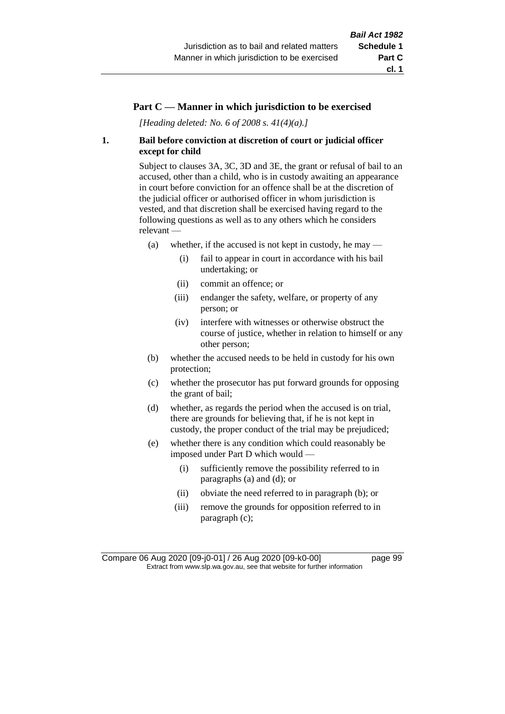### **Part C — Manner in which jurisdiction to be exercised**

*[Heading deleted: No. 6 of 2008 s. 41(4)(a).]*

### **1. Bail before conviction at discretion of court or judicial officer except for child**

Subject to clauses 3A, 3C, 3D and 3E, the grant or refusal of bail to an accused, other than a child, who is in custody awaiting an appearance in court before conviction for an offence shall be at the discretion of the judicial officer or authorised officer in whom jurisdiction is vested, and that discretion shall be exercised having regard to the following questions as well as to any others which he considers relevant —

- (a) whether, if the accused is not kept in custody, he may
	- (i) fail to appear in court in accordance with his bail undertaking; or
	- (ii) commit an offence; or
	- (iii) endanger the safety, welfare, or property of any person; or
	- (iv) interfere with witnesses or otherwise obstruct the course of justice, whether in relation to himself or any other person;
- (b) whether the accused needs to be held in custody for his own protection;
- (c) whether the prosecutor has put forward grounds for opposing the grant of bail;
- (d) whether, as regards the period when the accused is on trial, there are grounds for believing that, if he is not kept in custody, the proper conduct of the trial may be prejudiced;
- (e) whether there is any condition which could reasonably be imposed under Part D which would —
	- (i) sufficiently remove the possibility referred to in paragraphs (a) and (d); or
	- (ii) obviate the need referred to in paragraph (b); or
	- (iii) remove the grounds for opposition referred to in paragraph (c);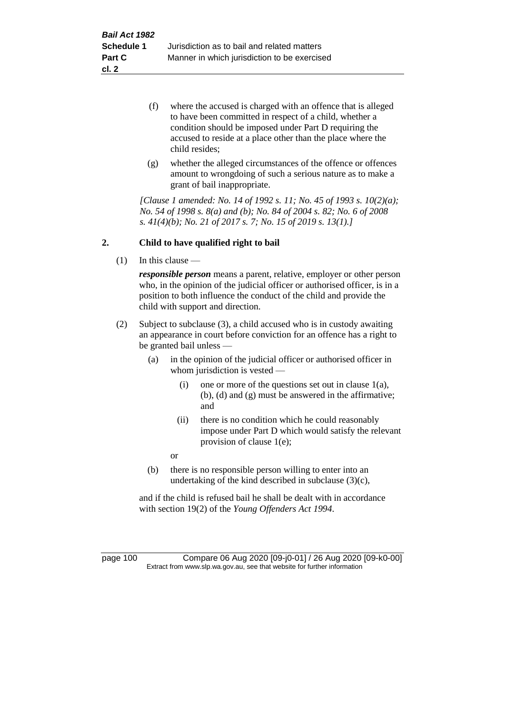- (f) where the accused is charged with an offence that is alleged to have been committed in respect of a child, whether a condition should be imposed under Part D requiring the accused to reside at a place other than the place where the child resides;
- (g) whether the alleged circumstances of the offence or offences amount to wrongdoing of such a serious nature as to make a grant of bail inappropriate.

*[Clause 1 amended: No. 14 of 1992 s. 11; No. 45 of 1993 s. 10(2)(a); No. 54 of 1998 s. 8(a) and (b); No. 84 of 2004 s. 82; No. 6 of 2008 s. 41(4)(b); No. 21 of 2017 s. 7; No. 15 of 2019 s. 13(1).]*

### **2. Child to have qualified right to bail**

(1) In this clause —

*responsible person* means a parent, relative, employer or other person who, in the opinion of the judicial officer or authorised officer, is in a position to both influence the conduct of the child and provide the child with support and direction.

- (2) Subject to subclause (3), a child accused who is in custody awaiting an appearance in court before conviction for an offence has a right to be granted bail unless —
	- (a) in the opinion of the judicial officer or authorised officer in whom jurisdiction is vested —
		- (i) one or more of the questions set out in clause  $1(a)$ , (b), (d) and (g) must be answered in the affirmative; and
		- (ii) there is no condition which he could reasonably impose under Part D which would satisfy the relevant provision of clause 1(e);

or

(b) there is no responsible person willing to enter into an undertaking of the kind described in subclause (3)(c),

and if the child is refused bail he shall be dealt with in accordance with section 19(2) of the *Young Offenders Act 1994*.

page 100 Compare 06 Aug 2020 [09-j0-01] / 26 Aug 2020 [09-k0-00] Extract from www.slp.wa.gov.au, see that website for further information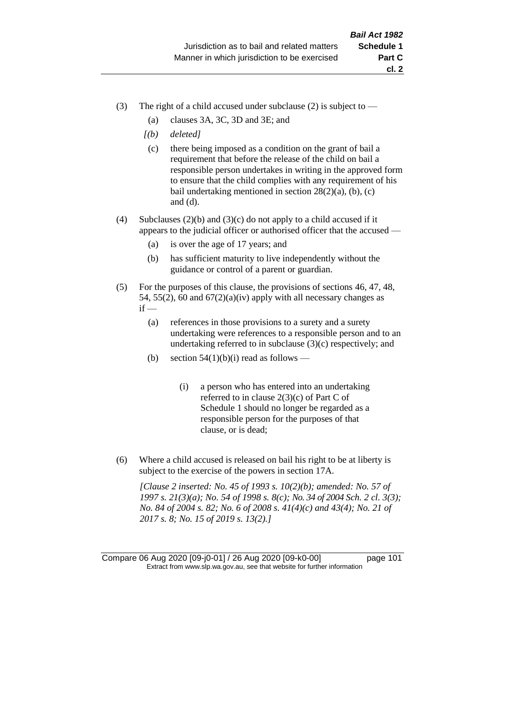- (3) The right of a child accused under subclause (2) is subject to  $-$ 
	- (a) clauses 3A, 3C, 3D and 3E; and
	- *[(b) deleted]*
	- (c) there being imposed as a condition on the grant of bail a requirement that before the release of the child on bail a responsible person undertakes in writing in the approved form to ensure that the child complies with any requirement of his bail undertaking mentioned in section  $28(2)(a)$ , (b), (c) and (d).
- (4) Subclauses (2)(b) and (3)(c) do not apply to a child accused if it appears to the judicial officer or authorised officer that the accused —
	- (a) is over the age of 17 years; and
	- (b) has sufficient maturity to live independently without the guidance or control of a parent or guardian.
- (5) For the purposes of this clause, the provisions of sections 46, 47, 48, 54, 55(2), 60 and  $67(2)(a)(iv)$  apply with all necessary changes as  $if -$ 
	- (a) references in those provisions to a surety and a surety undertaking were references to a responsible person and to an undertaking referred to in subclause (3)(c) respectively; and
	- (b) section  $54(1)(b)(i)$  read as follows
		- (i) a person who has entered into an undertaking referred to in clause 2(3)(c) of Part C of Schedule 1 should no longer be regarded as a responsible person for the purposes of that clause, or is dead;
- (6) Where a child accused is released on bail his right to be at liberty is subject to the exercise of the powers in section 17A.

*[Clause 2 inserted: No. 45 of 1993 s. 10(2)(b); amended: No. 57 of 1997 s. 21(3)(a); No. 54 of 1998 s. 8(c); No. 34 of 2004 Sch. 2 cl. 3(3); No. 84 of 2004 s. 82; No. 6 of 2008 s. 41(4)(c) and 43(4); No. 21 of 2017 s. 8; No. 15 of 2019 s. 13(2).]*

Compare 06 Aug 2020 [09-j0-01] / 26 Aug 2020 [09-k0-00] page 101 Extract from www.slp.wa.gov.au, see that website for further information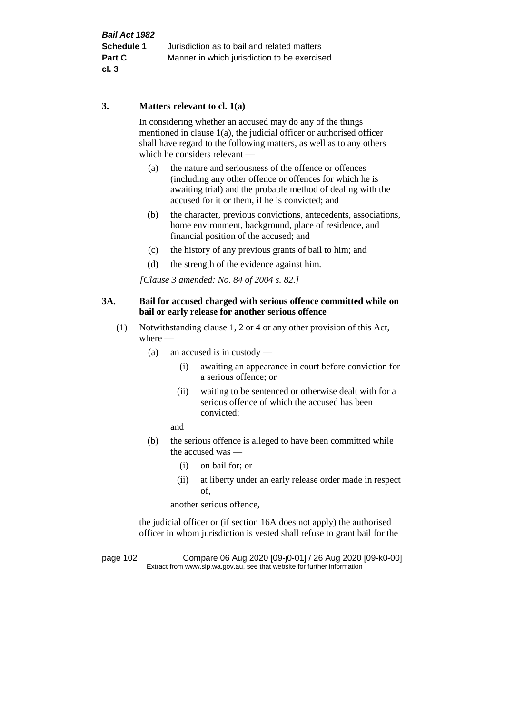### **3. Matters relevant to cl. 1(a)**

In considering whether an accused may do any of the things mentioned in clause 1(a), the judicial officer or authorised officer shall have regard to the following matters, as well as to any others which he considers relevant —

- (a) the nature and seriousness of the offence or offences (including any other offence or offences for which he is awaiting trial) and the probable method of dealing with the accused for it or them, if he is convicted; and
- (b) the character, previous convictions, antecedents, associations, home environment, background, place of residence, and financial position of the accused; and
- (c) the history of any previous grants of bail to him; and
- (d) the strength of the evidence against him.

*[Clause 3 amended: No. 84 of 2004 s. 82.]*

### **3A. Bail for accused charged with serious offence committed while on bail or early release for another serious offence**

- (1) Notwithstanding clause 1, 2 or 4 or any other provision of this Act, where —
	- (a) an accused is in custody
		- (i) awaiting an appearance in court before conviction for a serious offence; or
		- (ii) waiting to be sentenced or otherwise dealt with for a serious offence of which the accused has been convicted;

and

- (b) the serious offence is alleged to have been committed while the accused was —
	- (i) on bail for; or
	- (ii) at liberty under an early release order made in respect of,

another serious offence,

the judicial officer or (if section 16A does not apply) the authorised officer in whom jurisdiction is vested shall refuse to grant bail for the

page 102 Compare 06 Aug 2020 [09-j0-01] / 26 Aug 2020 [09-k0-00] Extract from www.slp.wa.gov.au, see that website for further information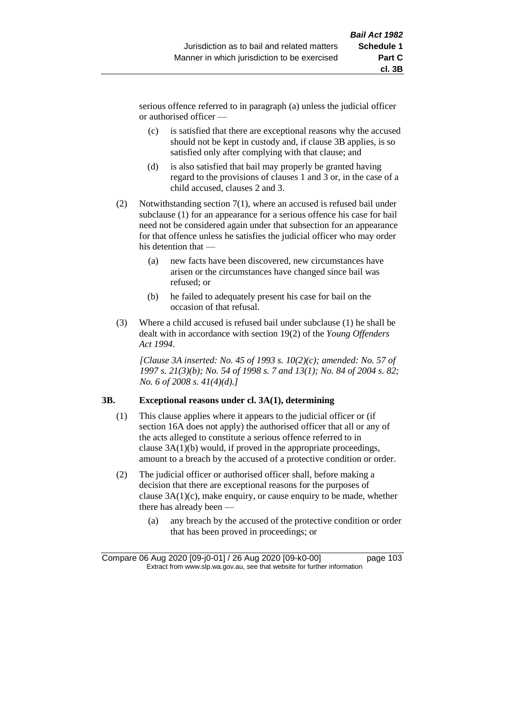serious offence referred to in paragraph (a) unless the judicial officer or authorised officer —

- (c) is satisfied that there are exceptional reasons why the accused should not be kept in custody and, if clause 3B applies, is so satisfied only after complying with that clause; and
- (d) is also satisfied that bail may properly be granted having regard to the provisions of clauses 1 and 3 or, in the case of a child accused, clauses 2 and 3.
- (2) Notwithstanding section 7(1), where an accused is refused bail under subclause (1) for an appearance for a serious offence his case for bail need not be considered again under that subsection for an appearance for that offence unless he satisfies the judicial officer who may order his detention that —
	- (a) new facts have been discovered, new circumstances have arisen or the circumstances have changed since bail was refused; or
	- (b) he failed to adequately present his case for bail on the occasion of that refusal.
- (3) Where a child accused is refused bail under subclause (1) he shall be dealt with in accordance with section 19(2) of the *Young Offenders Act 1994*.

*[Clause 3A inserted: No. 45 of 1993 s. 10(2)(c); amended: No. 57 of 1997 s. 21(3)(b); No. 54 of 1998 s. 7 and 13(1); No. 84 of 2004 s. 82; No. 6 of 2008 s. 41(4)(d).]*

### **3B. Exceptional reasons under cl. 3A(1), determining**

- (1) This clause applies where it appears to the judicial officer or (if section 16A does not apply) the authorised officer that all or any of the acts alleged to constitute a serious offence referred to in clause 3A(1)(b) would, if proved in the appropriate proceedings, amount to a breach by the accused of a protective condition or order.
- (2) The judicial officer or authorised officer shall, before making a decision that there are exceptional reasons for the purposes of clause 3A(1)(c), make enquiry, or cause enquiry to be made, whether there has already been —
	- (a) any breach by the accused of the protective condition or order that has been proved in proceedings; or

Compare 06 Aug 2020 [09-j0-01] / 26 Aug 2020 [09-k0-00] page 103 Extract from www.slp.wa.gov.au, see that website for further information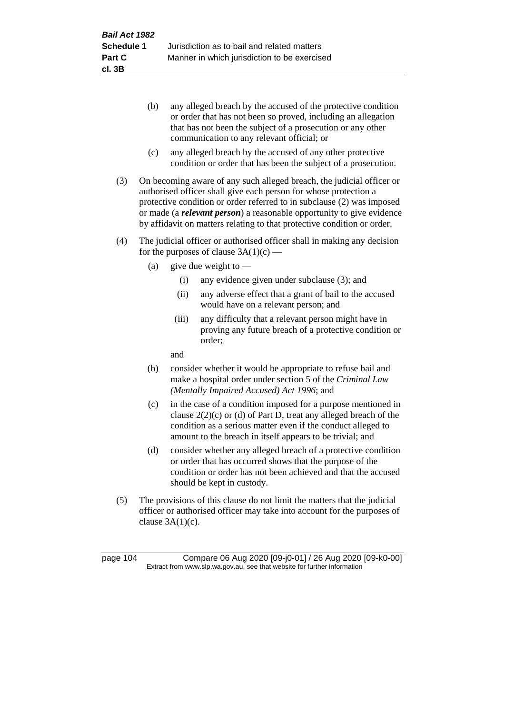- (b) any alleged breach by the accused of the protective condition or order that has not been so proved, including an allegation that has not been the subject of a prosecution or any other communication to any relevant official; or
- (c) any alleged breach by the accused of any other protective condition or order that has been the subject of a prosecution.
- (3) On becoming aware of any such alleged breach, the judicial officer or authorised officer shall give each person for whose protection a protective condition or order referred to in subclause (2) was imposed or made (a *relevant person*) a reasonable opportunity to give evidence by affidavit on matters relating to that protective condition or order.
- (4) The judicial officer or authorised officer shall in making any decision for the purposes of clause  $3A(1)(c)$  —
	- (a) give due weight to  $-$ 
		- (i) any evidence given under subclause (3); and
		- (ii) any adverse effect that a grant of bail to the accused would have on a relevant person; and
		- (iii) any difficulty that a relevant person might have in proving any future breach of a protective condition or order;

and

- (b) consider whether it would be appropriate to refuse bail and make a hospital order under section 5 of the *Criminal Law (Mentally Impaired Accused) Act 1996*; and
- (c) in the case of a condition imposed for a purpose mentioned in clause 2(2)(c) or (d) of Part D, treat any alleged breach of the condition as a serious matter even if the conduct alleged to amount to the breach in itself appears to be trivial; and
- (d) consider whether any alleged breach of a protective condition or order that has occurred shows that the purpose of the condition or order has not been achieved and that the accused should be kept in custody.
- (5) The provisions of this clause do not limit the matters that the judicial officer or authorised officer may take into account for the purposes of clause  $3A(1)(c)$ .

page 104 Compare 06 Aug 2020 [09-j0-01] / 26 Aug 2020 [09-k0-00] Extract from www.slp.wa.gov.au, see that website for further information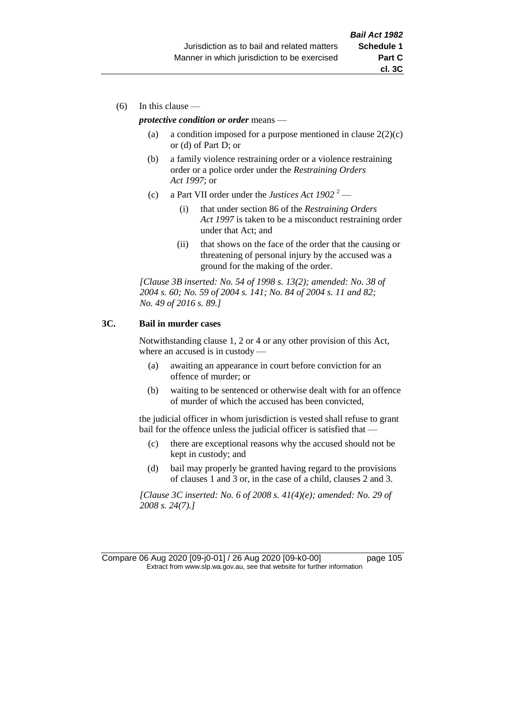(6) In this clause —

#### *protective condition or order* means —

- (a) a condition imposed for a purpose mentioned in clause  $2(2)(c)$ or (d) of Part D; or
- (b) a family violence restraining order or a violence restraining order or a police order under the *Restraining Orders Act 1997*; or
- (c) a Part VII order under the *Justices Act 1902* <sup>2</sup>
	- (i) that under section 86 of the *Restraining Orders Act 1997* is taken to be a misconduct restraining order under that Act; and
	- (ii) that shows on the face of the order that the causing or threatening of personal injury by the accused was a ground for the making of the order.

*[Clause 3B inserted: No. 54 of 1998 s. 13(2); amended: No. 38 of 2004 s. 60; No. 59 of 2004 s. 141; No. 84 of 2004 s. 11 and 82; No. 49 of 2016 s. 89.]*

### **3C. Bail in murder cases**

Notwithstanding clause 1, 2 or 4 or any other provision of this Act, where an accused is in custody —

- (a) awaiting an appearance in court before conviction for an offence of murder; or
- (b) waiting to be sentenced or otherwise dealt with for an offence of murder of which the accused has been convicted,

the judicial officer in whom jurisdiction is vested shall refuse to grant bail for the offence unless the judicial officer is satisfied that —

- (c) there are exceptional reasons why the accused should not be kept in custody; and
- (d) bail may properly be granted having regard to the provisions of clauses 1 and 3 or, in the case of a child, clauses 2 and 3.

*[Clause 3C inserted: No. 6 of 2008 s. 41(4)(e); amended: No. 29 of 2008 s. 24(7).]*

Compare 06 Aug 2020 [09-j0-01] / 26 Aug 2020 [09-k0-00] page 105 Extract from www.slp.wa.gov.au, see that website for further information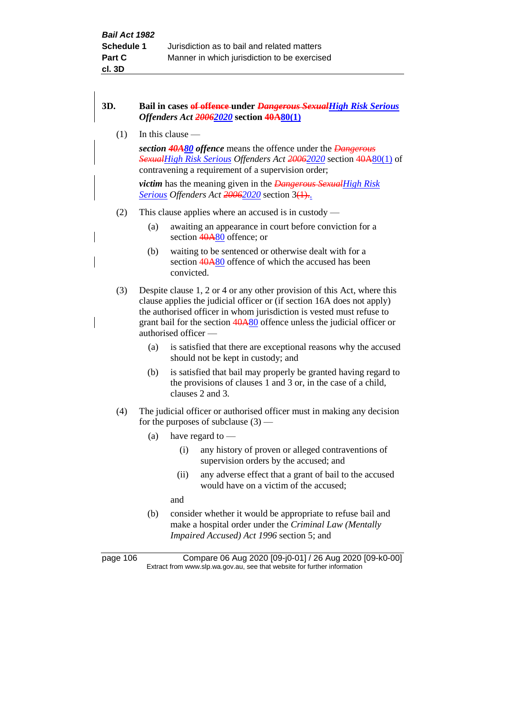## **3D. Bail in cases of offence under** *Dangerous SexualHigh Risk Serious Offenders Act 20062020* **section 40A80(1)** (1) In this clause *section 40A80 offence* means the offence under the *Dangerous SexualHigh Risk Serious Offenders Act 20062020* section 40A80(1) of contravening a requirement of a supervision order; *victim* has the meaning given in the *Dangerous SexualHigh Risk Serious Offenders Act 20062020* section 3(1).. (2) This clause applies where an accused is in custody — (a) awaiting an appearance in court before conviction for a section 40A80 offence; or (b) waiting to be sentenced or otherwise dealt with for a section 40A80 offence of which the accused has been convicted. (3) Despite clause 1, 2 or 4 or any other provision of this Act, where this clause applies the judicial officer or (if section 16A does not apply) the authorised officer in whom jurisdiction is vested must refuse to grant bail for the section  $40A80$  offence unless the judicial officer or authorised officer — (a) is satisfied that there are exceptional reasons why the accused should not be kept in custody; and (b) is satisfied that bail may properly be granted having regard to the provisions of clauses 1 and 3 or, in the case of a child, clauses 2 and 3. (4) The judicial officer or authorised officer must in making any decision for the purposes of subclause  $(3)$  — (a) have regard to  $\overline{\phantom{a}}$ (i) any history of proven or alleged contraventions of supervision orders by the accused; and (ii) any adverse effect that a grant of bail to the accused would have on a victim of the accused; and (b) consider whether it would be appropriate to refuse bail and make a hospital order under the *Criminal Law (Mentally*

*Impaired Accused) Act 1996* section 5; and

page 106 Compare 06 Aug 2020 [09-j0-01] / 26 Aug 2020 [09-k0-00] Extract from www.slp.wa.gov.au, see that website for further information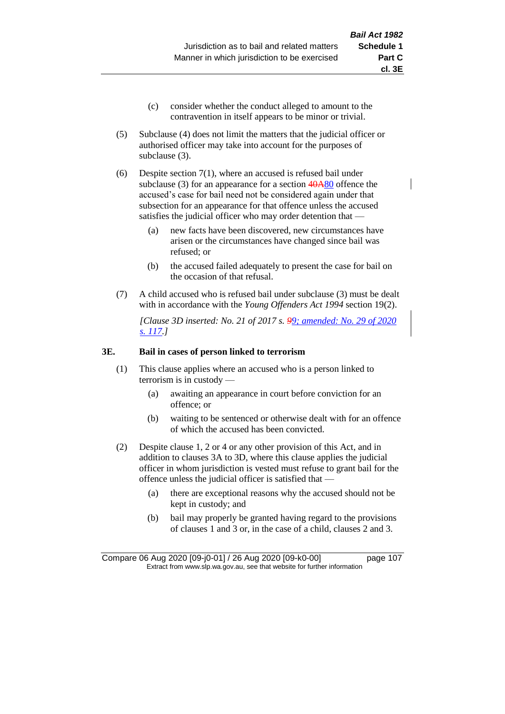- (c) consider whether the conduct alleged to amount to the contravention in itself appears to be minor or trivial.
- (5) Subclause (4) does not limit the matters that the judicial officer or authorised officer may take into account for the purposes of subclause (3).

(6) Despite section 7(1), where an accused is refused bail under subclause (3) for an appearance for a section  $40A80$  offence the accused's case for bail need not be considered again under that subsection for an appearance for that offence unless the accused satisfies the judicial officer who may order detention that —

- (a) new facts have been discovered, new circumstances have arisen or the circumstances have changed since bail was refused; or
- (b) the accused failed adequately to present the case for bail on the occasion of that refusal.
- (7) A child accused who is refused bail under subclause (3) must be dealt with in accordance with the *Young Offenders Act 1994* section 19(2).

*[Clause 3D inserted: No. 21 of 2017 s. 99; amended: No. 29 of 2020 s. 117.]*

#### **3E. Bail in cases of person linked to terrorism**

- (1) This clause applies where an accused who is a person linked to terrorism is in custody —
	- (a) awaiting an appearance in court before conviction for an offence; or
	- (b) waiting to be sentenced or otherwise dealt with for an offence of which the accused has been convicted.
- (2) Despite clause 1, 2 or 4 or any other provision of this Act, and in addition to clauses 3A to 3D, where this clause applies the judicial officer in whom jurisdiction is vested must refuse to grant bail for the offence unless the judicial officer is satisfied that —
	- (a) there are exceptional reasons why the accused should not be kept in custody; and
	- (b) bail may properly be granted having regard to the provisions of clauses 1 and 3 or, in the case of a child, clauses 2 and 3.

Compare 06 Aug 2020 [09-j0-01] / 26 Aug 2020 [09-k0-00] page 107 Extract from www.slp.wa.gov.au, see that website for further information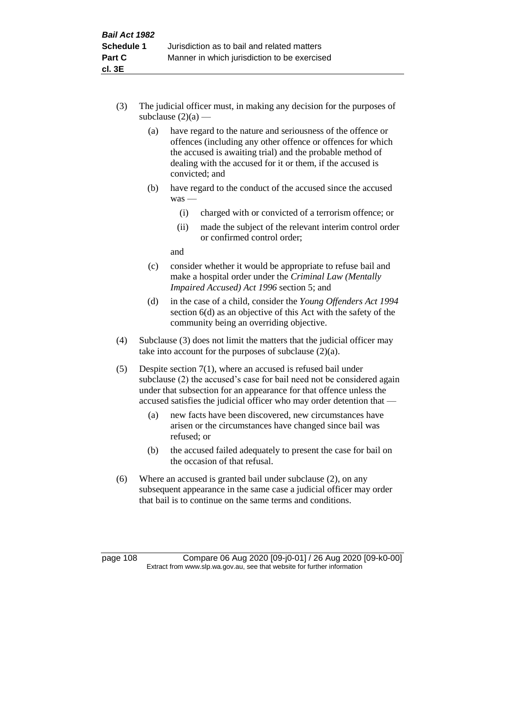- (3) The judicial officer must, in making any decision for the purposes of subclause  $(2)(a)$  —
	- (a) have regard to the nature and seriousness of the offence or offences (including any other offence or offences for which the accused is awaiting trial) and the probable method of dealing with the accused for it or them, if the accused is convicted; and
	- (b) have regard to the conduct of the accused since the accused was —
		- (i) charged with or convicted of a terrorism offence; or
		- (ii) made the subject of the relevant interim control order or confirmed control order;

and

- (c) consider whether it would be appropriate to refuse bail and make a hospital order under the *Criminal Law (Mentally Impaired Accused) Act 1996* section 5; and
- (d) in the case of a child, consider the *Young Offenders Act 1994* section 6(d) as an objective of this Act with the safety of the community being an overriding objective.
- (4) Subclause (3) does not limit the matters that the judicial officer may take into account for the purposes of subclause  $(2)(a)$ .
- (5) Despite section 7(1), where an accused is refused bail under subclause (2) the accused's case for bail need not be considered again under that subsection for an appearance for that offence unless the accused satisfies the judicial officer who may order detention that —
	- (a) new facts have been discovered, new circumstances have arisen or the circumstances have changed since bail was refused; or
	- (b) the accused failed adequately to present the case for bail on the occasion of that refusal.
- (6) Where an accused is granted bail under subclause (2), on any subsequent appearance in the same case a judicial officer may order that bail is to continue on the same terms and conditions.

page 108 Compare 06 Aug 2020 [09-j0-01] / 26 Aug 2020 [09-k0-00] Extract from www.slp.wa.gov.au, see that website for further information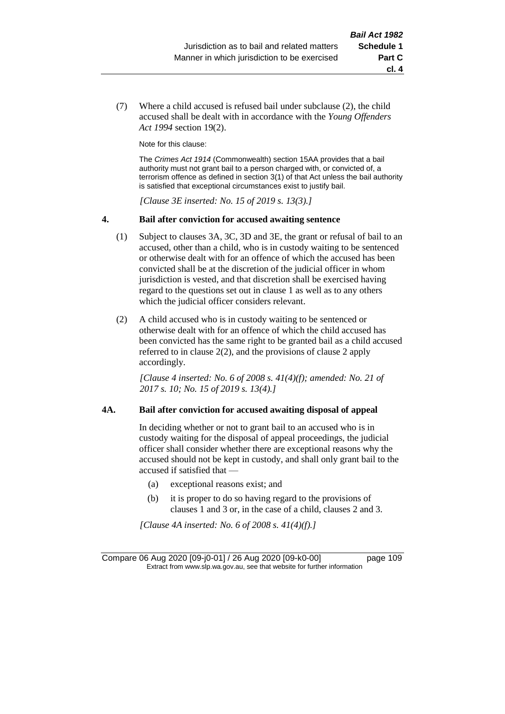**cl. 4**

(7) Where a child accused is refused bail under subclause (2), the child accused shall be dealt with in accordance with the *Young Offenders Act 1994* section 19(2).

Note for this clause:

The *Crimes Act 1914* (Commonwealth) section 15AA provides that a bail authority must not grant bail to a person charged with, or convicted of, a terrorism offence as defined in section 3(1) of that Act unless the bail authority is satisfied that exceptional circumstances exist to justify bail.

*[Clause 3E inserted: No. 15 of 2019 s. 13(3).]*

#### **4. Bail after conviction for accused awaiting sentence**

- (1) Subject to clauses 3A, 3C, 3D and 3E, the grant or refusal of bail to an accused, other than a child, who is in custody waiting to be sentenced or otherwise dealt with for an offence of which the accused has been convicted shall be at the discretion of the judicial officer in whom jurisdiction is vested, and that discretion shall be exercised having regard to the questions set out in clause 1 as well as to any others which the judicial officer considers relevant.
- (2) A child accused who is in custody waiting to be sentenced or otherwise dealt with for an offence of which the child accused has been convicted has the same right to be granted bail as a child accused referred to in clause 2(2), and the provisions of clause 2 apply accordingly.

*[Clause 4 inserted: No. 6 of 2008 s. 41(4)(f); amended: No. 21 of 2017 s. 10; No. 15 of 2019 s. 13(4).]*

#### **4A. Bail after conviction for accused awaiting disposal of appeal**

In deciding whether or not to grant bail to an accused who is in custody waiting for the disposal of appeal proceedings, the judicial officer shall consider whether there are exceptional reasons why the accused should not be kept in custody, and shall only grant bail to the accused if satisfied that —

- (a) exceptional reasons exist; and
- (b) it is proper to do so having regard to the provisions of clauses 1 and 3 or, in the case of a child, clauses 2 and 3.

*[Clause 4A inserted: No. 6 of 2008 s. 41(4)(f).]*

Compare 06 Aug 2020 [09-j0-01] / 26 Aug 2020 [09-k0-00] page 109 Extract from www.slp.wa.gov.au, see that website for further information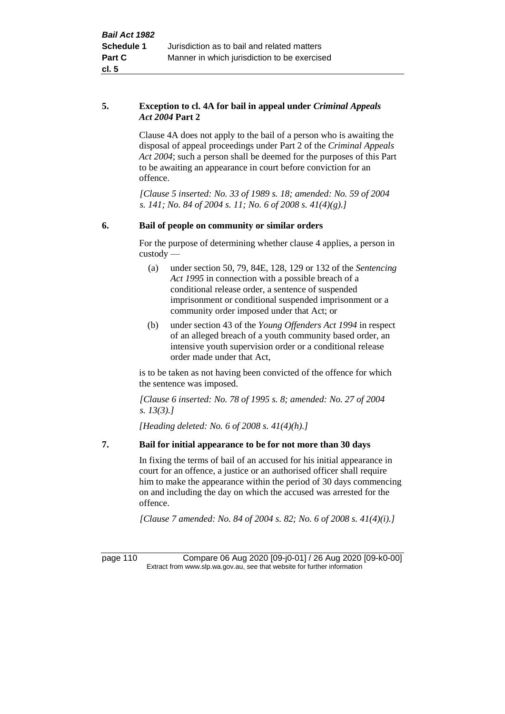#### **5. Exception to cl. 4A for bail in appeal under** *Criminal Appeals Act 2004* **Part 2**

Clause 4A does not apply to the bail of a person who is awaiting the disposal of appeal proceedings under Part 2 of the *Criminal Appeals Act 2004*; such a person shall be deemed for the purposes of this Part to be awaiting an appearance in court before conviction for an offence.

*[Clause 5 inserted: No. 33 of 1989 s. 18; amended: No. 59 of 2004 s. 141; No. 84 of 2004 s. 11; No. 6 of 2008 s. 41(4)(g).]*

### **6. Bail of people on community or similar orders**

For the purpose of determining whether clause 4 applies, a person in custody —

- (a) under section 50, 79, 84E, 128, 129 or 132 of the *Sentencing Act 1995* in connection with a possible breach of a conditional release order, a sentence of suspended imprisonment or conditional suspended imprisonment or a community order imposed under that Act; or
- (b) under section 43 of the *Young Offenders Act 1994* in respect of an alleged breach of a youth community based order, an intensive youth supervision order or a conditional release order made under that Act,

is to be taken as not having been convicted of the offence for which the sentence was imposed.

*[Clause 6 inserted: No. 78 of 1995 s. 8; amended: No. 27 of 2004 s. 13(3).]*

*[Heading deleted: No. 6 of 2008 s. 41(4)(h).]*

### **7. Bail for initial appearance to be for not more than 30 days**

In fixing the terms of bail of an accused for his initial appearance in court for an offence, a justice or an authorised officer shall require him to make the appearance within the period of 30 days commencing on and including the day on which the accused was arrested for the offence.

*[Clause 7 amended: No. 84 of 2004 s. 82; No. 6 of 2008 s. 41(4)(i).]*

page 110 Compare 06 Aug 2020 [09-j0-01] / 26 Aug 2020 [09-k0-00] Extract from www.slp.wa.gov.au, see that website for further information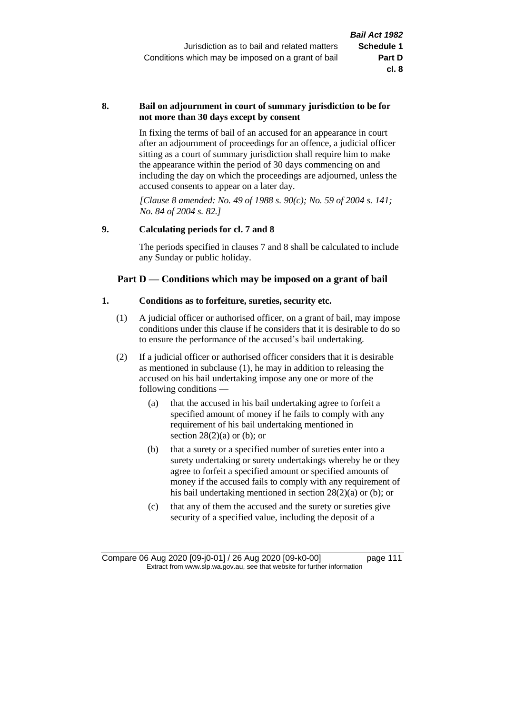#### **8. Bail on adjournment in court of summary jurisdiction to be for not more than 30 days except by consent**

In fixing the terms of bail of an accused for an appearance in court after an adjournment of proceedings for an offence, a judicial officer sitting as a court of summary jurisdiction shall require him to make the appearance within the period of 30 days commencing on and including the day on which the proceedings are adjourned, unless the accused consents to appear on a later day.

*[Clause 8 amended: No. 49 of 1988 s. 90(c); No. 59 of 2004 s. 141; No. 84 of 2004 s. 82.]*

## **9. Calculating periods for cl. 7 and 8**

The periods specified in clauses 7 and 8 shall be calculated to include any Sunday or public holiday.

# **Part D — Conditions which may be imposed on a grant of bail**

## **1. Conditions as to forfeiture, sureties, security etc.**

- (1) A judicial officer or authorised officer, on a grant of bail, may impose conditions under this clause if he considers that it is desirable to do so to ensure the performance of the accused's bail undertaking.
- (2) If a judicial officer or authorised officer considers that it is desirable as mentioned in subclause (1), he may in addition to releasing the accused on his bail undertaking impose any one or more of the following conditions —
	- (a) that the accused in his bail undertaking agree to forfeit a specified amount of money if he fails to comply with any requirement of his bail undertaking mentioned in section  $28(2)(a)$  or (b); or
	- (b) that a surety or a specified number of sureties enter into a surety undertaking or surety undertakings whereby he or they agree to forfeit a specified amount or specified amounts of money if the accused fails to comply with any requirement of his bail undertaking mentioned in section 28(2)(a) or (b); or
	- (c) that any of them the accused and the surety or sureties give security of a specified value, including the deposit of a

Compare 06 Aug 2020 [09-j0-01] / 26 Aug 2020 [09-k0-00] page 111 Extract from www.slp.wa.gov.au, see that website for further information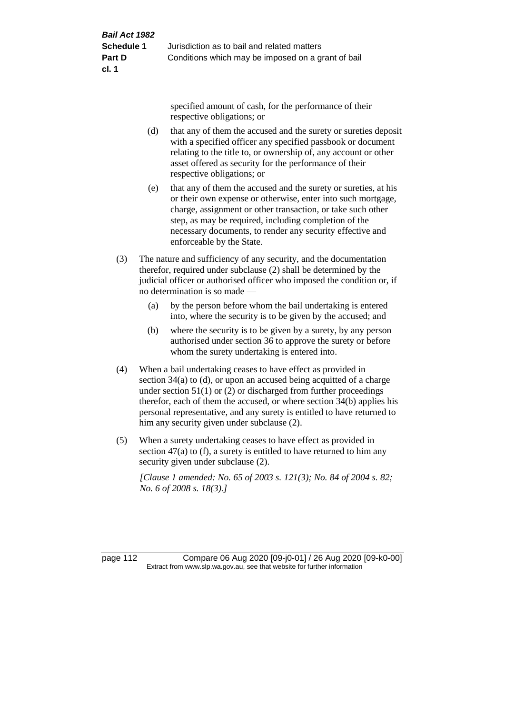specified amount of cash, for the performance of their respective obligations; or

- (d) that any of them the accused and the surety or sureties deposit with a specified officer any specified passbook or document relating to the title to, or ownership of, any account or other asset offered as security for the performance of their respective obligations; or
- (e) that any of them the accused and the surety or sureties, at his or their own expense or otherwise, enter into such mortgage, charge, assignment or other transaction, or take such other step, as may be required, including completion of the necessary documents, to render any security effective and enforceable by the State.
- (3) The nature and sufficiency of any security, and the documentation therefor, required under subclause (2) shall be determined by the judicial officer or authorised officer who imposed the condition or, if no determination is so made —
	- (a) by the person before whom the bail undertaking is entered into, where the security is to be given by the accused; and
	- (b) where the security is to be given by a surety, by any person authorised under section 36 to approve the surety or before whom the surety undertaking is entered into.
- (4) When a bail undertaking ceases to have effect as provided in section 34(a) to (d), or upon an accused being acquitted of a charge under section  $51(1)$  or (2) or discharged from further proceedings therefor, each of them the accused, or where section 34(b) applies his personal representative, and any surety is entitled to have returned to him any security given under subclause (2).
- (5) When a surety undertaking ceases to have effect as provided in section 47(a) to (f), a surety is entitled to have returned to him any security given under subclause (2).

*[Clause 1 amended: No. 65 of 2003 s. 121(3); No. 84 of 2004 s. 82; No. 6 of 2008 s. 18(3).]*

page 112 Compare 06 Aug 2020 [09-j0-01] / 26 Aug 2020 [09-k0-00] Extract from www.slp.wa.gov.au, see that website for further information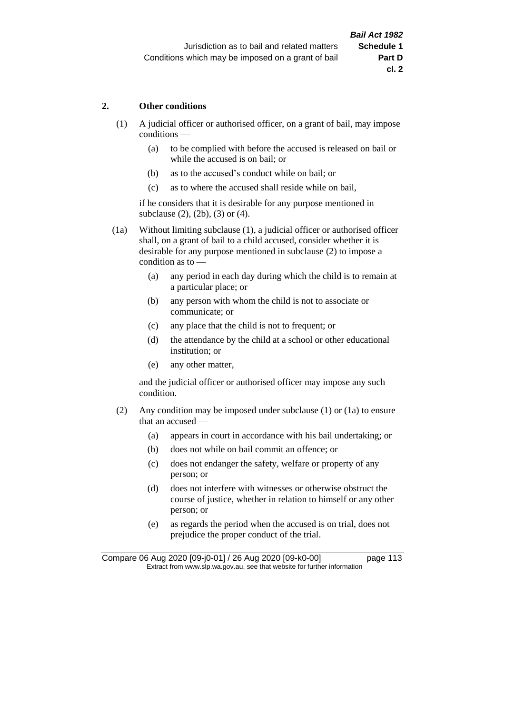#### **2. Other conditions**

- (1) A judicial officer or authorised officer, on a grant of bail, may impose conditions —
	- (a) to be complied with before the accused is released on bail or while the accused is on bail; or
	- (b) as to the accused's conduct while on bail; or
	- (c) as to where the accused shall reside while on bail,

if he considers that it is desirable for any purpose mentioned in subclause (2), (2b), (3) or (4).

(1a) Without limiting subclause (1), a judicial officer or authorised officer shall, on a grant of bail to a child accused, consider whether it is desirable for any purpose mentioned in subclause (2) to impose a condition as to —

- (a) any period in each day during which the child is to remain at a particular place; or
- (b) any person with whom the child is not to associate or communicate; or
- (c) any place that the child is not to frequent; or
- (d) the attendance by the child at a school or other educational institution; or
- (e) any other matter,

and the judicial officer or authorised officer may impose any such condition.

- (2) Any condition may be imposed under subclause (1) or (1a) to ensure that an accused —
	- (a) appears in court in accordance with his bail undertaking; or
	- (b) does not while on bail commit an offence; or
	- (c) does not endanger the safety, welfare or property of any person; or
	- (d) does not interfere with witnesses or otherwise obstruct the course of justice, whether in relation to himself or any other person; or
	- (e) as regards the period when the accused is on trial, does not prejudice the proper conduct of the trial.

Compare 06 Aug 2020 [09-j0-01] / 26 Aug 2020 [09-k0-00] page 113 Extract from www.slp.wa.gov.au, see that website for further information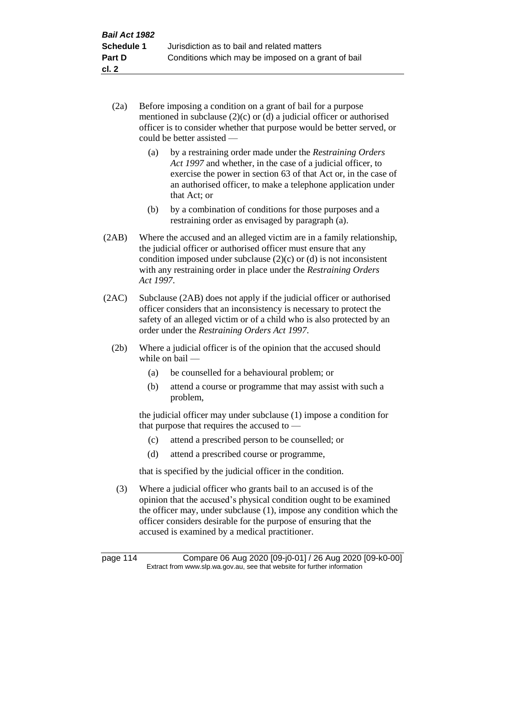- (2a) Before imposing a condition on a grant of bail for a purpose mentioned in subclause (2)(c) or (d) a judicial officer or authorised officer is to consider whether that purpose would be better served, or could be better assisted —
	- (a) by a restraining order made under the *Restraining Orders Act 1997* and whether, in the case of a judicial officer, to exercise the power in section 63 of that Act or, in the case of an authorised officer, to make a telephone application under that Act; or
	- (b) by a combination of conditions for those purposes and a restraining order as envisaged by paragraph (a).
- (2AB) Where the accused and an alleged victim are in a family relationship, the judicial officer or authorised officer must ensure that any condition imposed under subclause  $(2)(c)$  or  $(d)$  is not inconsistent with any restraining order in place under the *Restraining Orders Act 1997*.
- (2AC) Subclause (2AB) does not apply if the judicial officer or authorised officer considers that an inconsistency is necessary to protect the safety of an alleged victim or of a child who is also protected by an order under the *Restraining Orders Act 1997*.
	- (2b) Where a judicial officer is of the opinion that the accused should while on bail —
		- (a) be counselled for a behavioural problem; or
		- (b) attend a course or programme that may assist with such a problem,

the judicial officer may under subclause (1) impose a condition for that purpose that requires the accused to —

- (c) attend a prescribed person to be counselled; or
- (d) attend a prescribed course or programme,

that is specified by the judicial officer in the condition.

(3) Where a judicial officer who grants bail to an accused is of the opinion that the accused's physical condition ought to be examined the officer may, under subclause (1), impose any condition which the officer considers desirable for the purpose of ensuring that the accused is examined by a medical practitioner.

page 114 Compare 06 Aug 2020 [09-j0-01] / 26 Aug 2020 [09-k0-00] Extract from www.slp.wa.gov.au, see that website for further information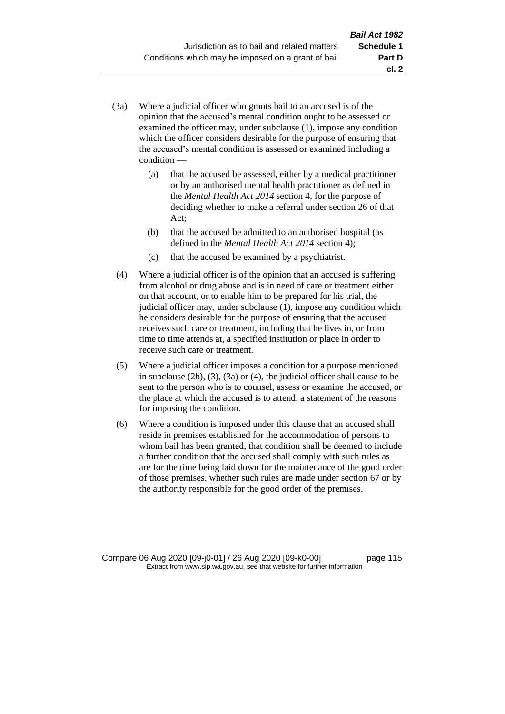- (3a) Where a judicial officer who grants bail to an accused is of the opinion that the accused's mental condition ought to be assessed or examined the officer may, under subclause (1), impose any condition which the officer considers desirable for the purpose of ensuring that the accused's mental condition is assessed or examined including a condition —
	- (a) that the accused be assessed, either by a medical practitioner or by an authorised mental health practitioner as defined in the *Mental Health Act 2014* section 4, for the purpose of deciding whether to make a referral under section 26 of that Act;
	- (b) that the accused be admitted to an authorised hospital (as defined in the *Mental Health Act 2014* section 4);
	- (c) that the accused be examined by a psychiatrist.
- (4) Where a judicial officer is of the opinion that an accused is suffering from alcohol or drug abuse and is in need of care or treatment either on that account, or to enable him to be prepared for his trial, the judicial officer may, under subclause (1), impose any condition which he considers desirable for the purpose of ensuring that the accused receives such care or treatment, including that he lives in, or from time to time attends at, a specified institution or place in order to receive such care or treatment.
- (5) Where a judicial officer imposes a condition for a purpose mentioned in subclause (2b), (3), (3a) or (4), the judicial officer shall cause to be sent to the person who is to counsel, assess or examine the accused, or the place at which the accused is to attend, a statement of the reasons for imposing the condition.
- (6) Where a condition is imposed under this clause that an accused shall reside in premises established for the accommodation of persons to whom bail has been granted, that condition shall be deemed to include a further condition that the accused shall comply with such rules as are for the time being laid down for the maintenance of the good order of those premises, whether such rules are made under section 67 or by the authority responsible for the good order of the premises.

Compare 06 Aug 2020 [09-j0-01] / 26 Aug 2020 [09-k0-00] page 115 Extract from www.slp.wa.gov.au, see that website for further information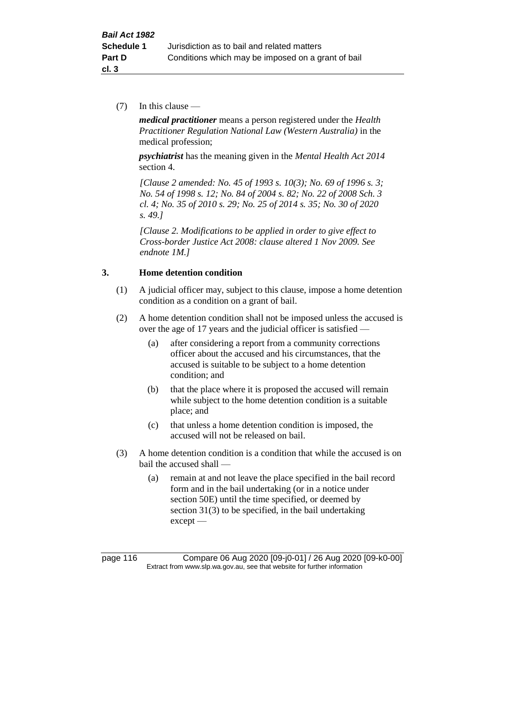(7) In this clause —

*medical practitioner* means a person registered under the *Health Practitioner Regulation National Law (Western Australia)* in the medical profession;

*psychiatrist* has the meaning given in the *Mental Health Act 2014* section 4.

*[Clause 2 amended: No. 45 of 1993 s. 10(3); No. 69 of 1996 s. 3; No. 54 of 1998 s. 12; No. 84 of 2004 s. 82; No. 22 of 2008 Sch. 3 cl. 4; No. 35 of 2010 s. 29; No. 25 of 2014 s. 35; No. 30 of 2020 s. 49.]*

*[Clause 2. Modifications to be applied in order to give effect to Cross-border Justice Act 2008: clause altered 1 Nov 2009. See endnote 1M.]*

### **3. Home detention condition**

- (1) A judicial officer may, subject to this clause, impose a home detention condition as a condition on a grant of bail.
- (2) A home detention condition shall not be imposed unless the accused is over the age of 17 years and the judicial officer is satisfied —
	- (a) after considering a report from a community corrections officer about the accused and his circumstances, that the accused is suitable to be subject to a home detention condition; and
	- (b) that the place where it is proposed the accused will remain while subject to the home detention condition is a suitable place; and
	- (c) that unless a home detention condition is imposed, the accused will not be released on bail.
- (3) A home detention condition is a condition that while the accused is on bail the accused shall —
	- (a) remain at and not leave the place specified in the bail record form and in the bail undertaking (or in a notice under section 50E) until the time specified, or deemed by section 31(3) to be specified, in the bail undertaking except —

page 116 Compare 06 Aug 2020 [09-j0-01] / 26 Aug 2020 [09-k0-00] Extract from www.slp.wa.gov.au, see that website for further information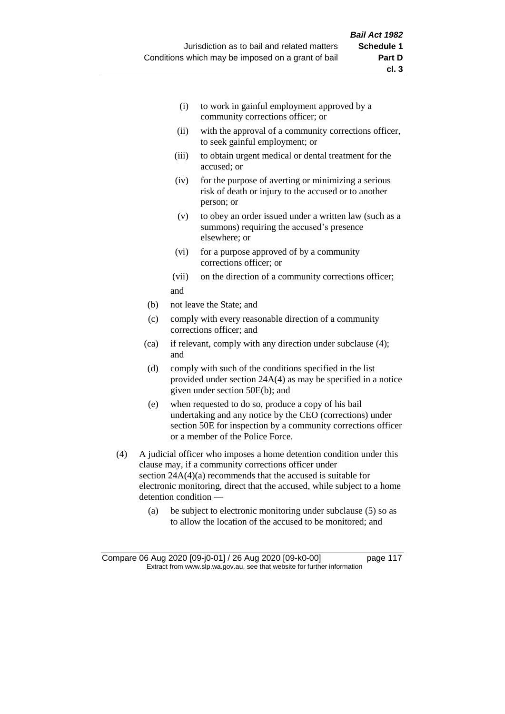- (i) to work in gainful employment approved by a community corrections officer; or
- (ii) with the approval of a community corrections officer, to seek gainful employment; or
- (iii) to obtain urgent medical or dental treatment for the accused; or
- (iv) for the purpose of averting or minimizing a serious risk of death or injury to the accused or to another person; or
- (v) to obey an order issued under a written law (such as a summons) requiring the accused's presence elsewhere; or
- (vi) for a purpose approved of by a community corrections officer; or
- (vii) on the direction of a community corrections officer; and
- (b) not leave the State; and
- (c) comply with every reasonable direction of a community corrections officer; and
- (ca) if relevant, comply with any direction under subclause (4); and
- (d) comply with such of the conditions specified in the list provided under section 24A(4) as may be specified in a notice given under section 50E(b); and
- (e) when requested to do so, produce a copy of his bail undertaking and any notice by the CEO (corrections) under section 50E for inspection by a community corrections officer or a member of the Police Force.
- (4) A judicial officer who imposes a home detention condition under this clause may, if a community corrections officer under section 24A(4)(a) recommends that the accused is suitable for electronic monitoring, direct that the accused, while subject to a home detention condition —
	- (a) be subject to electronic monitoring under subclause (5) so as to allow the location of the accused to be monitored; and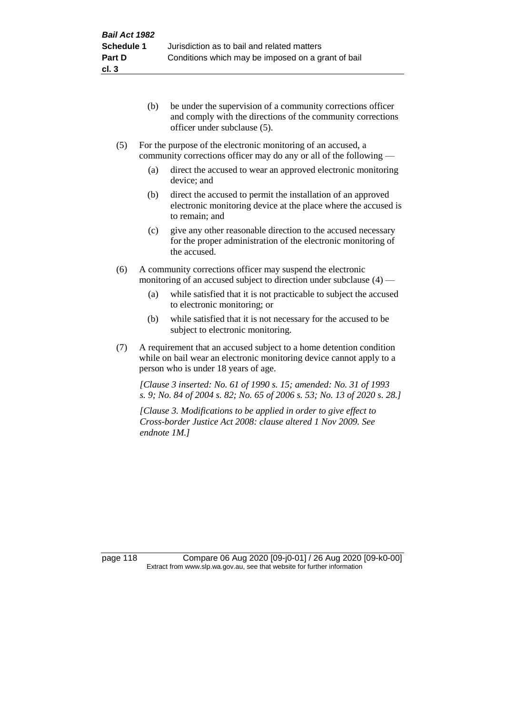- (b) be under the supervision of a community corrections officer and comply with the directions of the community corrections officer under subclause (5).
- (5) For the purpose of the electronic monitoring of an accused, a community corrections officer may do any or all of the following —
	- (a) direct the accused to wear an approved electronic monitoring device; and
	- (b) direct the accused to permit the installation of an approved electronic monitoring device at the place where the accused is to remain; and
	- (c) give any other reasonable direction to the accused necessary for the proper administration of the electronic monitoring of the accused.
- (6) A community corrections officer may suspend the electronic monitoring of an accused subject to direction under subclause (4) —
	- (a) while satisfied that it is not practicable to subject the accused to electronic monitoring; or
	- (b) while satisfied that it is not necessary for the accused to be subject to electronic monitoring.
- (7) A requirement that an accused subject to a home detention condition while on bail wear an electronic monitoring device cannot apply to a person who is under 18 years of age.

*[Clause 3 inserted: No. 61 of 1990 s. 15; amended: No. 31 of 1993 s. 9; No. 84 of 2004 s. 82; No. 65 of 2006 s. 53; No. 13 of 2020 s. 28.]*

*[Clause 3. Modifications to be applied in order to give effect to Cross-border Justice Act 2008: clause altered 1 Nov 2009. See endnote 1M.]*

page 118 Compare 06 Aug 2020 [09-j0-01] / 26 Aug 2020 [09-k0-00] Extract from www.slp.wa.gov.au, see that website for further information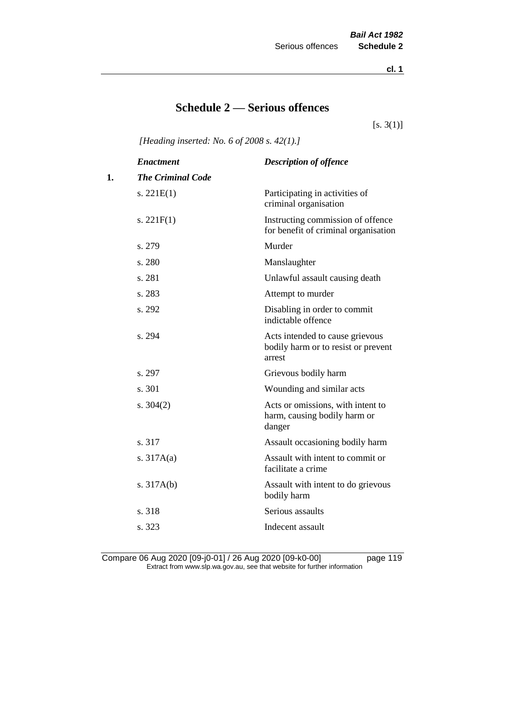**cl. 1**

# **Schedule 2 — Serious offences**

 $[s. 3(1)]$ 

*[Heading inserted: No. 6 of 2008 s. 42(1).]*

|    | <b>Enactment</b>         | <b>Description of offence</b>                                                    |
|----|--------------------------|----------------------------------------------------------------------------------|
| 1. | <b>The Criminal Code</b> |                                                                                  |
|    | s. $221E(1)$             | Participating in activities of<br>criminal organisation                          |
|    | s. $221F(1)$             | Instructing commission of offence<br>for benefit of criminal organisation        |
|    | s. 279                   | Murder                                                                           |
|    | s. 280                   | Manslaughter                                                                     |
|    | s. 281                   | Unlawful assault causing death                                                   |
|    | s. 283                   | Attempt to murder                                                                |
|    | s. 292                   | Disabling in order to commit<br>indictable offence                               |
|    | s. 294                   | Acts intended to cause grievous<br>bodily harm or to resist or prevent<br>arrest |
|    | s. 297                   | Grievous bodily harm                                                             |
|    | s. 301                   | Wounding and similar acts                                                        |
|    | s. $304(2)$              | Acts or omissions, with intent to<br>harm, causing bodily harm or<br>danger      |
|    | s. 317                   | Assault occasioning bodily harm                                                  |
|    | s. $317A(a)$             | Assault with intent to commit or<br>facilitate a crime                           |
|    | s. $317A(b)$             | Assault with intent to do grievous<br>bodily harm                                |
|    | s. 318                   | Serious assaults                                                                 |
|    | s. 323                   | Indecent assault                                                                 |
|    |                          |                                                                                  |

Compare 06 Aug 2020 [09-j0-01] / 26 Aug 2020 [09-k0-00] page 119 Extract from www.slp.wa.gov.au, see that website for further information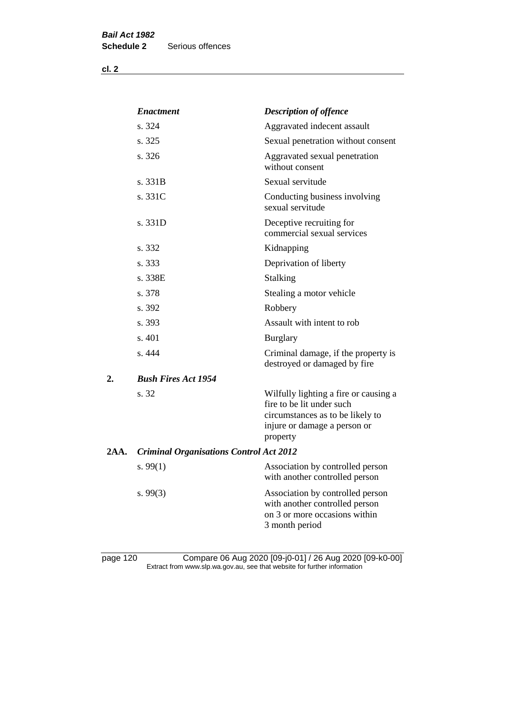**cl. 2**

|      | <i><b>Enactment</b></i>                        | <b>Description of offence</b>                                                                                                                      |
|------|------------------------------------------------|----------------------------------------------------------------------------------------------------------------------------------------------------|
|      | s. 324                                         | Aggravated indecent assault                                                                                                                        |
|      | s. 325                                         | Sexual penetration without consent                                                                                                                 |
|      | s. 326                                         | Aggravated sexual penetration<br>without consent                                                                                                   |
|      | s. 331B                                        | Sexual servitude                                                                                                                                   |
|      | s. 331C                                        | Conducting business involving<br>sexual servitude                                                                                                  |
|      | s. 331D                                        | Deceptive recruiting for<br>commercial sexual services                                                                                             |
|      | s. 332                                         | Kidnapping                                                                                                                                         |
|      | s. 333                                         | Deprivation of liberty                                                                                                                             |
|      | s. 338E                                        | <b>Stalking</b>                                                                                                                                    |
|      | s. 378                                         | Stealing a motor vehicle                                                                                                                           |
|      | s. 392                                         | Robbery                                                                                                                                            |
|      | s. 393                                         | Assault with intent to rob                                                                                                                         |
|      | s. 401                                         | <b>Burglary</b>                                                                                                                                    |
|      | s.444                                          | Criminal damage, if the property is<br>destroyed or damaged by fire                                                                                |
| 2.   | <b>Bush Fires Act 1954</b>                     |                                                                                                                                                    |
|      | s. 32                                          | Wilfully lighting a fire or causing a<br>fire to be lit under such<br>circumstances as to be likely to<br>injure or damage a person or<br>property |
| 2AA. | <b>Criminal Organisations Control Act 2012</b> |                                                                                                                                                    |
|      | s. $99(1)$                                     | Association by controlled person<br>with another controlled person                                                                                 |
|      | s. 99(3)                                       | Association by controlled person<br>with another controlled person<br>on 3 or more occasions within<br>3 month period                              |
|      |                                                |                                                                                                                                                    |

page 120 Compare 06 Aug 2020 [09-j0-01] / 26 Aug 2020 [09-k0-00] Extract from www.slp.wa.gov.au, see that website for further information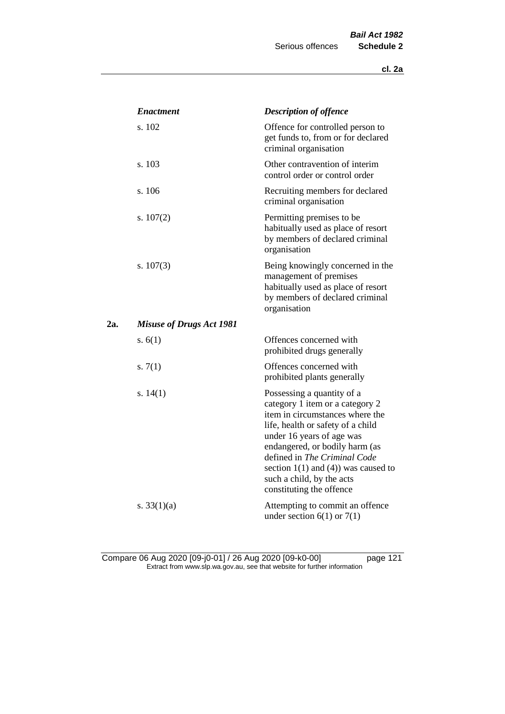|     | <b>Enactment</b>                | <b>Description of offence</b>                                                                                                                                                                                                                                                                                                             |
|-----|---------------------------------|-------------------------------------------------------------------------------------------------------------------------------------------------------------------------------------------------------------------------------------------------------------------------------------------------------------------------------------------|
|     | s. 102                          | Offence for controlled person to<br>get funds to, from or for declared<br>criminal organisation                                                                                                                                                                                                                                           |
|     | s. 103                          | Other contravention of interim<br>control order or control order                                                                                                                                                                                                                                                                          |
|     | s. 106                          | Recruiting members for declared<br>criminal organisation                                                                                                                                                                                                                                                                                  |
|     | s. $107(2)$                     | Permitting premises to be<br>habitually used as place of resort<br>by members of declared criminal<br>organisation                                                                                                                                                                                                                        |
|     | s. $107(3)$                     | Being knowingly concerned in the<br>management of premises<br>habitually used as place of resort<br>by members of declared criminal<br>organisation                                                                                                                                                                                       |
| 2a. | <b>Misuse of Drugs Act 1981</b> |                                                                                                                                                                                                                                                                                                                                           |
|     | s. $6(1)$                       | Offences concerned with<br>prohibited drugs generally                                                                                                                                                                                                                                                                                     |
|     | s. $7(1)$                       | Offences concerned with<br>prohibited plants generally                                                                                                                                                                                                                                                                                    |
|     | s. $14(1)$                      | Possessing a quantity of a<br>category 1 item or a category 2<br>item in circumstances where the<br>life, health or safety of a child<br>under 16 years of age was<br>endangered, or bodily harm (as<br>defined in The Criminal Code<br>section $1(1)$ and $(4)$ ) was caused to<br>such a child, by the acts<br>constituting the offence |
|     | s. $33(1)(a)$                   | Attempting to commit an offence<br>under section $6(1)$ or $7(1)$                                                                                                                                                                                                                                                                         |

Compare 06 Aug 2020 [09-j0-01] / 26 Aug 2020 [09-k0-00] page 121 Extract from www.slp.wa.gov.au, see that website for further information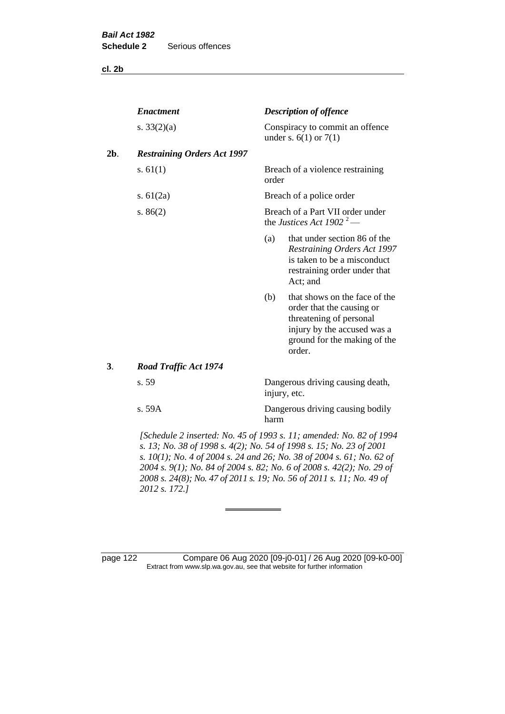**cl. 2b**

| <b>Description of offence</b>                                                                                                                                         |
|-----------------------------------------------------------------------------------------------------------------------------------------------------------------------|
| Conspiracy to commit an offence<br>under s. $6(1)$ or $7(1)$                                                                                                          |
| <b>Restraining Orders Act 1997</b>                                                                                                                                    |
| Breach of a violence restraining<br>order                                                                                                                             |
| Breach of a police order                                                                                                                                              |
| Breach of a Part VII order under<br>the Justices Act 1902 <sup>2</sup> —                                                                                              |
| that under section 86 of the<br>(a)<br><b>Restraining Orders Act 1997</b><br>is taken to be a misconduct<br>restraining order under that<br>Act; and                  |
| that shows on the face of the<br>(b)<br>order that the causing or<br>threatening of personal<br>injury by the accused was a<br>ground for the making of the<br>order. |
|                                                                                                                                                                       |
| Dangerous driving causing death,<br>injury, etc.                                                                                                                      |
| Dangerous driving causing bodily<br>harm                                                                                                                              |
|                                                                                                                                                                       |

*s. 13; No. 38 of 1998 s. 4(2); No. 54 of 1998 s. 15; No. 23 of 2001 s. 10(1); No. 4 of 2004 s. 24 and 26; No. 38 of 2004 s. 61; No. 62 of 2004 s. 9(1); No. 84 of 2004 s. 82; No. 6 of 2008 s. 42(2); No. 29 of 2008 s. 24(8); No. 47 of 2011 s. 19; No. 56 of 2011 s. 11; No. 49 of 2012 s. 172.]* 

page 122 Compare 06 Aug 2020 [09-j0-01] / 26 Aug 2020 [09-k0-00] Extract from www.slp.wa.gov.au, see that website for further information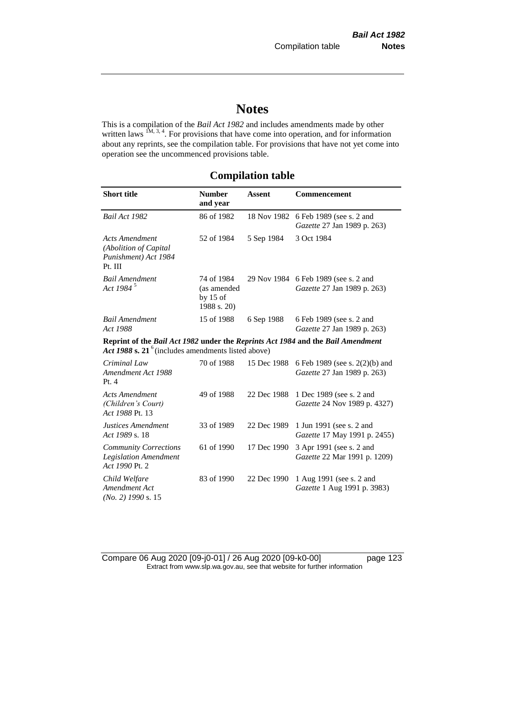# **Notes**

This is a compilation of the *Bail Act 1982* and includes amendments made by other written laws  $\frac{1M}{3}$ ,  $\frac{3}{4}$ . For provisions that have come into operation, and for information about any reprints, see the compilation table. For provisions that have not yet come into operation see the uncommenced provisions table.

# **Compilation table**

| <b>Short title</b>                                                                                                                                | <b>Number</b><br>and year                              | <b>Assent</b> | <b>Commencement</b>                                                 |
|---------------------------------------------------------------------------------------------------------------------------------------------------|--------------------------------------------------------|---------------|---------------------------------------------------------------------|
| Bail Act 1982                                                                                                                                     | 86 of 1982                                             | 18 Nov 1982   | 6 Feb 1989 (see s. 2 and<br>Gazette 27 Jan 1989 p. 263)             |
| <b>Acts Amendment</b><br>(Abolition of Capital<br>Punishment) Act 1984<br>Pt. III                                                                 | 52 of 1984                                             | 5 Sep 1984    | 3 Oct 1984                                                          |
| <b>Bail Amendment</b><br>Act 1984 <sup>5</sup>                                                                                                    | 74 of 1984<br>(as amended<br>by $15$ of<br>1988 s. 20) |               | 29 Nov 1984 6 Feb 1989 (see s. 2 and<br>Gazette 27 Jan 1989 p. 263) |
| <b>Bail Amendment</b><br>Act 1988                                                                                                                 | 15 of 1988                                             | 6 Sep 1988    | 6 Feb 1989 (see s. 2 and<br>Gazette 27 Jan 1989 p. 263)             |
| Reprint of the Bail Act 1982 under the Reprints Act 1984 and the Bail Amendment<br>Act 1988 s. 21 <sup>6</sup> (includes amendments listed above) |                                                        |               |                                                                     |
| Criminal Law<br>Amendment Act 1988<br>Pt.4                                                                                                        | 70 of 1988                                             | 15 Dec 1988   | 6 Feb 1989 (see s. 2(2)(b) and<br>Gazette 27 Jan 1989 p. 263)       |
| <b>Acts Amendment</b><br>(Children's Court)<br>Act 1988 Pt. 13                                                                                    | 49 of 1988                                             | 22 Dec 1988   | 1 Dec 1989 (see s. 2 and<br>Gazette 24 Nov 1989 p. 4327)            |
| Justices Amendment<br>Act 1989 s. 18                                                                                                              | 33 of 1989                                             | 22 Dec 1989   | 1 Jun 1991 (see s. 2 and<br>Gazette 17 May 1991 p. 2455)            |
| <b>Community Corrections</b><br><b>Legislation Amendment</b><br>Act 1990 Pt. 2                                                                    | 61 of 1990                                             | 17 Dec 1990   | 3 Apr 1991 (see s. 2 and<br>Gazette 22 Mar 1991 p. 1209)            |
| Child Welfare<br>Amendment Act<br>$(No. 2)$ 1990 s. 15                                                                                            | 83 of 1990                                             | 22 Dec 1990   | 1 Aug 1991 (see s. 2 and<br>Gazette 1 Aug 1991 p. 3983)             |

Compare 06 Aug 2020 [09-j0-01] / 26 Aug 2020 [09-k0-00] page 123 Extract from www.slp.wa.gov.au, see that website for further information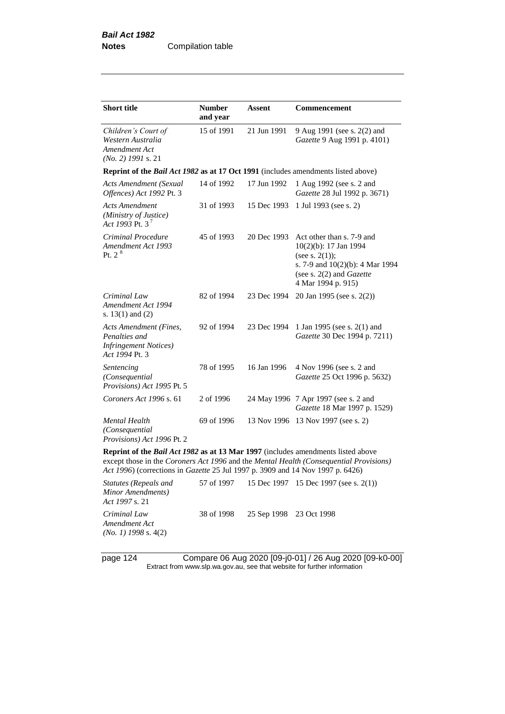| <b>Short title</b>                                                                                                                                                        | <b>Number</b><br>and year | Assent      | <b>Commencement</b>                                                                                                                                                   |
|---------------------------------------------------------------------------------------------------------------------------------------------------------------------------|---------------------------|-------------|-----------------------------------------------------------------------------------------------------------------------------------------------------------------------|
| Children's Court of<br>Western Australia<br>Amendment Act<br>$(No. 2)$ 1991 s. 21                                                                                         | 15 of 1991                | 21 Jun 1991 | 9 Aug 1991 (see s. 2(2) and<br>Gazette 9 Aug 1991 p. 4101)                                                                                                            |
| Reprint of the <i>Bail Act 1982</i> as at 17 Oct 1991 (includes amendments listed above)                                                                                  |                           |             |                                                                                                                                                                       |
| <b>Acts Amendment (Sexual</b><br>Offences) Act 1992 Pt. 3                                                                                                                 | 14 of 1992                | 17 Jun 1992 | 1 Aug 1992 (see s. 2 and<br>Gazette 28 Jul 1992 p. 3671)                                                                                                              |
| Acts Amendment<br>(Ministry of Justice)<br>Act 1993 Pt. 3 <sup>7</sup>                                                                                                    | 31 of 1993                | 15 Dec 1993 | 1 Jul 1993 (see s. 2)                                                                                                                                                 |
| Criminal Procedure<br>Amendment Act 1993<br>Pt. $2^8$                                                                                                                     | 45 of 1993                | 20 Dec 1993 | Act other than s. 7-9 and<br>10(2)(b): 17 Jan 1994<br>(see s. $2(1)$ );<br>s. 7-9 and 10(2)(b): 4 Mar 1994<br>(see s. $2(2)$ and <i>Gazette</i><br>4 Mar 1994 p. 915) |
| Criminal Law<br>Amendment Act 1994<br>s. $13(1)$ and $(2)$                                                                                                                | 82 of 1994                | 23 Dec 1994 | 20 Jan 1995 (see s. 2(2))                                                                                                                                             |
| <b>Acts Amendment (Fines,</b><br>Penalties and<br><b>Infringement Notices</b> )<br>Act 1994 Pt. 3                                                                         | 92 of 1994                | 23 Dec 1994 | 1 Jan 1995 (see s. 2(1) and<br>Gazette 30 Dec 1994 p. 7211)                                                                                                           |
| Sentencing<br>(Consequential<br>Provisions) Act 1995 Pt. 5                                                                                                                | 78 of 1995                | 16 Jan 1996 | 4 Nov 1996 (see s. 2 and<br>Gazette 25 Oct 1996 p. 5632)                                                                                                              |
| Coroners Act 1996 s. 61                                                                                                                                                   | 2 of 1996                 |             | 24 May 1996 7 Apr 1997 (see s. 2 and<br>Gazette 18 Mar 1997 p. 1529)                                                                                                  |
| Mental Health<br>(Consequential<br>Provisions) Act 1996 Pt. 2                                                                                                             | 69 of 1996                | 13 Nov 1996 | 13 Nov 1997 (see s. 2)                                                                                                                                                |
| Reprint of the <i>Bail Act 1982</i> as at 13 Mar 1997 (includes amendments listed above<br>Act 1996) (corrections in Gazette 25 Jul 1997 p. 3909 and 14 Nov 1997 p. 6426) |                           |             | except those in the Coroners Act 1996 and the Mental Health (Consequential Provisions)                                                                                |
| <b>Statutes (Repeals and</b><br>Minor Amendments)                                                                                                                         | 57 of 1997                |             | 15 Dec 1997 15 Dec 1997 (see s. 2(1))                                                                                                                                 |

*Act 1997* s. 21 *Criminal Law Amendment Act (No. 1) 1998* s. 4(2)

page 124 Compare 06 Aug 2020 [09-j0-01] / 26 Aug 2020 [09-k0-00] Extract from www.slp.wa.gov.au, see that website for further information

38 of 1998 25 Sep 1998 23 Oct 1998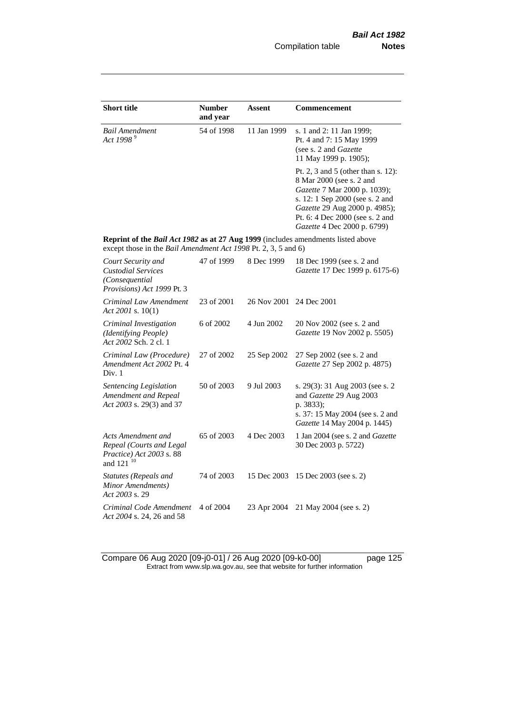| <b>Short title</b>                                                                                                                                 | <b>Number</b><br>and year | Assent      | <b>Commencement</b>                                                                                                                                                                                                                  |
|----------------------------------------------------------------------------------------------------------------------------------------------------|---------------------------|-------------|--------------------------------------------------------------------------------------------------------------------------------------------------------------------------------------------------------------------------------------|
| Bail Amendment<br>Act 1998 <sup>9</sup>                                                                                                            | 54 of 1998                | 11 Jan 1999 | s. 1 and 2: 11 Jan 1999;<br>Pt. 4 and 7: 15 May 1999<br>(see s. 2 and Gazette<br>11 May 1999 p. 1905);                                                                                                                               |
|                                                                                                                                                    |                           |             | Pt. 2, 3 and 5 (other than s. 12):<br>8 Mar 2000 (see s. 2 and<br>Gazette 7 Mar 2000 p. 1039);<br>s. 12: 1 Sep 2000 (see s. 2 and<br>Gazette 29 Aug 2000 p. 4985);<br>Pt. 6: 4 Dec 2000 (see s. 2 and<br>Gazette 4 Dec 2000 p. 6799) |
| Reprint of the Bail Act 1982 as at 27 Aug 1999 (includes amendments listed above<br>except those in the Bail Amendment Act 1998 Pt. 2, 3, 5 and 6) |                           |             |                                                                                                                                                                                                                                      |
| Court Security and<br><b>Custodial Services</b><br>(Consequential<br>Provisions) Act 1999 Pt. 3                                                    | 47 of 1999                | 8 Dec 1999  | 18 Dec 1999 (see s. 2 and<br>Gazette 17 Dec 1999 p. 6175-6)                                                                                                                                                                          |
| Criminal Law Amendment<br>Act 2001 s. 10(1)                                                                                                        | 23 of 2001                | 26 Nov 2001 | 24 Dec 2001                                                                                                                                                                                                                          |
| Criminal Investigation<br>(Identifying People)<br>Act 2002 Sch. 2 cl. 1                                                                            | 6 of 2002                 | 4 Jun 2002  | 20 Nov 2002 (see s. 2 and<br>Gazette 19 Nov 2002 p. 5505)                                                                                                                                                                            |
| Criminal Law (Procedure)<br>Amendment Act 2002 Pt. 4<br>Div. 1                                                                                     | 27 of 2002                | 25 Sep 2002 | 27 Sep 2002 (see s. 2 and<br>Gazette 27 Sep 2002 p. 4875)                                                                                                                                                                            |
| Sentencing Legislation<br>Amendment and Repeal<br>Act 2003 s. 29(3) and 37                                                                         | 50 of 2003                | 9 Jul 2003  | s. 29(3): 31 Aug 2003 (see s. 2<br>and Gazette 29 Aug 2003<br>p. 3833);<br>s. 37: 15 May 2004 (see s. 2 and<br>Gazette 14 May 2004 p. 1445)                                                                                          |
| Acts Amendment and<br>Repeal (Courts and Legal<br>Practice) Act 2003 s. 88<br>and 121 <sup>10</sup>                                                | 65 of 2003                | 4 Dec 2003  | 1 Jan 2004 (see s. 2 and Gazette<br>30 Dec 2003 p. 5722)                                                                                                                                                                             |
| <b>Statutes (Repeals and</b><br>Minor Amendments)<br>Act 2003 s. 29                                                                                | 74 of 2003                | 15 Dec 2003 | 15 Dec 2003 (see s. 2)                                                                                                                                                                                                               |
| Criminal Code Amendment<br>Act 2004 s. 24, 26 and 58                                                                                               | 4 of 2004                 | 23 Apr 2004 | 21 May 2004 (see s. 2)                                                                                                                                                                                                               |

Compare 06 Aug 2020 [09-j0-01] / 26 Aug 2020 [09-k0-00] page 125 Extract from www.slp.wa.gov.au, see that website for further information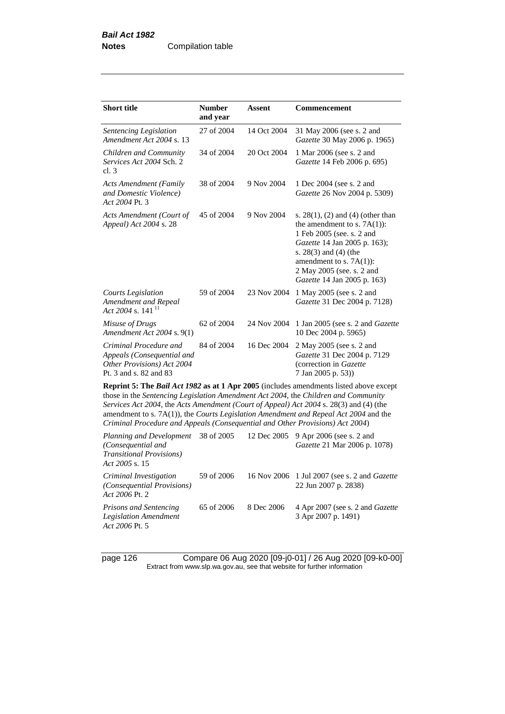| <b>Short title</b>                                                                                                                                                                                                                                                                                                                                                    | <b>Number</b><br>and year | Assent      | <b>Commencement</b>                                                                                                                                                                                                                                      |  |
|-----------------------------------------------------------------------------------------------------------------------------------------------------------------------------------------------------------------------------------------------------------------------------------------------------------------------------------------------------------------------|---------------------------|-------------|----------------------------------------------------------------------------------------------------------------------------------------------------------------------------------------------------------------------------------------------------------|--|
| Sentencing Legislation<br>Amendment Act 2004 s. 13                                                                                                                                                                                                                                                                                                                    | 27 of 2004                | 14 Oct 2004 | 31 May 2006 (see s. 2 and<br>Gazette 30 May 2006 p. 1965)                                                                                                                                                                                                |  |
| Children and Community<br>Services Act 2004 Sch. 2<br>cl.3                                                                                                                                                                                                                                                                                                            | 34 of 2004                | 20 Oct 2004 | 1 Mar 2006 (see s. 2 and<br>Gazette 14 Feb 2006 p. 695)                                                                                                                                                                                                  |  |
| <b>Acts Amendment (Family</b><br>and Domestic Violence)<br>Act 2004 Pt. 3                                                                                                                                                                                                                                                                                             | 38 of 2004                | 9 Nov 2004  | 1 Dec 2004 (see s. 2 and<br>Gazette 26 Nov 2004 p. 5309)                                                                                                                                                                                                 |  |
| Acts Amendment (Court of<br>Appeal) Act 2004 s. 28                                                                                                                                                                                                                                                                                                                    | 45 of 2004                | 9 Nov 2004  | s. $28(1)$ , (2) and (4) (other than<br>the amendment to s. $7A(1)$ :<br>1 Feb 2005 (see. s. 2 and<br>Gazette 14 Jan 2005 p. 163);<br>s. $28(3)$ and $(4)$ (the<br>amendment to s. $7A(1)$ :<br>2 May 2005 (see. s. 2 and<br>Gazette 14 Jan 2005 p. 163) |  |
| Courts Legislation<br>Amendment and Repeal<br>Act 2004 s. 141 $^{11}$                                                                                                                                                                                                                                                                                                 | 59 of 2004                | 23 Nov 2004 | 1 May 2005 (see s. 2 and<br>Gazette 31 Dec 2004 p. 7128)                                                                                                                                                                                                 |  |
| Misuse of Drugs<br>Amendment Act 2004 s. 9(1)                                                                                                                                                                                                                                                                                                                         | 62 of 2004                | 24 Nov 2004 | 1 Jan 2005 (see s. 2 and <i>Gazette</i><br>10 Dec 2004 p. 5965)                                                                                                                                                                                          |  |
| Criminal Procedure and<br>Appeals (Consequential and<br>Other Provisions) Act 2004<br>Pt. 3 and s. 82 and 83                                                                                                                                                                                                                                                          | 84 of 2004                | 16 Dec 2004 | 2 May 2005 (see s. 2 and<br>Gazette 31 Dec 2004 p. 7129<br>(correction in Gazette<br>7 Jan 2005 p. 53)                                                                                                                                                   |  |
| <b>Reprint 5: The Bail Act 1982 as at 1 Apr 2005</b> (includes amendments listed above except<br>those in the Sentencing Legislation Amendment Act 2004, the Children and Community<br>Services Act 2004, the Acts Amendment (Court of Appeal) Act 2004 s. 28(3) and (4) (the<br>amendment to s. 7A(1)), the Courts Legislation Amendment and Repeal Act 2004 and the |                           |             |                                                                                                                                                                                                                                                          |  |

*Criminal Procedure and Appeals (Consequential and Other Provisions) Act 2004*)

| Planning and Development 38 of 2005<br>(Consequential and<br><b>Transitional Provisions</b> )<br>Act 2005 s. 15 |            |            | 12 Dec 2005 9 Apr 2006 (see s. 2 and<br>Gazette 21 Mar 2006 p. 1078)        |
|-----------------------------------------------------------------------------------------------------------------|------------|------------|-----------------------------------------------------------------------------|
| Criminal Investigation<br>(Consequential Provisions)<br>A <i>ct 2006</i> Pt. 2                                  | 59 of 2006 |            | 16 Nov 2006 1 Jul 2007 (see s. 2 and <i>Gazette</i><br>22 Jun 2007 p. 2838) |
| Prisons and Sentencing<br>Legislation Amendment<br>Act 2006 Pt. 5                                               | 65 of 2006 | 8 Dec 2006 | 4 Apr 2007 (see s. 2 and <i>Gazette</i><br>3 Apr 2007 p. 1491)              |

page 126 Compare 06 Aug 2020 [09-j0-01] / 26 Aug 2020 [09-k0-00] Extract from www.slp.wa.gov.au, see that website for further information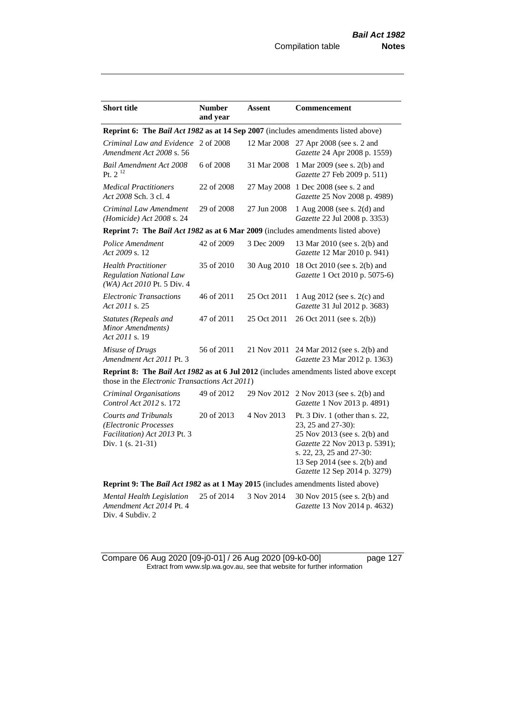| <b>Short title</b>                                                                                        | <b>Number</b> | <b>Assent</b> | <b>Commencement</b>                                                                                                                                                                                                  |
|-----------------------------------------------------------------------------------------------------------|---------------|---------------|----------------------------------------------------------------------------------------------------------------------------------------------------------------------------------------------------------------------|
|                                                                                                           | and year      |               |                                                                                                                                                                                                                      |
| Reprint 6: The Bail Act 1982 as at 14 Sep 2007 (includes amendments listed above)                         |               |               |                                                                                                                                                                                                                      |
| Criminal Law and Evidence 2 of 2008<br>Amendment Act 2008 s. 56                                           |               | 12 Mar 2008   | 27 Apr 2008 (see s. 2 and<br>Gazette 24 Apr 2008 p. 1559)                                                                                                                                                            |
| <b>Bail Amendment Act 2008</b><br>Pt. $2^{12}$                                                            | 6 of 2008     | 31 Mar 2008   | 1 Mar 2009 (see s. 2(b) and<br>Gazette 27 Feb 2009 p. 511)                                                                                                                                                           |
| <b>Medical Practitioners</b><br>Act 2008 Sch. 3 cl. 4                                                     | 22 of 2008    | 27 May 2008   | 1 Dec 2008 (see s. 2 and<br>Gazette 25 Nov 2008 p. 4989)                                                                                                                                                             |
| Criminal Law Amendment<br>(Homicide) Act 2008 s. 24                                                       | 29 of 2008    | 27 Jun 2008   | 1 Aug 2008 (see s. 2(d) and<br>Gazette 22 Jul 2008 p. 3353)                                                                                                                                                          |
| Reprint 7: The Bail Act 1982 as at 6 Mar 2009 (includes amendments listed above)                          |               |               |                                                                                                                                                                                                                      |
| Police Amendment<br>Act 2009 s. 12                                                                        | 42 of 2009    | 3 Dec 2009    | 13 Mar 2010 (see s. 2(b) and<br>Gazette 12 Mar 2010 p. 941)                                                                                                                                                          |
| <b>Health Practitioner</b><br><b>Regulation National Law</b><br>(WA) Act 2010 Pt. 5 Div. 4                | 35 of 2010    | 30 Aug 2010   | 18 Oct 2010 (see s. 2(b) and<br>Gazette 1 Oct 2010 p. 5075-6)                                                                                                                                                        |
| <b>Electronic Transactions</b><br>Act 2011 s. 25                                                          | 46 of 2011    | 25 Oct 2011   | 1 Aug 2012 (see s. 2(c) and<br>Gazette 31 Jul 2012 p. 3683)                                                                                                                                                          |
| Statutes (Repeals and<br>Minor Amendments)<br>Act 2011 s. 19                                              | 47 of 2011    | 25 Oct 2011   | 26 Oct 2011 (see s. 2(b))                                                                                                                                                                                            |
| Misuse of Drugs<br>Amendment Act 2011 Pt. 3                                                               | 56 of 2011    | 21 Nov 2011   | 24 Mar 2012 (see s. 2(b) and<br>Gazette 23 Mar 2012 p. 1363)                                                                                                                                                         |
| those in the Electronic Transactions Act 2011)                                                            |               |               | <b>Reprint 8: The Bail Act 1982 as at 6 Jul 2012</b> (includes amendments listed above except                                                                                                                        |
| Criminal Organisations<br>Control Act 2012 s. 172                                                         | 49 of 2012    | 29 Nov 2012   | 2 Nov 2013 (see s. 2(b) and<br>Gazette 1 Nov 2013 p. 4891)                                                                                                                                                           |
| <b>Courts and Tribunals</b><br>(Electronic Processes<br>Facilitation) Act 2013 Pt. 3<br>Div. 1 (s. 21-31) | 20 of 2013    | 4 Nov 2013    | Pt. $3$ Div. 1 (other than s. 22,<br>23, 25 and 27-30):<br>25 Nov 2013 (see s. 2(b) and<br>Gazette 22 Nov 2013 p. 5391);<br>s. 22, 23, 25 and 27-30:<br>13 Sep 2014 (see s. 2(b) and<br>Gazette 12 Sep 2014 p. 3279) |
| Reprint 9: The Bail Act 1982 as at 1 May 2015 (includes amendments listed above)                          |               |               |                                                                                                                                                                                                                      |
| Mental Health Legislation<br>Amendment Act 2014 Pt. 4<br>Div. 4 Subdiv. 2                                 | 25 of 2014    | 3 Nov 2014    | 30 Nov 2015 (see s. 2(b) and<br>Gazette 13 Nov 2014 p. 4632)                                                                                                                                                         |

Compare 06 Aug 2020 [09-j0-01] / 26 Aug 2020 [09-k0-00] page 127 Extract from www.slp.wa.gov.au, see that website for further information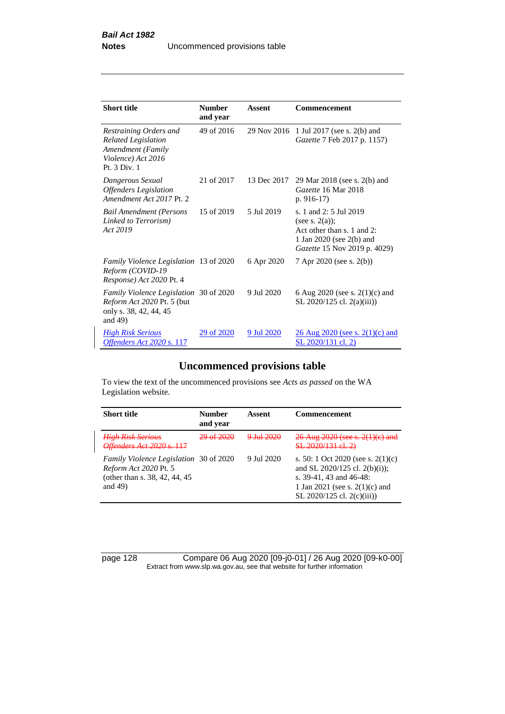| <b>Short title</b>                                                                                              | <b>Number</b><br>and year | Assent      | <b>Commencement</b>                                                                                                                      |
|-----------------------------------------------------------------------------------------------------------------|---------------------------|-------------|------------------------------------------------------------------------------------------------------------------------------------------|
| Restraining Orders and<br><b>Related Legislation</b><br>Amendment (Family<br>Violence) Act 2016<br>Pt. 3 Div. 1 | 49 of 2016                | 29 Nov 2016 | 1 Jul 2017 (see s. 2(b) and<br>Gazette 7 Feb 2017 p. 1157)                                                                               |
| Dangerous Sexual<br><b>Offenders</b> Legislation<br>Amendment Act 2017 Pt. 2                                    | 21 of 2017                | 13 Dec 2017 | 29 Mar 2018 (see s. 2(b) and<br>Gazette 16 Mar 2018<br>p. $916-17$                                                                       |
| <b>Bail Amendment (Persons</b><br>Linked to Terrorism)<br>Act 2019                                              | 15 of 2019                | 5 Jul 2019  | s. 1 and 2: 5 Jul 2019<br>(see s. $2(a)$ );<br>Act other than $s$ , 1 and 2:<br>1 Jan 2020 (see 2(b) and<br>Gazette 15 Nov 2019 p. 4029) |
| Family Violence Legislation 13 of 2020<br>Reform (COVID-19<br>Response) Act 2020 Pt. 4                          |                           | 6 Apr 2020  | 7 Apr 2020 (see s. 2(b))                                                                                                                 |
| Family Violence Legislation 30 of 2020<br>Reform Act 2020 Pt. 5 (but<br>only s. 38, 42, 44, 45<br>and $49$ )    |                           | 9 Jul 2020  | 6 Aug 2020 (see s. $2(1)(c)$ and<br>SL 2020/125 cl. 2(a)(iii))                                                                           |
| <b>High Risk Serious</b><br>Offenders Act 2020 s. 117                                                           | 29 of 2020                | 9 Jul 2020  | <u>26 Aug 2020 (see s. 2(1)(c) and</u><br>SL 2020/131 cl. 2)                                                                             |

# **Uncommenced provisions table**

To view the text of the uncommenced provisions see *Acts as passed* on the WA Legislation website.

| <b>Short title</b>                                                                                                     | <b>Number</b><br>and year | Assent                                  | <b>Commencement</b>                                                                                                                                                   |
|------------------------------------------------------------------------------------------------------------------------|---------------------------|-----------------------------------------|-----------------------------------------------------------------------------------------------------------------------------------------------------------------------|
| <b>High Risk Serious</b><br>Offenders Act 2020 s. 117                                                                  | 20 of 2020                | $9 \text{--}1 \text{--}1 \text{--}2020$ | 26 Aug 2020 (see s. 2(1)(c) and<br>SL 2020/131 el. 2)                                                                                                                 |
| <i>Family Violence Legislation</i> 30 of 2020<br>Reform Act 2020 Pt. 5<br>(other than s. 38, 42, 44, 45)<br>and $49$ ) |                           | 9 Jul 2020                              | s. 50: 1 Oct 2020 (see s. $2(1)(c)$ )<br>and SL 2020/125 cl. 2(b)(i));<br>s. 39-41, 43 and 46-48:<br>1 Jan 2021 (see s. $2(1)(c)$ ) and<br>SL 2020/125 cl. 2(c)(iii)) |

page 128 Compare 06 Aug 2020 [09-j0-01] / 26 Aug 2020 [09-k0-00] Extract from www.slp.wa.gov.au, see that website for further information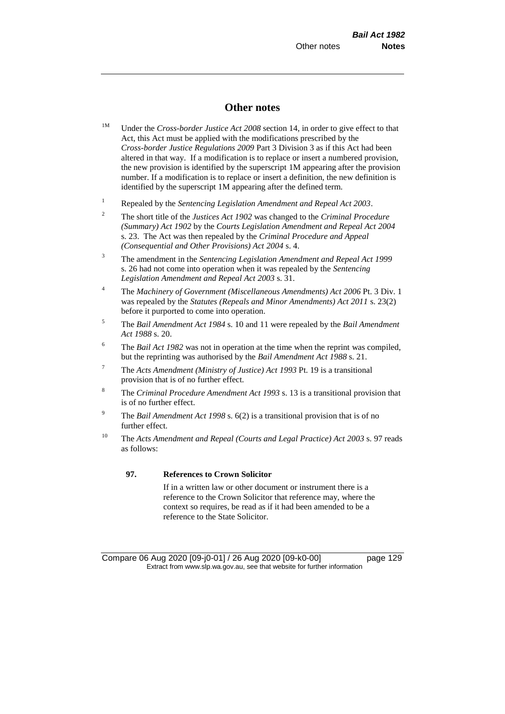## **Other notes**

- <sup>1M</sup> Under the *Cross-border Justice Act 2008* section 14, in order to give effect to that Act, this Act must be applied with the modifications prescribed by the *Cross-border Justice Regulations 2009* Part 3 Division 3 as if this Act had been altered in that way. If a modification is to replace or insert a numbered provision, the new provision is identified by the superscript 1M appearing after the provision number. If a modification is to replace or insert a definition, the new definition is identified by the superscript 1M appearing after the defined term.
- <sup>1</sup> Repealed by the *Sentencing Legislation Amendment and Repeal Act 2003*.
- <sup>2</sup> The short title of the *Justices Act 1902* was changed to the *Criminal Procedure (Summary) Act 1902* by the *Courts Legislation Amendment and Repeal Act 2004*  s. 23. The Act was then repealed by the *Criminal Procedure and Appeal (Consequential and Other Provisions) Act 2004* s. 4.
- <sup>3</sup> The amendment in the *Sentencing Legislation Amendment and Repeal Act 1999* s. 26 had not come into operation when it was repealed by the *Sentencing Legislation Amendment and Repeal Act 2003* s. 31.
- <sup>4</sup> The *Machinery of Government (Miscellaneous Amendments) Act 2006* Pt. 3 Div. 1 was repealed by the *Statutes (Repeals and Minor Amendments) Act 2011* s. 23(2) before it purported to come into operation.
- <sup>5</sup> The *Bail Amendment Act 1984* s. 10 and 11 were repealed by the *Bail Amendment Act 1988* s. 20.
- <sup>6</sup> The *Bail Act 1982* was not in operation at the time when the reprint was compiled, but the reprinting was authorised by the *Bail Amendment Act 1988* s. 21.
- 7 The *Acts Amendment (Ministry of Justice) Act 1993* Pt. 19 is a transitional provision that is of no further effect.
- <sup>8</sup> The *Criminal Procedure Amendment Act 1993* s. 13 is a transitional provision that is of no further effect.
- <sup>9</sup> The *Bail Amendment Act 1998* s. 6(2) is a transitional provision that is of no further effect.
- <sup>10</sup> The *Acts Amendment and Repeal (Courts and Legal Practice) Act 2003* s. 97 reads as follows:

#### **97. References to Crown Solicitor**

If in a written law or other document or instrument there is a reference to the Crown Solicitor that reference may, where the context so requires, be read as if it had been amended to be a reference to the State Solicitor.

Compare 06 Aug 2020 [09-j0-01] / 26 Aug 2020 [09-k0-00] page 129 Extract from www.slp.wa.gov.au, see that website for further information